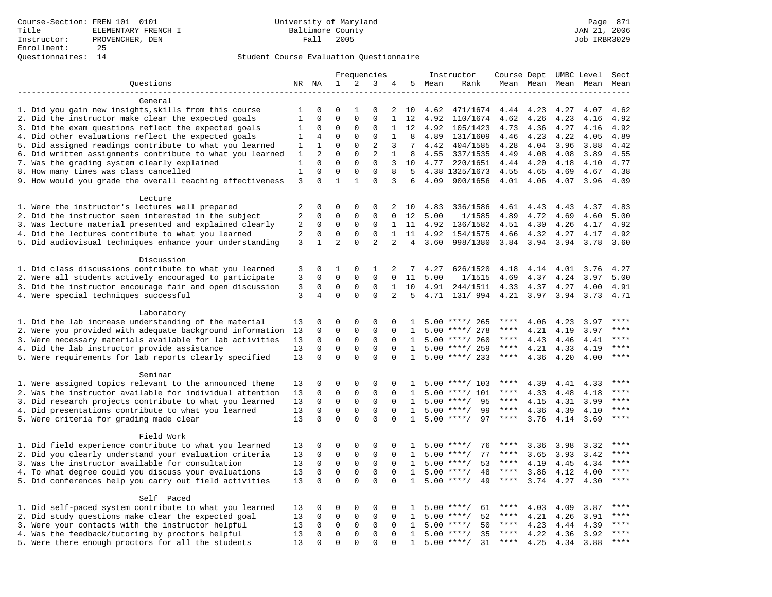|                                                            |                |              |                |                            | Frequencies                |                |                |      | Instructor         | Course Dept UMBC Level |      |      |                     | Sect         |
|------------------------------------------------------------|----------------|--------------|----------------|----------------------------|----------------------------|----------------|----------------|------|--------------------|------------------------|------|------|---------------------|--------------|
| Questions                                                  |                | NR NA        | $\mathbf 1$    | 2                          | 3                          | 4              | 5              | Mean | Rank               |                        |      |      | Mean Mean Mean Mean | Mean         |
|                                                            |                |              |                |                            |                            |                |                |      |                    |                        |      |      |                     |              |
| General                                                    |                |              |                |                            |                            |                |                |      |                    |                        |      |      |                     |              |
| 1. Did you gain new insights, skills from this course      | 1              | 0            | $\mathbf 0$    | 1                          | 0                          | 2              | 10             | 4.62 | 471/1674           | 4.44                   | 4.23 | 4.27 | 4.07                | 4.62         |
| 2. Did the instructor make clear the expected goals        | $\mathbf{1}$   | $\mathbf 0$  | $\mathbf{0}$   | $\Omega$                   | $\Omega$                   | $\mathbf{1}$   | 12             | 4.92 | 110/1674           | 4.62                   | 4.26 | 4.23 | 4.16                | 4.92         |
| 3. Did the exam questions reflect the expected goals       | 1              | $\Omega$     | $\Omega$       | $\Omega$                   | $\Omega$                   | $\mathbf 1$    | 12             | 4.92 | 105/1423           | 4.73                   | 4.36 | 4.27 | 4.16                | 4.92         |
| 4. Did other evaluations reflect the expected goals        | 1              | 4            | $\mathbf{0}$   | $\mathbf 0$                | $\mathbf{0}$               | $\mathbf{1}$   | 8              | 4.89 | 131/1609           | 4.46                   | 4.23 | 4.22 | 4.05                | 4.89         |
| 5. Did assigned readings contribute to what you learned    | $\mathbf{1}$   | $\mathbf{1}$ | $\mathbf{0}$   | $\mathbf 0$                | $\overline{2}$             | 3              | 7              | 4.42 | 404/1585           | 4.28                   | 4.04 | 3.96 | 3.88                | 4.42         |
| 6. Did written assignments contribute to what you learned  | 1              | 2            | $\mathbf 0$    | $\mathbf 0$                | 2                          | 1              | 8              | 4.55 | 337/1535           | 4.49                   | 4.08 | 4.08 | 3.89                | 4.55         |
| 7. Was the grading system clearly explained                | 1              | $\Omega$     | $\Omega$       | $\Omega$                   | $\Omega$                   | 3              | 10             | 4.77 | 220/1651           | 4.44                   | 4.20 | 4.18 | 4.10                | 4.77         |
| 8. How many times was class cancelled                      | $\mathbf{1}$   | $\mathbf 0$  | $\mathbf{0}$   | $\mathbf 0$                | $\mathbf{0}$               | 8              | 5              |      | 4.38 1325/1673     | 4.55                   | 4.65 | 4.69 | 4.67                | 4.38         |
| 9. How would you grade the overall teaching effectiveness  | 3              | $\Omega$     | $\mathbf{1}$   | $\mathbf{1}$               | $\Omega$                   | 3              | 6              | 4.09 | 900/1656           | 4.01 4.06              |      | 4.07 | 3.96                | 4.09         |
|                                                            |                |              |                |                            |                            |                |                |      |                    |                        |      |      |                     |              |
| Lecture<br>1. Were the instructor's lectures well prepared | 2              | 0            | $\mathbf 0$    | $\mathbf 0$                | 0                          | 2              | 10             | 4.83 | 336/1586           | 4.61                   | 4.43 | 4.43 | 4.37                | 4.83         |
| 2. Did the instructor seem interested in the subject       | 2              | 0            | $\mathbf{0}$   | $\mathbf 0$                | 0                          | $\Omega$       | 12             | 5.00 | 1/1585             | 4.89                   | 4.72 | 4.69 | 4.60                | 5.00         |
| 3. Was lecture material presented and explained clearly    | 2              | 0            | $\mathbf 0$    | 0                          | 0                          | $\mathbf{1}$   | 11             | 4.92 | 136/1582           | 4.51                   | 4.30 | 4.26 | 4.17                | 4.92         |
| 4. Did the lectures contribute to what you learned         | 2              | $\mathbf 0$  | $\mathbf{0}$   | $\Omega$                   | $\Omega$                   | $\mathbf{1}$   | 11             | 4.92 | 154/1575           | 4.66                   | 4.32 | 4.27 | 4.17                | 4.92         |
| 5. Did audiovisual techniques enhance your understanding   | 3              | $\mathbf{1}$ | $\overline{2}$ | $\mathbf 0$                | $\overline{2}$             | 2              | $\overline{4}$ | 3.60 | 998/1380           | 3.84                   | 3.94 | 3.94 | 3.78                | 3.60         |
|                                                            |                |              |                |                            |                            |                |                |      |                    |                        |      |      |                     |              |
| Discussion                                                 |                |              |                |                            |                            |                |                |      |                    |                        |      |      |                     |              |
| 1. Did class discussions contribute to what you learned    | 3              | 0            | 1              | $\mathbf 0$                | 1                          | 2              | 7              | 4.27 | 626/1520           | 4.18                   | 4.14 | 4.01 | 3.76                | 4.27         |
| 2. Were all students actively encouraged to participate    | 3              | $\mathbf 0$  | $\mathbf 0$    | $\mathbf 0$                | $\mathbf 0$                | $\Omega$       | 11             | 5.00 | 1/1515             | 4.69                   | 4.37 | 4.24 | 3.97                | 5.00         |
| 3. Did the instructor encourage fair and open discussion   | $\overline{3}$ | $\mathbf 0$  | $\mathbf{0}$   | $\mathbf 0$                | $\mathbf{0}$               | $\mathbf{1}$   | 10             | 4.91 | 244/1511           | 4.33                   | 4.37 | 4.27 | 4.00                | 4.91         |
| 4. Were special techniques successful                      | 3              | 4            | $\Omega$       | $\Omega$                   | $\Omega$                   | $\overline{2}$ | 5              | 4.71 | 131/ 994           | 4.21                   | 3.97 | 3.94 | 3.73                | 4.71         |
|                                                            |                |              |                |                            |                            |                |                |      |                    |                        |      |      |                     |              |
| Laboratory                                                 |                |              |                |                            |                            |                |                |      |                    |                        |      |      |                     |              |
| 1. Did the lab increase understanding of the material      | 13             | 0            | $\mathbf 0$    | $\mathbf 0$                | 0                          | 0              | -1             |      | $5.00$ ****/ 265   | ****                   | 4.06 | 4.23 | 3.97                |              |
| 2. Were you provided with adequate background information  | 13             | 0            | $\mathbf{0}$   | $\mathbf 0$                | $\mathbf{0}$               | $\Omega$       | 1              | 5.00 | ****/ 278          | ****                   | 4.21 | 4.19 | 3.97                | ****         |
| 3. Were necessary materials available for lab activities   | 13             | $\mathbf 0$  | $\mathbf{0}$   | $\mathbf 0$                | $\mathbf{0}$               | $\Omega$       | 1              |      | $5.00$ ****/ 260   | $***$ * *              | 4.43 | 4.46 | 4.41                | $***$        |
| 4. Did the lab instructor provide assistance               | 13             | $\mathbf 0$  | $\mathbf{0}$   | $\mathbf 0$                | $\mathbf 0$                | $\mathbf 0$    | $\mathbf{1}$   |      | $5.00$ ****/ 259   | ****                   | 4.21 | 4.33 | 4.19                | $***$        |
| 5. Were requirements for lab reports clearly specified     | 13             | $\mathbf 0$  | $\mathbf{0}$   | $\Omega$                   | $\mathbf 0$                | $\Omega$       | $\mathbf{1}$   |      | $5.00$ ****/ 233   | $***$ * *              | 4.36 | 4.20 | 4.00                | ****         |
|                                                            |                |              |                |                            |                            |                |                |      |                    |                        |      |      |                     |              |
| Seminar                                                    |                |              |                |                            |                            |                |                |      |                    |                        |      |      |                     |              |
| 1. Were assigned topics relevant to the announced theme    | 13             | 0            | $\mathbf{0}$   | $\mathbf 0$                | 0                          | 0              | -1             |      | $5.00$ ****/ 103   | $***$ * *              | 4.39 | 4.41 | 4.33                | ****         |
| 2. Was the instructor available for individual attention   | 13             | 0            | $\mathbf 0$    | $\mathbf 0$                | $\mathbf{0}$               | $\Omega$       | $\mathbf{1}$   | 5.00 | $***/101$          | ****                   | 4.33 | 4.48 | 4.18                | ****<br>**** |
| 3. Did research projects contribute to what you learned    | 13             | $\mathbf 0$  | $\mathbf 0$    | $\mathsf 0$                | $\mathbf 0$                | $\mathbf 0$    | 1              | 5.00 | 95<br>$***/$       | $***$ * *              | 4.15 | 4.31 | 3.99                |              |
| 4. Did presentations contribute to what you learned        | 13             | $\mathbf 0$  | $\mathbf{0}$   | $\mathbf 0$                | $\mathbf{0}$               | $\Omega$       | 1              | 5.00 | 99<br>$***/$       | $***$ * * *            | 4.36 | 4.39 | 4.10                | $***$        |
| 5. Were criteria for grading made clear                    | 13             | $\mathbf 0$  | $\mathbf{0}$   | $\Omega$                   | $\Omega$                   | $\Omega$       | $\mathbf{1}$   |      | 97<br>$5.00$ ****/ | $***$ * * *            | 3.76 | 4.14 | 3.69                | $***$        |
| Field Work                                                 |                |              |                |                            |                            |                |                |      |                    |                        |      |      |                     |              |
|                                                            | 13             | 0            | $\mathbf 0$    | $\mathbf 0$                | 0                          | $\Omega$       | -1.            |      | $5.00$ ****/<br>76 | ****                   | 3.36 | 3.98 |                     | * * * *      |
| 1. Did field experience contribute to what you learned     |                | $\Omega$     | $\mathsf 0$    | $\Omega$                   | $\Omega$                   | $\Omega$       | $\mathbf{1}$   | 5.00 | 77<br>$***$ /      | ****                   |      |      | 3.32                | $***$        |
| 2. Did you clearly understand your evaluation criteria     | 13             |              | $\mathsf 0$    |                            |                            |                |                |      | $***$ /            | ****                   | 3.65 | 3.93 | 3.42                | $***$        |
| 3. Was the instructor available for consultation           | 13             | $\mathbf 0$  |                | $\mathsf 0$<br>$\mathbf 0$ | $\mathsf 0$<br>$\mathbf 0$ | 0              | 1              | 5.00 | 53                 | $***$ * * *            | 4.19 | 4.45 | 4.34                | $***$        |
| 4. To what degree could you discuss your evaluations       | 13             | 0            | $\mathbf 0$    |                            |                            | 0              | 1              | 5.00 | $***/$<br>48       | $***$ * * *            | 3.86 | 4.12 | 4.00                | $***$        |
| 5. Did conferences help you carry out field activities     | 13             | $\Omega$     | $\Omega$       | $\Omega$                   | $\Omega$                   | $\Omega$       | 1              | 5.00 | $***$ /<br>49      |                        | 3.74 | 4.27 | 4.30                |              |
| Self Paced                                                 |                |              |                |                            |                            |                |                |      |                    |                        |      |      |                     |              |
| 1. Did self-paced system contribute to what you learned    | 13             | 0            | $\mathbf{0}$   | $\mathbf 0$                | 0                          | $\Omega$       | $\mathbf{1}$   | 5.00 | $***$ /<br>61      | ****                   | 4.03 | 4.09 | 3.87                | ****         |
| 2. Did study questions make clear the expected goal        | 13             | $\mathbf 0$  | $\mathbf 0$    | $\mathbf 0$                | $\mathbf{0}$               | $\mathbf 0$    | 1              | 5.00 | $***$ /<br>52      | $***$ * *              | 4.21 | 4.26 | 3.91                | $***$ * * *  |
| 3. Were your contacts with the instructor helpful          | 13             | 0            | $\mathsf 0$    | 0                          | 0                          | 0              | 1              | 5.00 | 50<br>$***$ /      | ****                   | 4.23 | 4.44 | 4.39                | ****         |
| 4. Was the feedback/tutoring by proctors helpful           | 13             | 0            | $\mathbf 0$    | $\mathbf 0$                | $\mathbf{0}$               | $\Omega$       | $\mathbf{1}$   | 5.00 | $***/$<br>35       | ****                   | 4.22 | 4.36 | 3.92                | ****         |
| 5. Were there enough proctors for all the students         | 13             | $\Omega$     | $\mathbf{0}$   | $\Omega$                   | $\Omega$                   |                | 1              |      | $5.00$ ****/<br>31 | $***$ * * *            | 4.25 | 4.34 | 3.88                | ****         |
|                                                            |                |              |                |                            |                            |                |                |      |                    |                        |      |      |                     |              |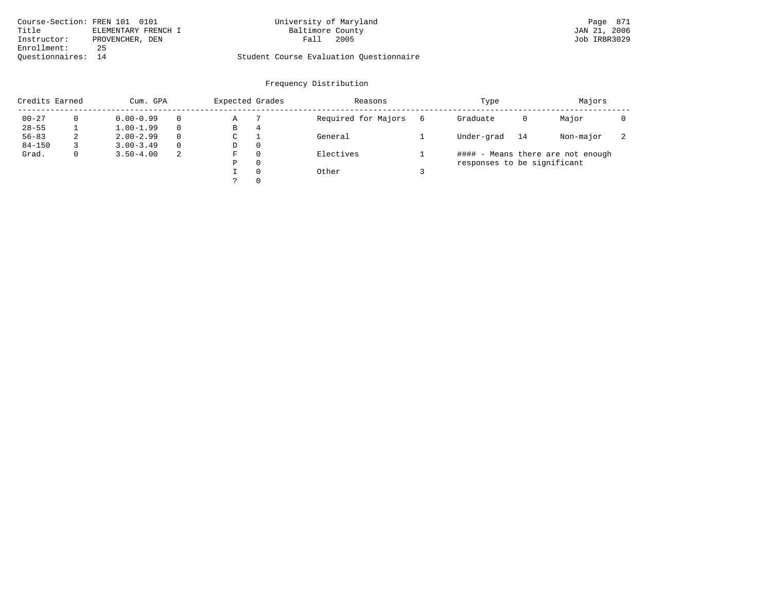| Course-Section: FREN 101 0101 |                     | University of Maryland                  | Page 871     |
|-------------------------------|---------------------|-----------------------------------------|--------------|
| Title                         | ELEMENTARY FRENCH I | Baltimore County                        | JAN 21, 2006 |
| Instructor:                   | PROVENCHER, DEN     | 2005<br>Fall                            | Job IRBR3029 |
| Enrollment:                   | 25                  |                                         |              |
| Ouestionnaires: 14            |                     | Student Course Evaluation Ouestionnaire |              |

# University of Maryland Page 871 Page 871 Daltimore County County

| Credits Earned |   | Cum. GPA      |          | Expected Grades |          | Reasons             | Type                        |    | Majors                            |                          |
|----------------|---|---------------|----------|-----------------|----------|---------------------|-----------------------------|----|-----------------------------------|--------------------------|
| $00 - 27$      |   | $0.00 - 0.99$ |          | Α               |          | Required for Majors | Graduate                    | 0  | Major                             |                          |
| $28 - 55$      |   | $1.00 - 1.99$ |          | В               | 4        |                     |                             |    |                                   |                          |
| $56 - 83$      | 2 | $2.00 - 2.99$ | $\Omega$ | C               |          | General             | Under-grad                  | 14 | Non-major                         | $\overline{\phantom{a}}$ |
| $84 - 150$     |   | $3.00 - 3.49$ | $\Omega$ | D               | $\Omega$ |                     |                             |    |                                   |                          |
| Grad.          | 0 | $3.50 - 4.00$ | -2       | F               | $\Omega$ | Electives           |                             |    | #### - Means there are not enough |                          |
|                |   |               |          | Ρ               | $\Omega$ |                     | responses to be significant |    |                                   |                          |
|                |   |               |          |                 | $\Omega$ | Other               |                             |    |                                   |                          |
|                |   |               |          |                 | $\Omega$ |                     |                             |    |                                   |                          |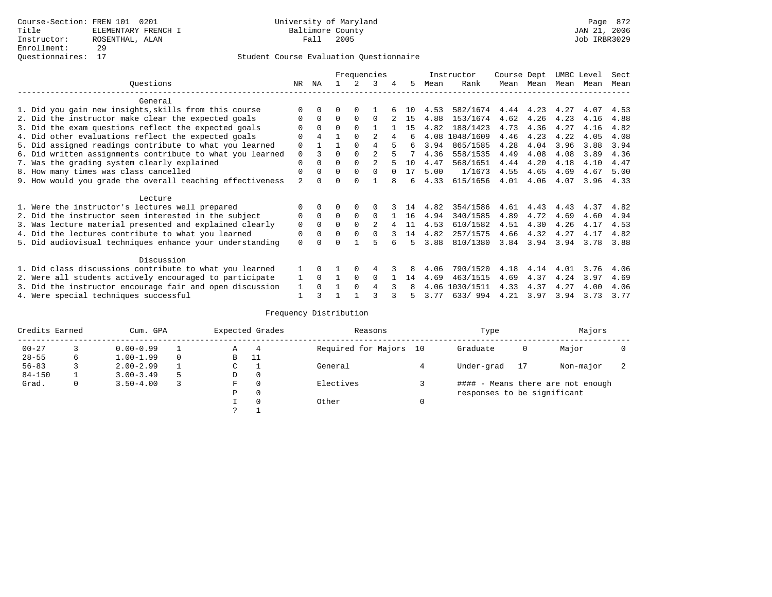|                                                           |                |                |          |          | Frequencies    |   |     |      | Instructor | Course Dept |           | UMBC Level |      | Sect |
|-----------------------------------------------------------|----------------|----------------|----------|----------|----------------|---|-----|------|------------|-------------|-----------|------------|------|------|
| Ouestions                                                 | NR.            | ΝA             |          |          | κ              |   | 5.  | Mean | Rank       |             | Mean Mean | Mean       | Mean | Mean |
| General                                                   |                |                |          |          |                |   |     |      |            |             |           |            |      |      |
| 1. Did you gain new insights, skills from this course     |                |                |          |          |                |   | 1 N | 4.53 | 582/1674   | 4.44        | 4.23      | 4.27       | 4.07 | 4.53 |
| 2. Did the instructor make clear the expected goals       | O              | $\Omega$       | 0        | $\Omega$ | $\Omega$       |   | 15  | 4.88 | 153/1674   | 4.62        | 4.26      | 4.23       | 4.16 | 4.88 |
| 3. Did the exam questions reflect the expected goals      |                | $\Omega$       | $\Omega$ | $\Omega$ |                |   | 15  | 4.82 | 188/1423   | 4.73        | 4.36      | 4.27       | 4.16 | 4.82 |
| 4. Did other evaluations reflect the expected goals       | O              | $\overline{4}$ |          | $\cap$   |                | 4 | б.  | 4.08 | 1048/1609  | 4.46        | 4.23      | 4.22       | 4.05 | 4.08 |
| 5. Did assigned readings contribute to what you learned   | $\mathbf 0$    |                |          | $\Omega$ | 4              |   | 6   | 3.94 | 865/1585   | 4.28        | 4.04      | 3.96       | 3.88 | 3.94 |
| 6. Did written assignments contribute to what you learned | $\mathbf 0$    |                | $\Omega$ |          | $\mathfrak{D}$ |   |     | 4.36 | 558/1535   | 4.49        | 4.08      | 4.08       | 3.89 | 4.36 |
| 7. Was the grading system clearly explained               | $\mathbf 0$    |                | $\Omega$ |          | $\mathfrak{D}$ |   | 10  | 4.47 | 568/1651   | 4.44        | 4.20      | 4.18       | 4.10 | 4.47 |
| 8. How many times was class cancelled                     | 0              | $\Omega$       | 0        | $\Omega$ |                |   | 17  | 5.00 | 1/1673     | 4.55        | 4.65      | 4.69       | 4.67 | 5.00 |
| 9. How would you grade the overall teaching effectiveness | $\mathfrak{D}$ |                |          |          |                |   | 6   | 4.33 | 615/1656   | 4.01        | 4.06      | 4.07       | 3.96 | 4.33 |
| Lecture                                                   |                |                |          |          |                |   |     |      |            |             |           |            |      |      |
| 1. Were the instructor's lectures well prepared           |                |                |          |          |                |   | 14  | 4.82 | 354/1586   | 4.61        | 4.43      | 4.43       | 4.37 | 4.82 |
| 2. Did the instructor seem interested in the subject      | 0              | $\Omega$       | $\Omega$ | $\Omega$ | $\Omega$       |   | 16  | 4.94 | 340/1585   | 4.89        | 4.72      | 4.69       | 4.60 | 4.94 |
| 3. Was lecture material presented and explained clearly   | 0              | $\Omega$       | 0        |          | $\mathfrak{D}$ |   | 11  | 4.53 | 610/1582   | 4.51        | 4.30      | 4.26       | 4.17 | 4.53 |
| 4. Did the lectures contribute to what you learned        | 0              | $\Omega$       | O        |          | $\Omega$       |   | 14  | 4.82 | 257/1575   | 4.66        | 4.32      | 4.27       | 4.17 | 4.82 |
| 5. Did audiovisual techniques enhance your understanding  | $\Omega$       |                |          |          |                |   | 5.  | 3.88 | 810/1380   | 3.84        | 3.94      | 3.94       | 3.78 | 3.88 |
| Discussion                                                |                |                |          |          |                |   |     |      |            |             |           |            |      |      |
| 1. Did class discussions contribute to what you learned   |                | 0              |          | $\Omega$ |                |   |     | 4.06 | 790/1520   | 4.18        | 4.14      | 4.01       | 3.76 | 4.06 |
| 2. Were all students actively encouraged to participate   |                | $\Omega$       |          | $\Omega$ | $\Omega$       |   | 14  | 4.69 | 463/1515   | 4.69        | 4.37      | 4.24       | 3.97 | 4.69 |
| 3. Did the instructor encourage fair and open discussion  | 1              | $\Omega$       |          | $\Omega$ |                |   |     | 4.06 | 1030/1511  | 4.33        | 4.37      | 4.27       | 4.00 | 4.06 |
| 4. Were special techniques successful                     |                |                |          |          |                |   |     | 3.77 | 633/994    | 4.21        | 3.97      | 3.94       | 3.73 | 3.77 |

| Credits Earned |   | Cum. GPA      |    |             | Expected Grades | Reasons                | Type                        |    | Majors                            |  |
|----------------|---|---------------|----|-------------|-----------------|------------------------|-----------------------------|----|-----------------------------------|--|
| $00 - 27$      |   | $0.00 - 0.99$ |    | А           | 4               | Required for Majors 10 | Graduate                    | 0  | Major                             |  |
| $28 - 55$      | 6 | $1.00 - 1.99$ |    | B           | -11             |                        |                             |    |                                   |  |
| $56 - 83$      |   | $2.00 - 2.99$ |    | $\sim$<br>J |                 | General                | Under-grad                  | 17 | Non-major                         |  |
| $84 - 150$     |   | $3.00 - 3.49$ | .5 | D           | 0               |                        |                             |    |                                   |  |
| Grad.          | 0 | $3.50 - 4.00$ |    | F           | 0               | Electives              |                             |    | #### - Means there are not enough |  |
|                |   |               |    | Ρ           | 0               |                        | responses to be significant |    |                                   |  |
|                |   |               |    |             | $\Omega$        | Other                  |                             |    |                                   |  |
|                |   |               |    | C           |                 |                        |                             |    |                                   |  |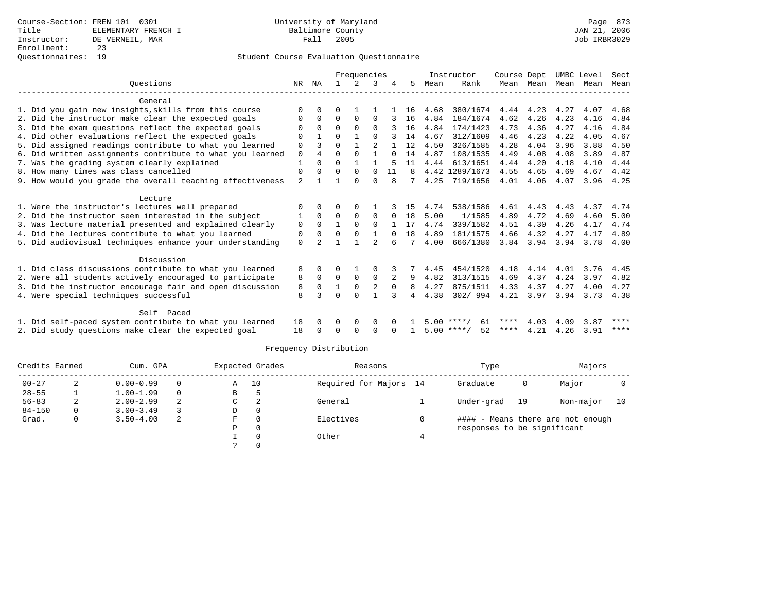|                                                           |                |              |              | Frequencies   |                |              |    |      | Instructor         | Course Dept |           | UMBC Level |      | Sect |
|-----------------------------------------------------------|----------------|--------------|--------------|---------------|----------------|--------------|----|------|--------------------|-------------|-----------|------------|------|------|
| Ouestions                                                 | NR             | ΝA           |              | $\mathcal{L}$ | 3              |              | 5  | Mean | Rank               |             | Mean Mean | Mean Mean  |      | Mean |
|                                                           |                |              |              |               |                |              |    |      |                    |             |           |            |      |      |
| General                                                   |                |              |              |               |                |              |    |      |                    |             |           |            |      |      |
| 1. Did you gain new insights, skills from this course     | 0              |              | U            |               |                |              | 16 | 4.68 | 380/1674           | 4.44        | 4.23      | 4.27       | 4.07 | 4.68 |
| 2. Did the instructor make clear the expected goals       | 0              | 0            | 0            | $\Omega$      | $\Omega$       |              | 16 | 4.84 | 184/1674           | 4.62        | 4.26      | 4.23       | 4.16 | 4.84 |
| 3. Did the exam questions reflect the expected goals      | 0              | $\Omega$     | $\Omega$     | $\Omega$      | $\Omega$       |              | 16 | 4.84 | 174/1423           | 4.73        | 4.36      | 4.27       | 4.16 | 4.84 |
| 4. Did other evaluations reflect the expected goals       | U              |              | U            |               | $\Omega$       |              | 14 | 4.67 | 312/1609           | 4.46        | 4.23      | 4.22       | 4.05 | 4.67 |
| 5. Did assigned readings contribute to what you learned   | 0              |              | $\Omega$     | $\mathbf{1}$  | $\overline{a}$ |              | 12 | 4.50 | 326/1585           | 4.28        | 4.04      | 3.96       | 3.88 | 4.50 |
| 6. Did written assignments contribute to what you learned | 0              | 4            | $\Omega$     | $\Omega$      | $\mathbf{1}$   |              | 14 | 4.87 | 108/1535           | 4.49        | 4.08      | 4.08       | 3.89 | 4.87 |
| 7. Was the grading system clearly explained               | $\mathbf{1}$   | 0            | 0            | $\mathbf{1}$  |                | 5            | 11 | 4.44 | 613/1651           | 4.44        | 4.20      | 4.18       | 4.10 | 4.44 |
| 8. How many times was class cancelled                     | 0              | $\Omega$     | 0            | $\Omega$      | $\Omega$       | 11           | 8  |      | 4.42 1289/1673     | 4.55        | 4.65      | 4.69       | 4.67 | 4.42 |
| 9. How would you grade the overall teaching effectiveness | $\overline{a}$ |              |              | $\Omega$      | 0              | 8            |    | 4.25 | 719/1656           | 4.01        | 4.06      | 4.07       | 3.96 | 4.25 |
|                                                           |                |              |              |               |                |              |    |      |                    |             |           |            |      |      |
| Lecture                                                   |                |              |              |               |                |              |    |      |                    |             |           |            |      |      |
| 1. Were the instructor's lectures well prepared           | 0              | <sup>0</sup> |              | $\Omega$      |                |              | 15 | 4.74 | 538/1586           | 4.61        | 4.43      | 4.43       | 4.37 | 4.74 |
| 2. Did the instructor seem interested in the subject      |                | $\Omega$     | $\Omega$     | $\Omega$      | $\Omega$       | $\Omega$     | 18 | 5.00 | 1/1585             | 4.89        | 4.72      | 4.69       | 4.60 | 5.00 |
| 3. Was lecture material presented and explained clearly   | 0              | $\Omega$     |              | $\Omega$      | $\Omega$       |              | 17 | 4.74 | 339/1582           | 4.51        | 4.30      | 4.26       | 4.17 | 4.74 |
| 4. Did the lectures contribute to what you learned        | $\mathbf 0$    | $\Omega$     | $\Omega$     | $\Omega$      |                |              | 18 | 4.89 | 181/1575           | 4.66        | 4.32      | 4.27       | 4.17 | 4.89 |
| 5. Did audiovisual techniques enhance your understanding  | 0              |              |              |               |                |              |    | 4.00 | 666/1380           | 3.84        | 3.94      | 3.94       | 3.78 | 4.00 |
| Discussion                                                |                |              |              |               |                |              |    |      |                    |             |           |            |      |      |
| 1. Did class discussions contribute to what you learned   | 8              | 0            | 0            |               | O              |              |    | 4.45 | 454/1520           | 4.18        | 4.14      | 4.01       | 3.76 | 4.45 |
| 2. Were all students actively encouraged to participate   | 8              | $\mathbf 0$  | 0            | 0             | $\Omega$       | 2            | 9  | 4.82 | 313/1515           | 4.69        | 4.37      | 4.24       | 3.97 | 4.82 |
| 3. Did the instructor encourage fair and open discussion  | 8              | $\Omega$     |              | $\Omega$      | $\overline{a}$ | $\Omega$     | 8  | 4.27 | 875/1511           | 4.33        | 4.37      | 4.27       | 4.00 | 4.27 |
| 4. Were special techniques successful                     | 8              |              |              | $\cap$        |                |              | 4  | 4.38 | 302/994            | 4.21        | 3.97      | 3.94       | 3.73 | 4.38 |
|                                                           |                |              |              |               |                |              |    |      |                    |             |           |            |      |      |
| Self Paced                                                |                |              |              |               |                |              |    |      |                    |             |           |            |      |      |
| 1. Did self-paced system contribute to what you learned   | 18             | 0            | 0            | $\Omega$      | 0              | <sup>n</sup> |    |      | $5.00$ ****/<br>61 | ****        | 4.03      | 4.09       | 3.87 | **** |
| 2. Did study questions make clear the expected goal       | 18             | $\Omega$     | <sup>0</sup> | $\Omega$      | 0              |              |    |      | 52<br>$5.00$ ****/ | ****        | 4.21      | 4.26       | 3.91 | **** |
|                                                           |                |              |              |               |                |              |    |      |                    |             |           |            |      |      |

| Credits Earned |   | Cum. GPA      |   |   | Expected Grades | Reasons                | Type                        |    | Majors                            |    |
|----------------|---|---------------|---|---|-----------------|------------------------|-----------------------------|----|-----------------------------------|----|
| $00 - 27$      |   | $0.00 - 0.99$ | 0 | A | 10              | Required for Majors 14 | Graduate                    | 0  | Major                             |    |
| $28 - 55$      |   | $1.00 - 1.99$ | 0 | B |                 |                        |                             |    |                                   |    |
| $56 - 83$      |   | $2.00 - 2.99$ |   | C |                 | General                | Under-grad                  | 19 | Non-major                         | 10 |
| $84 - 150$     | 0 | $3.00 - 3.49$ |   | D | 0               |                        |                             |    |                                   |    |
| Grad.          | 0 | $3.50 - 4.00$ | 2 | F |                 | Electives              |                             |    | #### - Means there are not enough |    |
|                |   |               |   | Ρ |                 |                        | responses to be significant |    |                                   |    |
|                |   |               |   |   |                 | Other                  |                             |    |                                   |    |
|                |   |               |   |   |                 |                        |                             |    |                                   |    |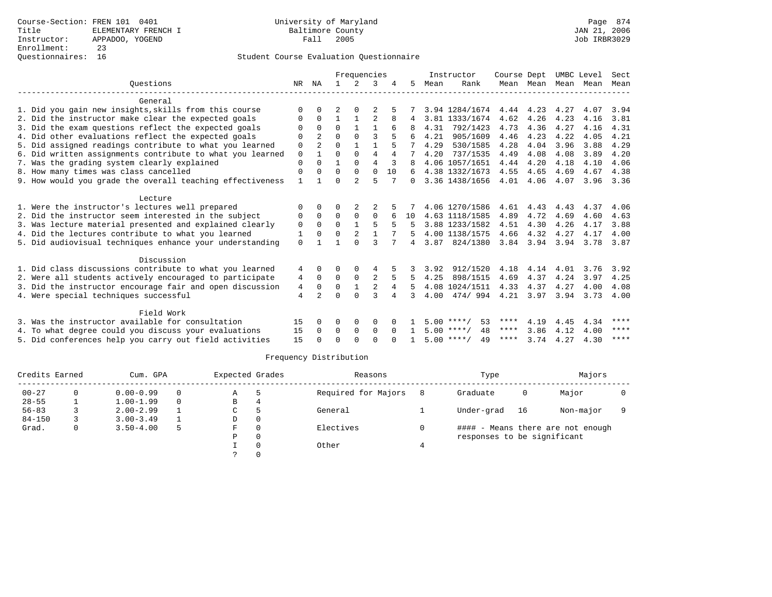|                                                           |              |                |          | Frequencies   |                |          |          |      | Instructor         | Course Dept |           | UMBC Level |      | Sect        |
|-----------------------------------------------------------|--------------|----------------|----------|---------------|----------------|----------|----------|------|--------------------|-------------|-----------|------------|------|-------------|
| Ouestions                                                 | NR           | ΝA             |          | 2             |                |          | 5.       | Mean | Rank               |             | Mean Mean | Mean Mean  |      | Mean        |
| General                                                   |              |                |          |               |                |          |          |      |                    |             |           |            |      |             |
| 1. Did you gain new insights, skills from this course     | $\Omega$     |                |          |               |                |          |          |      | 3.94 1284/1674     | 4.44        | 4.23      | 4.27       | 4.07 | 3.94        |
| 2. Did the instructor make clear the expected goals       | 0            | $\Omega$       |          |               |                | 8        |          |      | 3.81 1333/1674     | 4.62        | 4.26      | 4.23       | 4.16 | 3.81        |
| 3. Did the exam questions reflect the expected goals      | $\Omega$     | $\Omega$       | $\Omega$ |               |                |          |          | 4.31 | 792/1423           | 4.73        | 4.36      | 4.27       | 4.16 | 4.31        |
| 4. Did other evaluations reflect the expected goals       | $\Omega$     | $\overline{2}$ | $\Omega$ | $\Omega$      | ς              |          |          | 4.21 | 905/1609           | 4.46        | 4.23      | 4.22       | 4.05 | 4.21        |
| 5. Did assigned readings contribute to what you learned   | $\mathbf 0$  | $\overline{a}$ | $\Omega$ | 1             | $\mathbf{1}$   |          |          | 4.29 | 530/1585           | 4.28        | 4.04      | 3.96       | 3.88 | 4.29        |
| 6. Did written assignments contribute to what you learned | $\mathbf 0$  |                | $\Omega$ | $\Omega$      | 4              | 4        |          | 4.20 | 737/1535           | 4.49        | 4.08      | 4.08       | 3.89 | 4.20        |
| 7. Was the grading system clearly explained               | $\mathbf 0$  | $\Omega$       |          | $\Omega$      | $\overline{4}$ |          |          |      | 4.06 1057/1651     | 4.44        | 4.20      | 4.18       | 4.10 | 4.06        |
| 8. How many times was class cancelled                     | $\mathbf 0$  | $\Omega$       | $\Omega$ | $\Omega$      | $\Omega$       | 10       |          |      | 4.38 1332/1673     | 4.55        | 4.65      | 4.69       | 4.67 | 4.38        |
| 9. How would you grade the overall teaching effectiveness | $\mathbf{1}$ |                | U        | $\mathcal{D}$ | 5              |          | $\Omega$ |      | 3.36 1438/1656     | 4.01        | 4.06      | 4.07       | 3.96 | 3.36        |
|                                                           |              |                |          |               |                |          |          |      |                    |             |           |            |      |             |
| Lecture                                                   |              |                |          |               |                |          |          |      |                    |             |           |            |      |             |
| 1. Were the instructor's lectures well prepared           | 0            | 0              | 0        | 2             |                |          |          |      | 4.06 1270/1586     | 4.61        | 4.43      | 4.43       | 4.37 | 4.06        |
| 2. Did the instructor seem interested in the subject      | 0            | $\Omega$       | $\Omega$ | $\Omega$      | $\Omega$       |          | 10       |      | 4.63 1118/1585     | 4.89        | 4.72      | 4.69       | 4.60 | 4.63        |
| 3. Was lecture material presented and explained clearly   | $\mathbf 0$  | $\mathbf 0$    | $\Omega$ |               |                |          |          |      | 3.88 1233/1582     | 4.51        | 4.30      | 4.26       | 4.17 | 3.88        |
| 4. Did the lectures contribute to what you learned        | 1            | $\Omega$       | $\Omega$ |               |                |          |          |      | 4.00 1138/1575     | 4.66        | 4.32      | 4.27       | 4.17 | 4.00        |
| 5. Did audiovisual techniques enhance your understanding  | $\Omega$     |                |          |               | ς              |          | 4        | 3.87 | 824/1380           | 3.84        | 3.94      | 3.94       | 3.78 | 3.87        |
| Discussion                                                |              |                |          |               |                |          |          |      |                    |             |           |            |      |             |
| 1. Did class discussions contribute to what you learned   | 4            | $\Omega$       | O        | $\Omega$      | 4              |          |          | 3.92 | 912/1520           | 4.18        | 4.14      | 4.01       | 3.76 | 3.92        |
| 2. Were all students actively encouraged to participate   | 4            | $\Omega$       | $\Omega$ | $\mathbf 0$   | 2              | 5        | .5       | 4.25 | 898/1515           | 4.69        | 4.37      | 4.24       | 3.97 | 4.25        |
| 3. Did the instructor encourage fair and open discussion  | 4            | $\Omega$       | $\Omega$ |               |                | 4        |          |      | 4.08 1024/1511     | 4.33        | 4.37      | 4.27       | 4.00 | 4.08        |
| 4. Were special techniques successful                     | 4            | $\mathfrak{D}$ | $\Omega$ | $\cap$        | ς              |          | 3        | 4.00 | 474/994            | 4.21        | 3.97      | 3.94       | 3.73 | 4.00        |
|                                                           |              |                |          |               |                |          |          |      |                    |             |           |            |      |             |
| Field Work                                                |              |                |          |               |                |          |          |      |                    |             |           |            |      |             |
| 3. Was the instructor available for consultation          | 15           | $\Omega$       | $\Omega$ | 0             | $\Omega$       |          |          |      | $5.00$ ****/<br>53 | ****        | 4.19      | 4.45       | 4.34 | ****        |
| 4. To what degree could you discuss your evaluations      | 15           | $\Omega$       | 0        | $\mathbf 0$   | $\mathbf 0$    | $\Omega$ |          |      | $5.00$ ****/<br>48 | $***$ * *   | 3.86      | 4.12       | 4.00 | ****        |
| 5. Did conferences help you carry out field activities    | 15           |                | U        | $\cap$        | $\cap$         |          |          |      | $5.00$ ****/<br>49 | ****        | 3.74      | 4.27       | 4.30 | $***$ * * * |
|                                                           |              |                |          |               |                |          |          |      |                    |             |           |            |      |             |

| Credits Earned |          | Cum. GPA      |          | Expected Grades |          | Reasons             |    | Type                        |    | Majors                            |  |
|----------------|----------|---------------|----------|-----------------|----------|---------------------|----|-----------------------------|----|-----------------------------------|--|
| $00 - 27$      |          | $0.00 - 0.99$ | $\Omega$ | Α               |          | Required for Majors | -8 | Graduate                    | 0  | Major                             |  |
| $28 - 55$      |          | $1.00 - 1.99$ | $\Omega$ | В               | 4        |                     |    |                             |    |                                   |  |
| $56 - 83$      |          | $2.00 - 2.99$ |          | C               |          | General             |    | Under-grad                  | 16 | Non-major                         |  |
| $84 - 150$     |          | $3.00 - 3.49$ |          | D               | 0        |                     |    |                             |    |                                   |  |
| Grad.          | $\Omega$ | $3.50 - 4.00$ | 5        | F.              | $\Omega$ | Electives           |    |                             |    | #### - Means there are not enough |  |
|                |          |               |          | Ρ               | $\Omega$ |                     |    | responses to be significant |    |                                   |  |
|                |          |               |          |                 |          | Other               |    |                             |    |                                   |  |
|                |          |               |          |                 |          |                     |    |                             |    |                                   |  |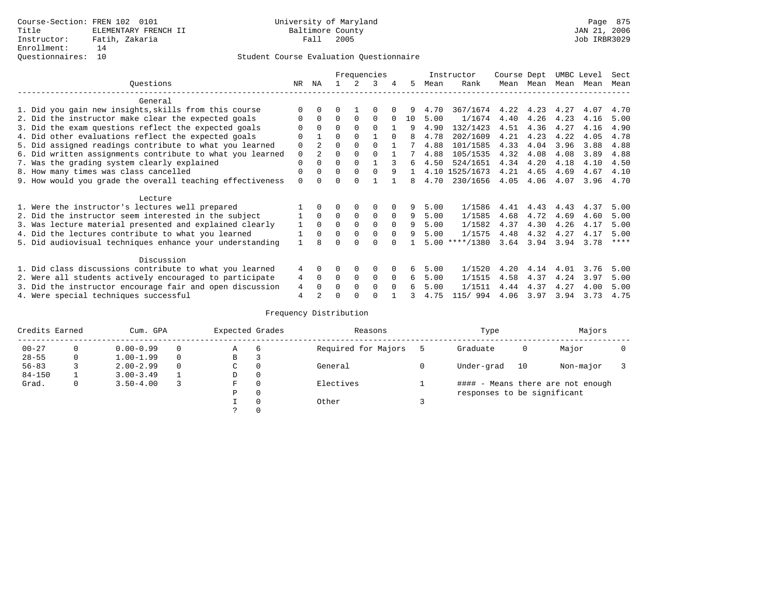|                                                           |             |                |          |             | Frequencies |          |    |      | Instructor     | Course Dept |           | UMBC Level |      | Sect |
|-----------------------------------------------------------|-------------|----------------|----------|-------------|-------------|----------|----|------|----------------|-------------|-----------|------------|------|------|
| Ouestions                                                 | NR.         | ΝA             |          |             | 3           |          | 5. | Mean | Rank           |             | Mean Mean | Mean       | Mean | Mean |
| General                                                   |             |                |          |             |             |          |    |      |                |             |           |            |      |      |
| 1. Did you gain new insights, skills from this course     |             | $\Omega$       | O        |             | 0           |          |    | 4.70 | 367/1674       | 4.22        | 4.23      | 4.27       | 4.07 | 4.70 |
| 2. Did the instructor make clear the expected goals       | O           | $\Omega$       | $\Omega$ | $\Omega$    | $\Omega$    |          | 10 | 5.00 | 1/1674         | 4.40        | 4.26      | 4.23       | 4.16 | 5.00 |
| 3. Did the exam questions reflect the expected goals      |             | $\Omega$       | $\Omega$ | $\Omega$    | $\Omega$    |          | 9  | 4.90 | 132/1423       | 4.51        | 4.36      | 4.27       | 4.16 | 4.90 |
| 4. Did other evaluations reflect the expected goals       | $\Omega$    |                | $\Omega$ | $\Omega$    |             | $\Omega$ | 8  | 4.78 | 202/1609       | 4.21        | 4.23      | 4.22       | 4.05 | 4.78 |
| 5. Did assigned readings contribute to what you learned   | $\mathbf 0$ | $\mathfrak{D}$ | $\Omega$ | $\Omega$    | $\Omega$    |          |    | 4.88 | 101/1585       | 4.33        | 4.04      | 3.96       | 3.88 | 4.88 |
| 6. Did written assignments contribute to what you learned | $\mathbf 0$ | $\mathfrak{D}$ | $\Omega$ | $\Omega$    | $\Omega$    |          |    | 4.88 | 105/1535       | 4.32        | 4.08      | 4.08       | 3.89 | 4.88 |
| 7. Was the grading system clearly explained               | $\Omega$    |                | 0        | $\Omega$    |             |          | 6  | 4.50 | 524/1651       | 4.34        | 4.20      | 4.18       | 4.10 | 4.50 |
| 8. How many times was class cancelled                     | 0           | $\Omega$       | $\Omega$ | $\Omega$    |             | 9        |    |      | 4.10 1525/1673 | 4.21        | 4.65      | 4.69       | 4.67 | 4.10 |
| 9. How would you grade the overall teaching effectiveness | $\Omega$    | <sup>n</sup>   | ∩        | ∩           |             |          | 8  | 4.70 | 230/1656       | 4.05        | 4.06      | 4.07       | 3.96 | 4.70 |
| Lecture                                                   |             |                |          |             |             |          |    |      |                |             |           |            |      |      |
| 1. Were the instructor's lectures well prepared           |             |                |          | $\Omega$    | $\Omega$    |          | 9  | 5.00 | 1/1586         | 4.41        | 4.43      | 4.43       | 4.37 | 5.00 |
| 2. Did the instructor seem interested in the subject      |             | $\Omega$       | $\Omega$ | $\Omega$    | $\Omega$    | $\Omega$ | 9  | 5.00 | 1/1585         | 4.68        | 4.72      | 4.69       | 4.60 | 5.00 |
| 3. Was lecture material presented and explained clearly   |             | $\Omega$       | $\Omega$ | $\Omega$    | $\Omega$    | $\Omega$ | 9  | 5.00 | 1/1582         | 4.37        | 4.30      | 4.26       | 4.17 | 5.00 |
| 4. Did the lectures contribute to what you learned        |             | $\Omega$       | $\Omega$ | $\Omega$    | $\mathbf 0$ | $\Omega$ | 9  | 5.00 | 1/1575         | 4.48        | 4.32      | 4.27       | 4.17 | 5.00 |
| 5. Did audiovisual techniques enhance your understanding  |             |                |          |             | ∩           |          |    | 5.00 | $***/1380$     | 3.64        | 3.94      | 3.94       | 3.78 | **** |
| Discussion                                                |             |                |          |             |             |          |    |      |                |             |           |            |      |      |
| 1. Did class discussions contribute to what you learned   | 4           | $\Omega$       | 0        | $\Omega$    | $\Omega$    |          | 6  | 5.00 | 1/1520         | 4.20        | 4.14      | 4.01       | 3.76 | 5.00 |
| 2. Were all students actively encouraged to participate   |             |                | $\Omega$ | $\mathbf 0$ | $\mathbf 0$ | $\Omega$ | б. | 5.00 | 1/1515         | 4.58        | 4.37      | 4.24       | 3.97 | 5.00 |
| 3. Did the instructor encourage fair and open discussion  | 4           | $\Omega$       | 0        | $\Omega$    | $\Omega$    | $\Omega$ |    | 5.00 | 1/1511         | 4.44        | 4.37      | 4.27       | 4.00 | 5.00 |
| 4. Were special techniques successful                     | 4           |                |          |             |             |          |    | 4.75 | 115/ 994       | 4.06        | 3.97      | 3.94       | 3.73 | 4.75 |

| Credits Earned |   | Cum. GPA      |          | Expected Grades |          | Reasons             | Type                        |    | Majors                            |  |
|----------------|---|---------------|----------|-----------------|----------|---------------------|-----------------------------|----|-----------------------------------|--|
| $00 - 27$      |   | $0.00 - 0.99$ |          | Α               | -6       | Required for Majors | Graduate                    | 0  | Major                             |  |
| $28 - 55$      | 0 | $1.00 - 1.99$ | $\Omega$ | В               |          |                     |                             |    |                                   |  |
| $56 - 83$      |   | $2.00 - 2.99$ | $\Omega$ | C               | $\Omega$ | General             | Under-grad                  | 10 | Non-major                         |  |
| $84 - 150$     |   | $3.00 - 3.49$ |          | D               | $\Omega$ |                     |                             |    |                                   |  |
| Grad.          | 0 | $3.50 - 4.00$ |          | F               | $\Omega$ | Electives           |                             |    | #### - Means there are not enough |  |
|                |   |               |          | Ρ               | $\Omega$ |                     | responses to be significant |    |                                   |  |
|                |   |               |          |                 | $\Omega$ | Other               |                             |    |                                   |  |
|                |   |               |          | っ               | $\Omega$ |                     |                             |    |                                   |  |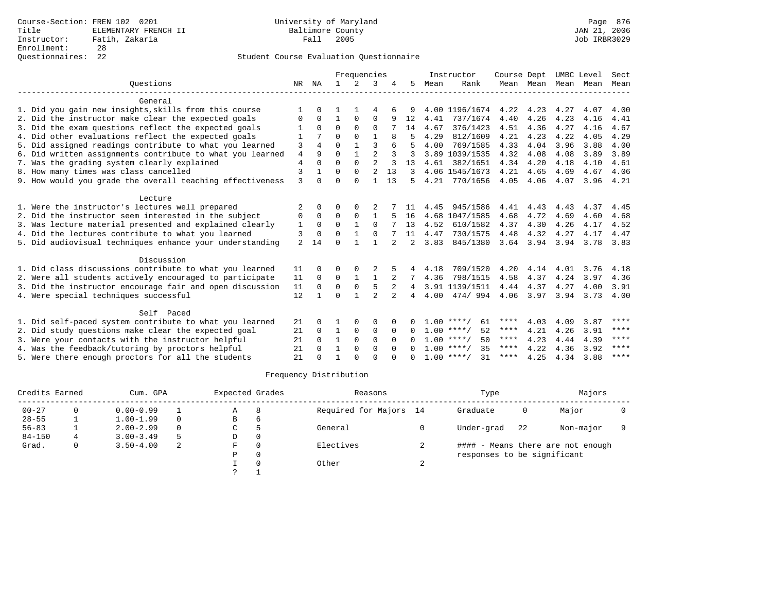|                                                           |                |                |              | Frequencies  |                |                |                |      | Instructor         | Course Dept |           |           | UMBC Level | Sect |
|-----------------------------------------------------------|----------------|----------------|--------------|--------------|----------------|----------------|----------------|------|--------------------|-------------|-----------|-----------|------------|------|
| Ouestions                                                 | NR             | ΝA             | $\mathbf{1}$ | 2            | 3              |                | 5              | Mean | Rank               |             | Mean Mean | Mean Mean |            | Mean |
| General                                                   |                |                |              |              |                |                |                |      |                    |             |           |           |            |      |
| 1. Did you gain new insights, skills from this course     |                | $\Omega$       |              |              | 4              | 6              | 9              |      | 4.00 1196/1674     | 4.22        | 4.23      | 4.27      | 4.07       | 4.00 |
| 2. Did the instructor make clear the expected goals       | 0              | $\Omega$       | $\mathbf{1}$ | $\Omega$     | 0              | 9              | 12             | 4.41 | 737/1674           | 4.40        | 4.26      | 4.23      | 4.16       | 4.41 |
| 3. Did the exam questions reflect the expected goals      |                | $\Omega$       | $\Omega$     | $\Omega$     | $\Omega$       |                | 14             | 4.67 | 376/1423           | 4.51        | 4.36      | 4.27      | 4.16       | 4.67 |
| 4. Did other evaluations reflect the expected goals       | $\mathbf{1}$   |                | U            | $\Omega$     | $\mathbf{1}$   | 8              |                | 4.29 | 812/1609           | 4.21        | 4.23      | 4.22      | 4.05       | 4.29 |
| 5. Did assigned readings contribute to what you learned   | 3              | 4              | $\Omega$     | $\mathbf{1}$ | 3              | 6              |                | 4.00 | 769/1585           | 4.33        | 4.04      | 3.96      | 3.88       | 4.00 |
| 6. Did written assignments contribute to what you learned | $\overline{4}$ | 9              | $\Omega$     | $\mathbf{1}$ | $\overline{a}$ |                | 3              |      | 3.89 1039/1535     | 4.32        | 4.08      | 4.08      | 3.89       | 3.89 |
| 7. Was the grading system clearly explained               | $\overline{4}$ | $\Omega$       | $\Omega$     | $\Omega$     | $\overline{a}$ |                | 13             | 4.61 | 382/1651           | 4.34        | 4.20      | 4.18      | 4.10       | 4.61 |
| 8. How many times was class cancelled                     | 3              | $\mathbf{1}$   | $\Omega$     | $\Omega$     | $\overline{2}$ | 13             | 3              |      | 4.06 1545/1673     | 4.21        | 4.65      | 4.69      | 4.67       | 4.06 |
| 9. How would you grade the overall teaching effectiveness | $\mathbf{3}$   | $\Omega$       | U            | $\Omega$     | $\mathbf{1}$   | 13             | 5              | 4.21 | 770/1656           | 4.05        | 4.06      | 4.07      | 3.96       | 4.21 |
| Lecture                                                   |                |                |              |              |                |                |                |      |                    |             |           |           |            |      |
| 1. Were the instructor's lectures well prepared           | 2              | $\Omega$       | 0            | $\Omega$     | 2              |                |                | 4.45 | 945/1586           | 4.41        | 4.43      | 4.43      | 4.37       | 4.45 |
| 2. Did the instructor seem interested in the subject      | 0              | $\mathbf 0$    | 0            | $\mathbf 0$  | $\mathbf{1}$   | 5              | 16             |      | 4.68 1047/1585     | 4.68        | 4.72      | 4.69      | 4.60       | 4.68 |
| 3. Was lecture material presented and explained clearly   | 1              | $\Omega$       | $\Omega$     | $\mathbf{1}$ | $\Omega$       |                | 13             | 4.52 | 610/1582           | 4.37        | 4.30      | 4.26      | 4.17       | 4.52 |
| 4. Did the lectures contribute to what you learned        | 3              | $\Omega$       | U            | $\mathbf{1}$ | $\Omega$       |                | 11             | 4.47 | 730/1575           | 4.48        | 4.32      | 4.27      | 4.17       | 4.47 |
| 5. Did audiovisual techniques enhance your understanding  | $\overline{a}$ | 14             | U            |              |                |                | $\mathfrak{D}$ | 3.83 | 845/1380           | 3.64        | 3.94      | 3.94      | 3.78       | 3.83 |
| Discussion                                                |                |                |              |              |                |                |                |      |                    |             |           |           |            |      |
| 1. Did class discussions contribute to what you learned   | 11             | $\Omega$       | U            | $\Omega$     | 2              |                | 4              | 4.18 | 709/1520           | 4.20        | 4.14      | 4.01      | 3.76       | 4.18 |
| 2. Were all students actively encouraged to participate   | 11             | $\Omega$       | $\Omega$     | $\mathbf{1}$ | 1              |                | 7              | 4.36 | 798/1515           | 4.58        | 4.37      | 4.24      | 3.97       | 4.36 |
| 3. Did the instructor encourage fair and open discussion  | 11             | $\mathbf 0$    | $\Omega$     | $\mathbf 0$  | 5              | $\overline{2}$ | 4              |      | 3.91 1139/1511     | 4.44        | 4.37      | 4.27      | 4.00       | 3.91 |
| 4. Were special techniques successful                     | 12             | $\overline{1}$ | $\Omega$     | $\mathbf{1}$ | $\overline{a}$ | $\overline{a}$ | 4              | 4.00 | 474/994            | 4.06        | 3.97      | 3.94      | 3.73       | 4.00 |
| Self Paced                                                |                |                |              |              |                |                |                |      |                    |             |           |           |            |      |
| 1. Did self-paced system contribute to what you learned   | 21             | $\Omega$       |              | $\Omega$     | $\Omega$       | <sup>n</sup>   | 0              |      | $1.00$ ****/<br>61 | ****        | 4.03      | 4.09      | 3.87       | **** |
| 2. Did study questions make clear the expected goal       | 21             | $\Omega$       | $\mathbf{1}$ | $\mathbf 0$  | 0              | $\Omega$       | $\Omega$       |      | $1.00$ ****/<br>52 | ****        | 4.21      | 4.26      | 3.91       | **** |
| 3. Were your contacts with the instructor helpful         | 21             | $\Omega$       | $\mathbf{1}$ | $\mathbf 0$  | 0              | $\Omega$       | $\Omega$       |      | $1.00$ ****/<br>50 | ****        | 4.23      | 4.44      | 4.39       | **** |
| 4. Was the feedback/tutoring by proctors helpful          | 21             | $\Omega$       | $\mathbf{1}$ | $\Omega$     | $\Omega$       | $\Omega$       | $\Omega$       |      | $1.00$ ****/<br>35 | $***$ * *   | 4.22      | 4.36      | 3.92       | **** |
| 5. Were there enough proctors for all the students        | 21             |                | -1           | $\cap$       | U              |                |                |      | $1.00$ ****/<br>31 | ****        | 4.25      | 4.34      | 3.88       | **** |

|            | Credits Earned<br>Cum. GPA |               | Expected Grades |               |          | Reasons                |    | Type                        |    | Majors                            |  |
|------------|----------------------------|---------------|-----------------|---------------|----------|------------------------|----|-----------------------------|----|-----------------------------------|--|
| $00 - 27$  |                            | $0.00 - 0.99$ |                 | Α             | 8        | Required for Majors 14 |    | Graduate                    | 0  | Major                             |  |
| $28 - 55$  |                            | $1.00 - 1.99$ |                 | B             | 6        |                        |    |                             |    |                                   |  |
| $56 - 83$  |                            | $2.00 - 2.99$ |                 | C             | 5        | General                |    | Under-grad                  | 22 | Non-major                         |  |
| $84 - 150$ | 4                          | $3.00 - 3.49$ | 5               | D             | $\Omega$ |                        |    |                             |    |                                   |  |
| Grad.      | 0                          | $3.50 - 4.00$ | 2               | F.            | $\Omega$ | Electives              |    |                             |    | #### - Means there are not enough |  |
|            |                            |               |                 | P             | $\Omega$ |                        |    | responses to be significant |    |                                   |  |
|            |                            |               |                 |               |          | Other                  | z. |                             |    |                                   |  |
|            |                            |               |                 | $\mathcal{L}$ |          |                        |    |                             |    |                                   |  |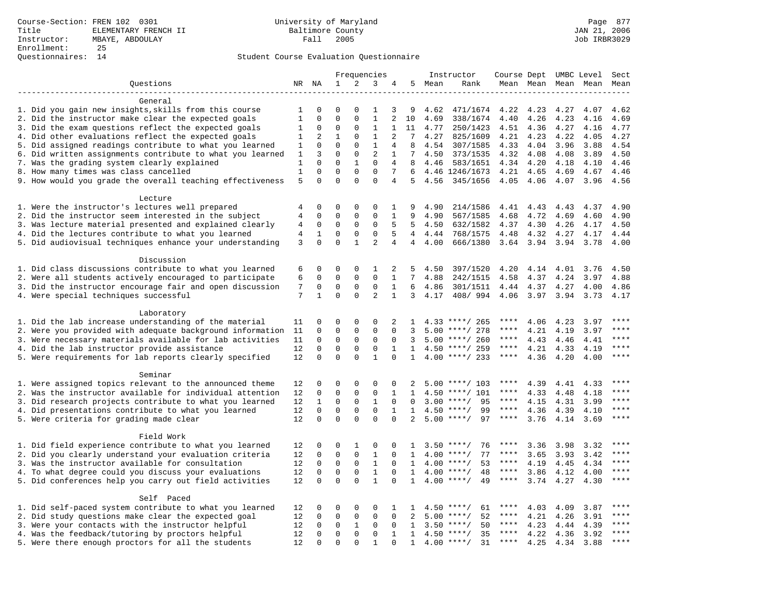|                                                           | Frequencies    |              |              |              | Instructor                  | Course Dept UMBC Level |                 |      |                    | Sect        |                     |      |      |         |
|-----------------------------------------------------------|----------------|--------------|--------------|--------------|-----------------------------|------------------------|-----------------|------|--------------------|-------------|---------------------|------|------|---------|
| Questions                                                 |                | NR NA        | $\mathbf 1$  | 2            | 3                           | 4                      | 5               | Mean | Rank               |             | Mean Mean Mean Mean |      |      | Mean    |
|                                                           |                |              |              |              |                             |                        |                 |      |                    |             |                     |      |      |         |
| General                                                   |                |              |              |              |                             |                        |                 |      |                    |             |                     |      |      |         |
| 1. Did you gain new insights, skills from this course     | 1              | $\Omega$     | $\mathbf 0$  | $\Omega$     | 1                           | 3                      | 9               | 4.62 | 471/1674           | 4.22        | 4.23                | 4.27 | 4.07 | 4.62    |
| 2. Did the instructor make clear the expected goals       | $\mathbf{1}$   | $\mathbf 0$  | $\mathbf{0}$ | $\Omega$     | $\mathbf{1}$                | $\overline{2}$         | 10              | 4.69 | 338/1674           | 4.40        | 4.26                | 4.23 | 4.16 | 4.69    |
| 3. Did the exam questions reflect the expected goals      | 1              | $\Omega$     | $\Omega$     | $\Omega$     | 1                           | $\mathbf{1}$           | 11              | 4.77 | 250/1423           | 4.51        | 4.36                | 4.27 | 4.16 | 4.77    |
| 4. Did other evaluations reflect the expected goals       | 1              | 2            | $\mathbf{1}$ | $\mathbf 0$  | $\mathbf{1}$                | 2                      | $7\phantom{.0}$ | 4.27 | 825/1609           | 4.21        | 4.23                | 4.22 | 4.05 | 4.27    |
| 5. Did assigned readings contribute to what you learned   | $\mathbf{1}$   | $\mathbf 0$  | $\mathbf{0}$ | $\mathbf 0$  | $\mathbf{1}$                | $\overline{4}$         | 8               | 4.54 | 307/1585           | 4.33        | 4.04                | 3.96 | 3.88 | 4.54    |
| 6. Did written assignments contribute to what you learned | 1              | 3            | $\mathbf 0$  | $\mathbf 0$  | $\overline{2}$              | 1                      | 7               | 4.50 | 373/1535           | 4.32        | 4.08                | 4.08 | 3.89 | 4.50    |
| 7. Was the grading system clearly explained               | 1              | $\Omega$     | $\Omega$     | $\mathbf{1}$ | $\Omega$                    | 4                      | 8               | 4.46 | 583/1651           | 4.34        | 4.20                | 4.18 | 4.10 | 4.46    |
| 8. How many times was class cancelled                     | $\mathbf{1}$   | $\mathbf 0$  | $\mathbf{0}$ | $\mathbf 0$  | $\Omega$                    | 7                      | 6               |      | 4.46 1246/1673     | 4.21        | 4.65                | 4.69 | 4.67 | 4.46    |
| 9. How would you grade the overall teaching effectiveness | 5              | $\Omega$     | $\Omega$     | $\Omega$     | $\Omega$                    | 4                      | 5               | 4.56 | 345/1656           | 4.05        | 4.06                | 4.07 | 3.96 | 4.56    |
|                                                           |                |              |              |              |                             |                        |                 |      |                    |             |                     |      |      |         |
| Lecture                                                   |                |              |              |              |                             |                        |                 |      |                    |             |                     |      |      |         |
| 1. Were the instructor's lectures well prepared           | 4              | 0            | $\mathbf 0$  | $\mathbf 0$  | $\mathbf 0$                 | 1                      | 9               | 4.90 | 214/1586           | 4.41        | 4.43                | 4.43 | 4.37 | 4.90    |
| 2. Did the instructor seem interested in the subject      | 4              | 0            | $\mathbf 0$  | $\mathbf 0$  | $\mathbf 0$<br>$\mathbf{0}$ | 1<br>5                 | 9<br>5          | 4.90 | 567/1585           | 4.68        | 4.72                | 4.69 | 4.60 | 4.90    |
| 3. Was lecture material presented and explained clearly   | 4              | 0            | $\mathbf 0$  | 0            |                             |                        |                 | 4.50 | 632/1582           | 4.37        | 4.30                | 4.26 | 4.17 | 4.50    |
| 4. Did the lectures contribute to what you learned        | $\overline{4}$ | $\mathbf{1}$ | $\mathbf{0}$ | $\Omega$     | $\Omega$                    | 5                      | $\overline{4}$  | 4.44 | 768/1575           | 4.48        | 4.32                | 4.27 | 4.17 | 4.44    |
| 5. Did audiovisual techniques enhance your understanding  | 3              | $\mathbf 0$  | $\mathbf 0$  | $\mathbf{1}$ | $\overline{2}$              | $\overline{4}$         | $\overline{4}$  | 4.00 | 666/1380           | 3.64        | 3.94                | 3.94 | 3.78 | 4.00    |
| Discussion                                                |                |              |              |              |                             |                        |                 |      |                    |             |                     |      |      |         |
| 1. Did class discussions contribute to what you learned   | 6              | 0            | $\mathbf 0$  | $\mathbf 0$  | 1                           | 2                      | 5               | 4.50 | 397/1520           | 4.20        | 4.14                | 4.01 | 3.76 | 4.50    |
| 2. Were all students actively encouraged to participate   | 6              | $\mathbf 0$  | $\mathbf 0$  | $\mathbf 0$  | $\Omega$                    | $\mathbf{1}$           | $7^{\circ}$     | 4.88 | 242/1515           | 4.58        | 4.37                | 4.24 | 3.97 | 4.88    |
| 3. Did the instructor encourage fair and open discussion  | 7              | $\mathbf 0$  | $\mathbf{0}$ | $\mathbf 0$  | $\mathbf{0}$                | $\mathbf{1}$           | 6               | 4.86 | 301/1511           | 4.44        | 4.37                | 4.27 | 4.00 | 4.86    |
| 4. Were special techniques successful                     | 7              | $\mathbf{1}$ | $\Omega$     | $\Omega$     | $\overline{a}$              | $\mathbf{1}$           | 3               | 4.17 | 408/994            | 4.06        | 3.97                | 3.94 | 3.73 | 4.17    |
|                                                           |                |              |              |              |                             |                        |                 |      |                    |             |                     |      |      |         |
| Laboratory                                                |                |              |              |              |                             |                        |                 |      |                    |             |                     |      |      |         |
| 1. Did the lab increase understanding of the material     | 11             | 0            | $\mathbf 0$  | $\mathbf 0$  | $\mathbf 0$                 | 2                      | -1.             |      | $4.33$ ****/ 265   | ****        | 4.06                | 4.23 | 3.97 |         |
| 2. Were you provided with adequate background information | 11             | $\mathbf 0$  | $\mathbf{0}$ | $\mathbf 0$  | $\mathbf{0}$                | $\Omega$               | 3               | 5.00 | ****/ 278          | ****        | 4.21                | 4.19 | 3.97 | ****    |
| 3. Were necessary materials available for lab activities  | 11             | $\mathbf 0$  | $\mathbf{0}$ | $\Omega$     | $\Omega$                    | $\Omega$               | 3               |      | $5.00$ ****/ 260   | $***$ * * * | 4.43                | 4.46 | 4.41 | $***$   |
| 4. Did the lab instructor provide assistance              | 12             | $\mathbf 0$  | $\mathbf{0}$ | $\mathbf 0$  | $\mathbf{0}$                | $\mathbf 1$            | 1               |      | 4.50 ****/ 259     | ****        | 4.21                | 4.33 | 4.19 | $***$   |
| 5. Were requirements for lab reports clearly specified    | 12             | $\mathbf 0$  | $\mathbf{0}$ | $\Omega$     | $\mathbf{1}$                | $\Omega$               | $\mathbf{1}$    |      | $4.00$ ****/ 233   | $***$ * *   | 4.36                | 4.20 | 4.00 | ****    |
|                                                           |                |              |              |              |                             |                        |                 |      |                    |             |                     |      |      |         |
| Seminar                                                   |                |              |              |              |                             |                        |                 |      |                    |             |                     |      |      |         |
| 1. Were assigned topics relevant to the announced theme   | 12             | 0            | $\mathbf{0}$ | $\mathbf 0$  | $\mathbf 0$                 | 0                      |                 |      | $5.00$ ****/ 103   | $***$ * * * | 4.39                | 4.41 | 4.33 | ****    |
| 2. Was the instructor available for individual attention  | 12             | 0            | $\mathbf 0$  | $\mathbf 0$  | $\mathbf{0}$                | 1                      | $\mathbf{1}$    | 4.50 | $***/101$          | ****        | 4.33                | 4.48 | 4.18 | ****    |
| 3. Did research projects contribute to what you learned   | 12             | $\mathbf{1}$ | $\mathbf 0$  | $\mathsf 0$  | $\mathbf{1}$                | $\mathbf 0$            | $\mathbf 0$     | 3.00 | $***$ /<br>95      | $***$ * * * | 4.15                | 4.31 | 3.99 | ****    |
| 4. Did presentations contribute to what you learned       | 12             | $\mathbf 0$  | $\mathbf{0}$ | $\mathbf 0$  | $\mathbf 0$                 | $\mathbf{1}$           | 1               | 4.50 | 99<br>$***/$       | $***$ * * * | 4.36                | 4.39 | 4.10 | $***$   |
| 5. Were criteria for grading made clear                   | 12             | $\mathbf 0$  | $\mathbf{0}$ | $\Omega$     | $\mathbf 0$                 | $\Omega$               | 2               |      | $5.00$ ****/<br>97 | $***$ * * * | 3.76                | 4.14 | 3.69 | $***$   |
|                                                           |                |              |              |              |                             |                        |                 |      |                    |             |                     |      |      |         |
| Field Work                                                |                |              |              |              |                             |                        |                 |      |                    |             |                     |      |      |         |
| 1. Did field experience contribute to what you learned    | 12             | 0            | $\mathbf 0$  | 1            | $\mathbf 0$                 | $\Omega$               | $\mathbf{1}$    |      | $3.50$ ****/<br>76 | ****        | 3.36                | 3.98 | 3.32 | * * * * |
| 2. Did you clearly understand your evaluation criteria    | 12             | $\Omega$     | $\mathbf 0$  | $\Omega$     | $\mathbf{1}$                | $\Omega$               | $\mathbf{1}$    | 4.00 | 77<br>$***/$       | ****        | 3.65                | 3.93 | 3.42 | $***$   |
| 3. Was the instructor available for consultation          | 12             | $\mathbf 0$  | $\mathsf 0$  | $\mathsf{O}$ | $\mathbf{1}$                | 0                      | 1               | 4.00 | $***/$<br>53       | $***$ * *   | 4.19                | 4.45 | 4.34 | $***$   |
| 4. To what degree could you discuss your evaluations      | 12             | 0            | $\mathbf{0}$ | $\mathbf 0$  | $\mathbf{1}$                | $\mathbf 0$            | 1               |      | $4.00$ ****/<br>48 | $***$ * * * | 3.86                | 4.12 | 4.00 | $***$   |
| 5. Did conferences help you carry out field activities    | 12             | $\Omega$     | $\Omega$     | $\Omega$     | $\mathbf{1}$                | $\Omega$               | 1               | 4.00 | 49<br>$***/$       | $***$ * * * | 3.74                | 4.27 | 4.30 | $***$   |
|                                                           |                |              |              |              |                             |                        |                 |      |                    |             |                     |      |      |         |
| Self Paced                                                |                |              |              |              |                             |                        |                 |      |                    |             |                     |      |      |         |
| 1. Did self-paced system contribute to what you learned   | 12             | 0            | $\mathbf 0$  | $\mathbf 0$  | 0                           | 1                      | $\mathbf{1}$    |      | 61<br>$4.50$ ****/ | ****        | 4.03                | 4.09 | 3.87 | ****    |
| 2. Did study questions make clear the expected goal       | 12             | $\mathbf 0$  | $\mathbf{0}$ | $\mathsf{O}$ | $\mathbf{0}$                | $\mathbf 0$            | 2               | 5.00 | $***$ /<br>52      | $***$ * * * | 4.21                | 4.26 | 3.91 | $***$   |
| 3. Were your contacts with the instructor helpful         | 12             | 0            | 0            | 1            | 0                           | 0                      | 1               | 3.50 | 50<br>$***$ /      | ****        | 4.23                | 4.44 | 4.39 | ****    |
| 4. Was the feedback/tutoring by proctors helpful          | 12             | 0            | $\mathbf{0}$ | $\mathbf 0$  | $\mathbf{0}$                | $\mathbf{1}$           | $\mathbf{1}$    | 4.50 | $***/$<br>35       | ****        | 4.22                | 4.36 | 3.92 | ****    |
| 5. Were there enough proctors for all the students        | 12             | $\Omega$     | $\mathbf{0}$ | $\Omega$     | $\mathbf{1}$                | $\Omega$               | $\mathbf{1}$    |      | $4.00$ ****/<br>31 | $***$ * * * | 4.25                | 4.34 | 3.88 | ****    |
|                                                           |                |              |              |              |                             |                        |                 |      |                    |             |                     |      |      |         |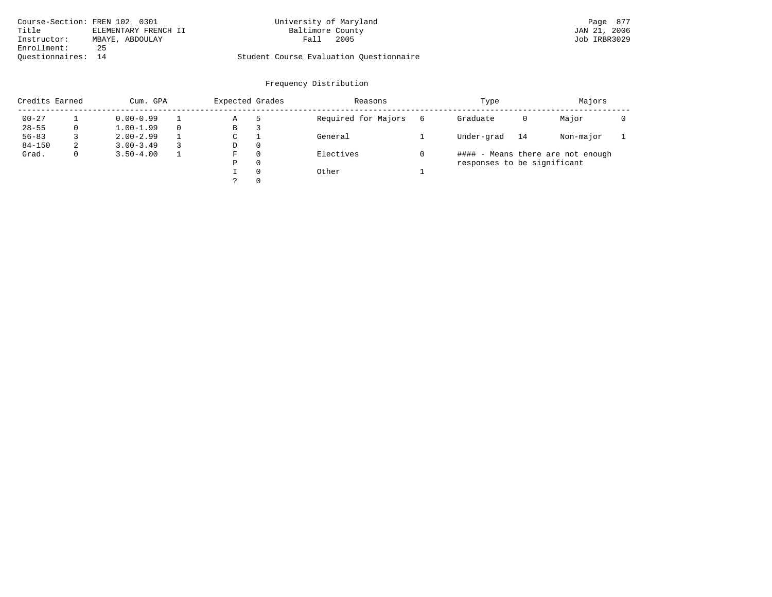| Course-Section: FREN 102 0301 |                      | University of Maryland                  | Page 877     |
|-------------------------------|----------------------|-----------------------------------------|--------------|
| Title                         | ELEMENTARY FRENCH II | Baltimore County                        | JAN 21, 2006 |
| Instructor:                   | MBAYE, ABDOULAY      | 2005<br>Fall                            | Job IRBR3029 |
| Enrollment:                   | 25                   |                                         |              |
| Ouestionnaires: 14            |                      | Student Course Evaluation Questionnaire |              |

# University of Maryland **Execution: FREN 102 0301 Page 877**

| Credits Earned |             | Expected Grades<br>Cum. GPA |  |   |          | Reasons             |   | Type                        |    | Majors                            |  |
|----------------|-------------|-----------------------------|--|---|----------|---------------------|---|-----------------------------|----|-----------------------------------|--|
| $00 - 27$      |             | $0.00 - 0.99$               |  | Α |          | Required for Majors | 6 | Graduate                    | 0  | Major                             |  |
| $28 - 55$      | 0           | $1.00 - 1.99$               |  | В | З        |                     |   |                             |    |                                   |  |
| $56 - 83$      |             | $2.00 - 2.99$               |  | C |          | General             |   | Under-grad                  | 14 | Non-major                         |  |
| $84 - 150$     | 2           | $3.00 - 3.49$               |  | D | $\Omega$ |                     |   |                             |    |                                   |  |
| Grad.          | $\mathbf 0$ | $3.50 - 4.00$               |  | F | $\Omega$ | Electives           |   |                             |    | #### - Means there are not enough |  |
|                |             |                             |  | Ρ | $\Omega$ |                     |   | responses to be significant |    |                                   |  |
|                |             |                             |  |   | $\Omega$ | Other               |   |                             |    |                                   |  |
|                |             |                             |  |   | $\Omega$ |                     |   |                             |    |                                   |  |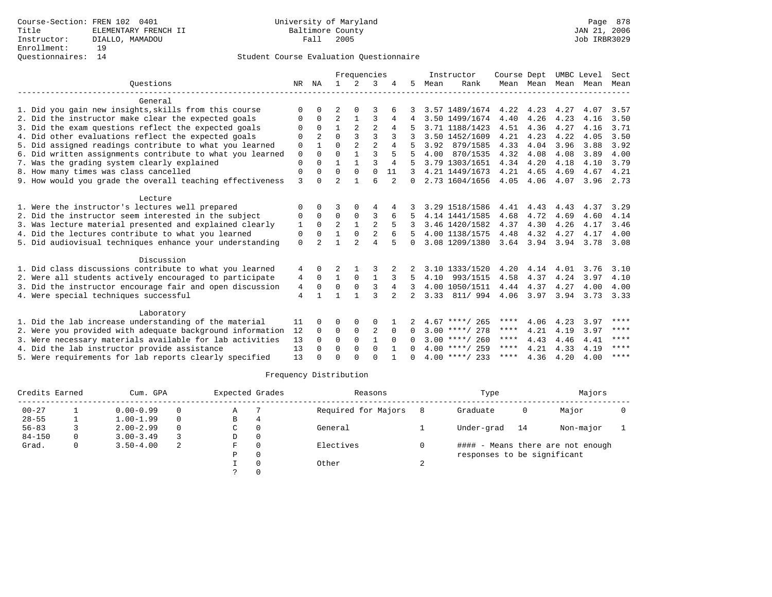|                                                           |                |                |                | Frequencies    |                |                |                |      | Instructor       | Course Dept |           | UMBC Level |      | Sect |
|-----------------------------------------------------------|----------------|----------------|----------------|----------------|----------------|----------------|----------------|------|------------------|-------------|-----------|------------|------|------|
| Ouestions                                                 | NR             | ΝA             | $\mathbf{1}$   | $\mathcal{L}$  | 3              |                | 5.             | Mean | Rank             |             | Mean Mean | Mean       | Mean | Mean |
| General                                                   |                |                |                |                |                |                |                |      |                  |             |           |            |      |      |
| 1. Did you gain new insights, skills from this course     | $\Omega$       | 0              | $\overline{2}$ | 0              |                |                |                |      | 3.57 1489/1674   | 4.22        | 4.23      | 4.27       | 4.07 | 3.57 |
| 2. Did the instructor make clear the expected goals       | $\Omega$       | $\Omega$       | $\overline{a}$ | $\mathbf{1}$   | 3              | 4              |                |      | 3.50 1499/1674   | 4.40        | 4.26      | 4.23       | 4.16 | 3.50 |
| 3. Did the exam questions reflect the expected goals      | $\Omega$       | $\Omega$       | $\mathbf{1}$   | $\mathfrak{D}$ | $\overline{2}$ | 4              |                |      | 3.71 1188/1423   | 4.51        | 4.36      | 4.27       | 4.16 | 3.71 |
| 4. Did other evaluations reflect the expected goals       | $\Omega$       | $\mathfrak{D}$ | $\Omega$       | ζ              | 3              |                |                |      | 3.50 1452/1609   | 4.21        | 4.23      | 4.22       | 4.05 | 3.50 |
| 5. Did assigned readings contribute to what you learned   | 0              |                | $\Omega$       | $\overline{a}$ | $\overline{a}$ |                |                | 3.92 | 879/1585         | 4.33        | 4.04      | 3.96       | 3.88 | 3.92 |
| 6. Did written assignments contribute to what you learned | $\mathbf 0$    | $\Omega$       | $\Omega$       | $\mathbf{1}$   | $\mathbf{3}$   | 5              |                | 4.00 | 870/1535         | 4.32        | 4.08      | 4.08       | 3.89 | 4.00 |
| 7. Was the grading system clearly explained               | $\Omega$       | $\Omega$       | 1              |                | $\mathbf{3}$   | $\overline{4}$ |                |      | 3.79 1303/1651   | 4.34        | 4.20      | 4.18       | 4.10 | 3.79 |
| 8. How many times was class cancelled                     | 0              | 0              | $\Omega$       | $\Omega$       | $\Omega$       | 11             |                |      | 4.21 1449/1673   | 4.21        | 4.65      | 4.69       | 4.67 | 4.21 |
| 9. How would you grade the overall teaching effectiveness | 3              | U              | $\overline{2}$ |                | 6              |                | 0              |      | 2.73 1604/1656   | 4.05        | 4.06      | 4.07       | 3.96 | 2.73 |
| Lecture                                                   |                |                |                |                |                |                |                |      |                  |             |           |            |      |      |
| 1. Were the instructor's lectures well prepared           | $\Omega$       | 0              | 3              | $\Omega$       | 4              |                |                |      | 3.29 1518/1586   | 4.41        | 4.43      | 4.43       | 4.37 | 3.29 |
| 2. Did the instructor seem interested in the subject      | 0              | $\Omega$       | $\Omega$       | 0              | 3              | 6              |                |      | 4.14 1441/1585   | 4.68        | 4.72      | 4.69       | 4.60 | 4.14 |
| 3. Was lecture material presented and explained clearly   | 1              | 0              | $\overline{a}$ | $\mathbf{1}$   | $\overline{a}$ |                |                |      | 3.46 1420/1582   | 4.37        | 4.30      | 4.26       | 4.17 | 3.46 |
| 4. Did the lectures contribute to what you learned        | 0              | 0              |                | $\Omega$       | $\overline{2}$ |                |                |      | 4.00 1138/1575   | 4.48        | 4.32      | 4.27       | 4.17 | 4.00 |
| 5. Did audiovisual techniques enhance your understanding  | $\Omega$       | $\mathcal{D}$  |                | $\mathfrak{D}$ | $\overline{4}$ | 5              | 0              |      | 3.08 1209/1380   | 3.64        | 3.94      | 3.94       | 3.78 | 3.08 |
| Discussion                                                |                |                |                |                |                |                |                |      |                  |             |           |            |      |      |
| 1. Did class discussions contribute to what you learned   | 4              | 0              | 2              |                |                | 2              |                |      | 3.10 1333/1520   | 4.20        | 4.14      | 4.01       | 3.76 | 3.10 |
| 2. Were all students actively encouraged to participate   | 4              | $\Omega$       | $\mathbf{1}$   | $\Omega$       | 1              | 3              | 5              | 4.10 | 993/1515         | 4.58        | 4.37      | 4.24       | 3.97 | 4.10 |
| 3. Did the instructor encourage fair and open discussion  | 4              | $\Omega$       | 0              | $\mathbf 0$    | 3              | 4              |                |      | 4.00 1050/1511   | 4.44        | 4.37      | 4.27       | 4.00 | 4.00 |
| 4. Were special techniques successful                     | $\overline{4}$ |                | 1              | 1              | 3              | $\overline{2}$ | $\overline{a}$ | 3.33 | 811/ 994         | 4.06        | 3.97      | 3.94       | 3.73 | 3.33 |
| Laboratory                                                |                |                |                |                |                |                |                |      |                  |             |           |            |      |      |
| 1. Did the lab increase understanding of the material     | 11             | 0              | O              | $\Omega$       | $\Omega$       |                |                |      | $4.67$ ****/ 265 | ****        | 4.06      | 4.23       | 3.97 | **** |
| 2. Were you provided with adequate background information | 12             | $\Omega$       | 0              | $\mathbf 0$    | 2              | $\Omega$       | 0              |      | $3.00$ ****/ 278 | ****        | 4.21      | 4.19       | 3.97 | **** |
| 3. Were necessary materials available for lab activities  | 13             | $\Omega$       | $\Omega$       | $\Omega$       | $\mathbf{1}$   | $\Omega$       | 0              |      | $3.00$ ****/ 260 | ****        | 4.43      | 4.46       | 4.41 | **** |
| 4. Did the lab instructor provide assistance              | 13             | $\Omega$       | 0              | 0              | $\Omega$       | 1              | 0              |      | $4.00$ ****/ 259 | ****        | 4.21      | 4.33       | 4.19 | **** |
| 5. Were requirements for lab reports clearly specified    | 13             | U              | $\Omega$       |                | $\cap$         |                | <sup>n</sup>   |      | $4.00$ ****/ 233 | ****        | 4.36      | 4.20       | 4.00 | **** |

|            | Credits Earned<br>Cum. GPA     |               | Expected Grades     |          |          | Reasons   | Type                        | Majors |                                   |  |
|------------|--------------------------------|---------------|---------------------|----------|----------|-----------|-----------------------------|--------|-----------------------------------|--|
| $00 - 27$  | $0.00 - 0.99$<br>$\Omega$<br>Α |               | Required for Majors | Graduate | 0        | Major     |                             |        |                                   |  |
| $28 - 55$  |                                | $1.00 - 1.99$ | $\Omega$            | B        | 4        |           |                             |        |                                   |  |
| $56 - 83$  |                                | $2.00 - 2.99$ | $\Omega$            | C        |          | General   | Under-grad                  | 14     | Non-major                         |  |
| $84 - 150$ |                                | $3.00 - 3.49$ |                     | D        | $\Omega$ |           |                             |        |                                   |  |
| Grad.      |                                | $3.50 - 4.00$ | 2                   | F        |          | Electives |                             |        | #### - Means there are not enough |  |
|            |                                |               |                     | Ρ        |          |           | responses to be significant |        |                                   |  |
|            |                                |               |                     |          |          | Other     |                             |        |                                   |  |
|            |                                |               |                     |          |          |           |                             |        |                                   |  |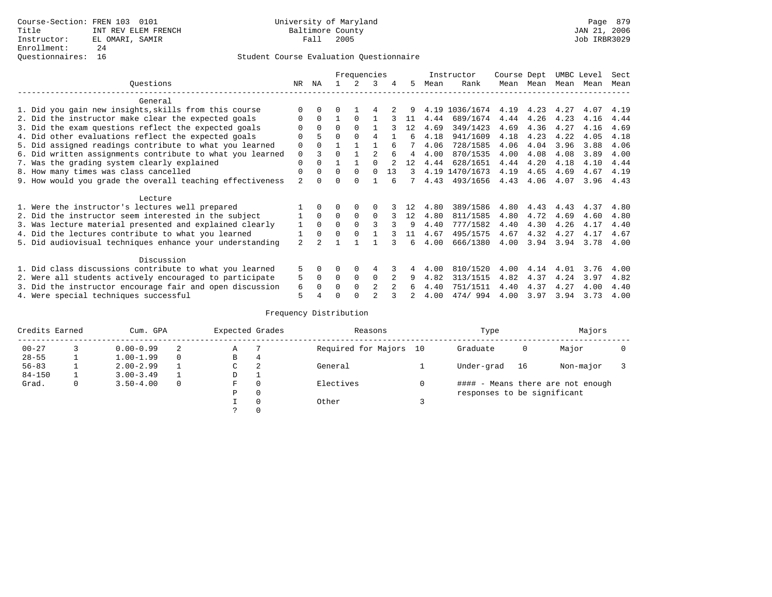### Questionnaires: 16 Student Course Evaluation Questionnaire

|                                                           |                                                           |                |          | Frequencies |              | Instructor     |                | Course Dept |      |                | UMBC Level | Sect      |      |      |      |
|-----------------------------------------------------------|-----------------------------------------------------------|----------------|----------|-------------|--------------|----------------|----------------|-------------|------|----------------|------------|-----------|------|------|------|
|                                                           | Ouestions                                                 | NR             | ΝA       |             | 2            | 3              | 4              | 5           | Mean | Rank           |            | Mean Mean | Mean | Mean | Mean |
|                                                           | General                                                   |                |          |             |              |                |                |             |      |                |            |           |      |      |      |
|                                                           | 1. Did you gain new insights, skills from this course     | <sup>0</sup>   | 0        | 0           |              |                |                | 9           |      | 4.19 1036/1674 | 4.19       | 4.23      | 4.27 | 4.07 | 4.19 |
|                                                           | 2. Did the instructor make clear the expected goals       | 0              | $\Omega$ |             | $\Omega$     |                |                | 11          | 4.44 | 689/1674       | 4.44       | 4.26      | 4.23 | 4.16 | 4.44 |
|                                                           | 3. Did the exam questions reflect the expected goals      |                | $\Omega$ | $\Omega$    | $\Omega$     |                |                | 12          | 4.69 | 349/1423       | 4.69       | 4.36      | 4.27 | 4.16 | 4.69 |
|                                                           | 4. Did other evaluations reflect the expected goals       |                | 5        | U           |              | 4              |                | б.          | 4.18 | 941/1609       | 4.18       | 4.23      | 4.22 | 4.05 | 4.18 |
|                                                           | 5. Did assigned readings contribute to what you learned   |                |          |             |              |                |                |             | 4.06 | 728/1585       | 4.06       | 4.04      | 3.96 | 3.88 | 4.06 |
|                                                           | 6. Did written assignments contribute to what you learned | $\mathbf 0$    | ζ        | 0           |              | $\mathfrak{D}$ |                | 4           | 4.00 | 870/1535       | 4.00       | 4.08      | 4.08 | 3.89 | 4.00 |
|                                                           | 7. Was the grading system clearly explained               | 0              | $\Omega$ |             |              |                |                | 12          | 4.44 | 628/1651       | 4.44       | 4.20      | 4.18 | 4.10 | 4.44 |
| 8. How many times was class cancelled                     |                                                           |                | $\Omega$ | $\Omega$    | $\Omega$     | $\Omega$       | 13             | 3           |      | 4.19 1470/1673 | 4.19       | 4.65      | 4.69 | 4.67 | 4.19 |
| 9. How would you grade the overall teaching effectiveness |                                                           |                |          | U           | <sup>0</sup> |                |                |             | 4.43 | 493/1656       | 4.43       | 4.06      | 4.07 | 3.96 | 4.43 |
|                                                           | Lecture                                                   |                |          |             |              |                |                |             |      |                |            |           |      |      |      |
|                                                           | 1. Were the instructor's lectures well prepared           |                | $\Omega$ |             | $\Omega$     |                |                |             | 4.80 | 389/1586       | 4.80       | 4.43      | 4.43 | 4.37 | 4.80 |
|                                                           | 2. Did the instructor seem interested in the subject      |                | $\Omega$ | $\Omega$    | $\Omega$     | $\Omega$       |                | 12          | 4.80 | 811/1585       | 4.80       | 4.72      | 4.69 | 4.60 | 4.80 |
|                                                           | 3. Was lecture material presented and explained clearly   | 1              | $\Omega$ | 0           | $\Omega$     | 3              |                | 9           | 4.40 | 777/1582       | 4.40       | 4.30      | 4.26 | 4.17 | 4.40 |
|                                                           | 4. Did the lectures contribute to what you learned        |                | $\Omega$ | 0           | $\Omega$     |                |                | 11          | 4.67 | 495/1575       | 4.67       | 4.32      | 4.27 | 4.17 | 4.67 |
|                                                           | 5. Did audiovisual techniques enhance your understanding  | $\overline{a}$ |          |             |              |                |                | б.          | 4.00 | 666/1380       | 4.00       | 3.94      | 3.94 | 3.78 | 4.00 |
|                                                           | Discussion                                                |                |          |             |              |                |                |             |      |                |            |           |      |      |      |
|                                                           | 1. Did class discussions contribute to what you learned   |                |          | 0           | $\Omega$     | 4              |                |             | 4.00 | 810/1520       | 4.00       | 4.14      | 4.01 | 3.76 | 4.00 |
|                                                           | 2. Were all students actively encouraged to participate   |                | 0        | $\Omega$    | 0            | 0              |                | 9           | 4.82 | 313/1515       | 4.82       | 4.37      | 4.24 | 3.97 | 4.82 |
| 3. Did the instructor encourage fair and open discussion  |                                                           |                | 0        |             | $\Omega$     | 2              | $\mathfrak{D}$ | 6           | 4.40 | 751/1511       | 4.40       | 4.37      | 4.27 | 4.00 | 4.40 |
|                                                           | 4. Were special techniques successful                     | 5              |          |             |              |                |                |             | 4.00 | 474/994        | 4.00       | 3.97      | 3.94 | 3.73 | 4.00 |

|            | Credits Earned<br>Cum. GPA |               | Expected Grades |               |          | Reasons                | Type                        |    | Majors                            |  |
|------------|----------------------------|---------------|-----------------|---------------|----------|------------------------|-----------------------------|----|-----------------------------------|--|
| $00 - 27$  |                            | $0.00 - 0.99$ |                 | Α             |          | Required for Majors 10 | Graduate                    | 0  | Major                             |  |
| $28 - 55$  |                            | $1.00 - 1.99$ | $\Omega$        | В             | 4        |                        |                             |    |                                   |  |
| $56 - 83$  |                            | $2.00 - 2.99$ |                 | C.            | 2        | General                | Under-grad                  | 16 | Non-major                         |  |
| $84 - 150$ |                            | $3.00 - 3.49$ |                 | D             |          |                        |                             |    |                                   |  |
| Grad.      | $\mathbf{0}$               | $3.50 - 4.00$ | $\Omega$        | F             | $\Omega$ | Electives              |                             |    | #### - Means there are not enough |  |
|            |                            |               |                 | P             | $\Omega$ |                        | responses to be significant |    |                                   |  |
|            |                            |               |                 |               | $\Omega$ | Other                  |                             |    |                                   |  |
|            |                            |               |                 | $\mathcal{L}$ | $\Omega$ |                        |                             |    |                                   |  |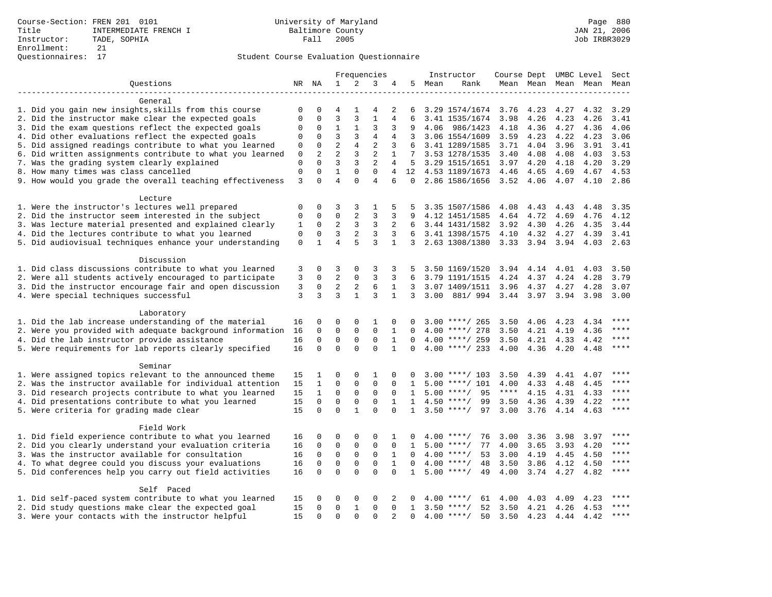|                                                                                                                |              |                     |                 |                            | Frequencies    |                |              |        | Instructor                          | Course Dept UMBC Level Sect |                |                             |                          |             |
|----------------------------------------------------------------------------------------------------------------|--------------|---------------------|-----------------|----------------------------|----------------|----------------|--------------|--------|-------------------------------------|-----------------------------|----------------|-----------------------------|--------------------------|-------------|
| Questions                                                                                                      |              | NR NA               | $\mathbf{1}$    | 2                          | 3              | 4              |              | 5 Mean | Rank                                |                             |                |                             | Mean Mean Mean Mean Mean |             |
|                                                                                                                |              |                     |                 |                            |                |                |              |        |                                     |                             |                |                             |                          |             |
| General                                                                                                        |              |                     |                 |                            |                |                |              |        |                                     |                             |                |                             |                          |             |
| 1. Did you gain new insights, skills from this course                                                          | 0            | 0                   | 4               |                            |                | 2              | 6            |        | 3.29 1574/1674 3.76                 |                             | 4.23           | 4.27                        | 4.32                     | 3.29        |
| 2. Did the instructor make clear the expected goals                                                            | $\mathbf 0$  | $\mathbf 0$         | 3               | 3                          | 1              | 4              | 6            |        | 3.41 1535/1674                      | 3.98                        | 4.26           | 4.23                        | 4.26                     | 3.41        |
| 3. Did the exam questions reflect the expected goals                                                           | 0            | $\mathbf 0$         | $\mathbf{1}$    | $\mathbf{1}$               | 3              | 3              | 9            |        | 4.06 986/1423                       | 4.18                        | 4.36           | 4.27 4.36                   |                          | 4.06        |
| 4. Did other evaluations reflect the expected goals                                                            | 0            | $\mathbf 0$         | 3               | 3                          | $\overline{4}$ | $\overline{4}$ | 3            |        | 3.06 1554/1609                      | 3.59                        | 4.23           | 4.22                        | 4.23                     | 3.06        |
| 5. Did assigned readings contribute to what you learned                                                        | 0            | $\mathbf 0$         | $\overline{c}$  | $\overline{4}$             | $\overline{2}$ | 3              | 6            |        | 3.41 1289/1585                      | 3.71                        | 4.04           | 3.96                        | 3.91                     | 3.41        |
| 6. Did written assignments contribute to what you learned                                                      | 0            | 2                   | $\overline{2}$  | 3                          | $\sqrt{2}$     | $\mathbf{1}$   | 7            |        | 3.53 1278/1535                      | 3.40                        | 4.08           | 4.08                        | 4.03                     | 3.53        |
| 7. Was the grading system clearly explained                                                                    | $\mathbf{0}$ | $\Omega$            | 3               | 3                          | $\overline{2}$ | 4              |              |        | 5 3.29 1515/1651                    | $3.97$ 4.20                 |                | 4.18                        | 4.20                     | 3.29        |
| 8. How many times was class cancelled                                                                          | $\mathbf 0$  | $\mathbf 0$         | $\mathbf{1}$    | $\mathbf 0$                | $\Omega$       | $\overline{4}$ |              |        | 12 4.53 1189/1673                   | 4.46                        | 4.65           | 4.69                        | 4.67                     | 4.53        |
| 9. How would you grade the overall teaching effectiveness                                                      | 3            | $\Omega$            | $\overline{4}$  | $\Omega$                   | $\overline{4}$ | 6              | $\Omega$     |        | 2.86 1586/1656                      | 3.52 4.06                   |                | 4.07                        | 4.10                     | 2.86        |
| Lecture                                                                                                        |              |                     |                 |                            |                |                |              |        |                                     |                             |                |                             |                          |             |
| 1. Were the instructor's lectures well prepared                                                                | $\mathbf 0$  | $\mathbf 0$         | 3               | 3                          | 1              | 5              |              |        | 3.35 1507/1586                      | 4.08                        | 4.43           | 4.43                        | 4.48                     | 3.35        |
| 2. Did the instructor seem interested in the subject                                                           | 0            | $\mathbf 0$         | $\mathsf 0$     | $\overline{a}$             | 3              | 3              | 9            |        | 4.12 1451/1585                      | 4.64                        | 4.72           | 4.69                        | 4.76                     | 4.12        |
| 3. Was lecture material presented and explained clearly                                                        | 1            | $\mathbf 0$         | $\overline{2}$  | 3                          | 3              | 2              | 6            |        | 3.44 1431/1582                      | 3.92                        | 4.30           | 4.26                        | 4.35                     | 3.44        |
| 4. Did the lectures contribute to what you learned                                                             | 0            | $\mathbf 0$         | 3               | 2                          | 3              | 3              | 6            |        | 3.41 1398/1575                      | 4.10                        | 4.32           | 4.27                        | 4.39                     | 3.41        |
| 5. Did audiovisual techniques enhance your understanding                                                       | $\mathsf 0$  | $\mathbf{1}$        | $\overline{4}$  | 5                          | 3              | $\mathbf{1}$   |              |        | 3 2.63 1308/1380                    |                             | 3.33 3.94 3.94 |                             | 4.03                     | 2.63        |
| Discussion                                                                                                     |              |                     |                 |                            |                |                |              |        |                                     |                             |                |                             |                          |             |
| 1. Did class discussions contribute to what you learned                                                        |              | 0                   | 3               | 0                          | 3              | 3              | 5            |        | 3.50 1169/1520                      | 3.94 4.14                   |                | 4.01                        | 4.03                     | 3.50        |
|                                                                                                                | 3<br>3       | 0                   |                 |                            | 3              | 3              | 6            |        |                                     |                             |                |                             |                          |             |
| 2. Were all students actively encouraged to participate                                                        |              | $\mathsf{O}\xspace$ | 2<br>$\sqrt{2}$ | 0                          |                | $\mathbf{1}$   |              |        | 3.79 1191/1515                      | 4.24                        | 4.37           | 4.24                        | 4.28                     | 3.79        |
| 3. Did the instructor encourage fair and open discussion                                                       | 3<br>3       | 3                   | $\mathbf{z}$    | $\sqrt{2}$<br>$\mathbf{1}$ | 6<br>3         |                | 3            |        | 3.07 1409/1511                      | 3.96                        | 4.37           | 4.27                        | 4.28                     | 3.07        |
| 4. Were special techniques successful                                                                          |              |                     |                 |                            |                | $\mathbf{1}$   |              |        | 3 3.00 881/ 994 3.44 3.97 3.94 3.98 |                             |                |                             |                          | 3.00        |
| Laboratory                                                                                                     |              |                     |                 |                            |                |                |              |        |                                     |                             |                |                             |                          |             |
| 1. Did the lab increase understanding of the material                                                          | 16           | 0                   | 0               | 0                          | 1              | 0              | 0            |        | $3.00$ ****/ 265                    | 3.50                        | 4.06           | 4.23                        | 4.34                     | $***$       |
| 2. Were you provided with adequate background information                                                      | 16           | $\mathbf 0$         | $\mathbf 0$     | $\mathbf 0$                | $\mathbf 0$    | $\mathbf{1}$   | $\Omega$     |        | $4.00$ ****/ 278                    | 3.50                        |                | 4.21 4.19                   | 4.36                     | $***$       |
| 4. Did the lab instructor provide assistance                                                                   | 16           | $\mathbf 0$         | $\mathbf 0$     | $\mathbf 0$                | $\Omega$       | $\mathbf{1}$   | $\Omega$     |        | $4.00$ ****/ 259                    | 3.50                        | 4.21           | 4.33                        | 4.42                     | $***$       |
| 5. Were requirements for lab reports clearly specified                                                         | 16           | $\mathbf 0$         | $\Omega$        | $\Omega$                   | $\Omega$       | 1              | $\Omega$     |        | $4.00$ ****/ 233                    | 4.00                        | 4.36           | 4.20                        | 4.48                     | $***$       |
|                                                                                                                |              |                     |                 |                            |                |                |              |        |                                     |                             |                |                             |                          |             |
| Seminar                                                                                                        |              |                     |                 |                            |                |                |              |        |                                     |                             |                |                             |                          |             |
| 1. Were assigned topics relevant to the announced theme                                                        | 15           | 1                   | 0               | 0                          | 1              | 0              | 0            |        | $3.00$ ****/ 103                    | 3.50                        | 4.39           | 4.41                        | 4.07                     | ****        |
| 2. Was the instructor available for individual attention                                                       | 15           | $\mathbf{1}$        | $\mathbf 0$     | $\mathbf{0}$               | $\mathbf{0}$   | $\Omega$       | $\mathbf{1}$ | 5.00   | ****/ 101                           | 4.00                        | 4.33           | 4.48                        | 4.45                     | ****        |
| 3. Did research projects contribute to what you learned                                                        | 15           | $\mathbf{1}$        | 0               | $\mathsf 0$                | $\mathbf 0$    | 0              | 1            |        | $5.00$ ****/<br>95                  | $***$ * * *                 | 4.15           | 4.31                        | 4.33                     | ****        |
| 4. Did presentations contribute to what you learned                                                            | 15           | $\mathbf 0$         | $\mathbf 0$     | $\mathsf 0$                | $\mathbf 0$    | $\mathbf{1}$   | $\mathbf{1}$ |        | $4.50$ ****/<br>99                  | 3.50                        | 4.36           | 4.39                        | 4.22                     | $***$       |
| 5. Were criteria for grading made clear                                                                        | 15           | $\Omega$            | $\Omega$        | $\mathbf{1}$               | $\Omega$       | $\Omega$       | $\mathbf{1}$ |        | $3.50$ ****/<br>97                  | 3.00                        | 3.76           | 4.14                        | 4.63                     | $***$       |
| Field Work                                                                                                     |              |                     |                 |                            |                |                |              |        |                                     |                             |                |                             |                          |             |
| 1. Did field experience contribute to what you learned                                                         | 16           | 0                   | 0               | 0                          | 0              | 1              |              |        | $4.00$ ****/<br>76                  | 3.00                        | 3.36           | 3.98                        | 3.97                     |             |
| 2. Did you clearly understand your evaluation criteria                                                         | 16           | 0                   | 0               | $\mathsf 0$                | $\mathbf 0$    | $\mathbf 0$    | 1            |        | 77<br>$5.00$ ****/                  | 4.00                        | 3.65           | 3.93                        | 4.20                     | ****        |
| 3. Was the instructor available for consultation                                                               | 16           | $\mathbf 0$         | $\mathbf 0$     | $\mathbf 0$                | $\mathbf 0$    | $\mathbf{1}$   | $\Omega$     |        | $4.00$ ****/<br>53                  | 3.00                        | 4.19           | 4.45                        | 4.50                     | $***$       |
| 4. To what degree could you discuss your evaluations                                                           |              | $\Omega$            | $\mathbf 0$     | $\mathbf{0}$               | $\mathbf 0$    | $\mathbf{1}$   | $\Omega$     |        | $4.00$ ****/<br>48                  | 3.50                        | 3.86           | 4.12                        | 4.50                     | $***$       |
| 5. Did conferences help you carry out field activities                                                         |              | $\Omega$            | $\Omega$        | $\Omega$                   | $\Omega$       | $\Omega$       | $\mathbf{1}$ |        | $5.00$ ****/<br>49                  | 4.00                        |                | 3.74 4.27                   | 4.82                     | $***$       |
|                                                                                                                |              |                     |                 |                            |                |                |              |        |                                     |                             |                |                             |                          |             |
| Self Paced                                                                                                     |              | 0                   | 0               | 0                          | $\Omega$       | 2              | 0            |        | $4.00$ ****/<br>61                  |                             |                |                             | 4.23                     |             |
| 1. Did self-paced system contribute to what you learned<br>2. Did study questions make clear the expected goal | 15<br>15     | $\mathbf 0$         | $\mathbf 0$     | $\mathbf{1}$               | $\mathbf{0}$   | $\mathbf 0$    | $\mathbf{1}$ |        | $3.50$ ****/<br>52                  | 4.00<br>3.50                |                | 4.03 4.09<br>4.21 4.26 4.53 |                          | $***$       |
| 3. Were your contacts with the instructor helpful                                                              | 15           | $\Omega$            | $\Omega$        | $\Omega$                   | $\Omega$       |                | $\Omega$     |        | $4.00$ ****/<br>50                  |                             |                | 3.50 4.23 4.44 4.42         |                          | $***$ * * * |
|                                                                                                                |              |                     |                 |                            |                |                |              |        |                                     |                             |                |                             |                          |             |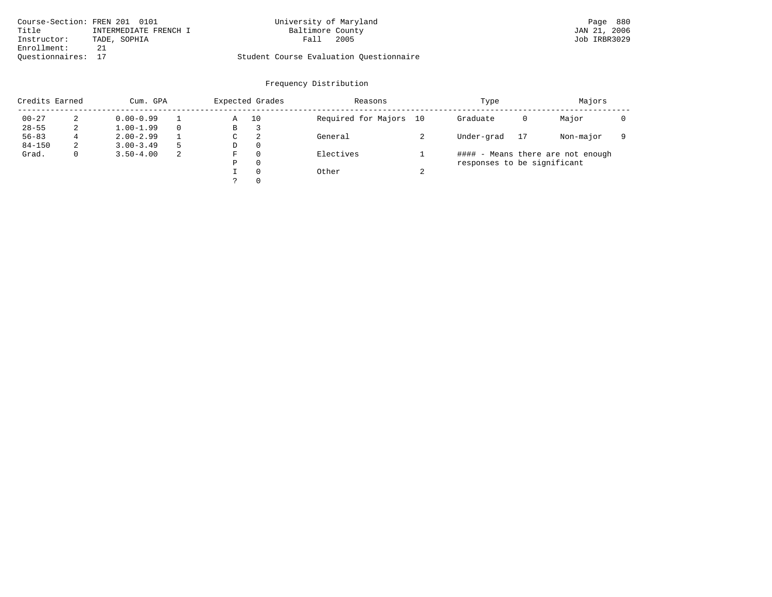|                    | Course-Section: FREN 201 0101 | University of Maryland                  | Page 880     |
|--------------------|-------------------------------|-----------------------------------------|--------------|
| Title              | INTERMEDIATE FRENCH I         | Baltimore County                        | JAN 21, 2006 |
| Instructor:        | TADE, SOPHIA                  | 2005<br>Fall                            | Job IRBR3029 |
| Enrollment:        |                               |                                         |              |
| Ouestionnaires: 17 |                               | Student Course Evaluation Questionnaire |              |

|            | Credits Earned<br>Cum. GPA |               |   | Expected Grades |          | Reasons                |        | Type                        | Majors |                                   |  |
|------------|----------------------------|---------------|---|-----------------|----------|------------------------|--------|-----------------------------|--------|-----------------------------------|--|
| $00 - 27$  | 2                          | $0.00 - 0.99$ |   | Α               | 10       | Required for Majors 10 |        | Graduate                    | 0      | Major                             |  |
| $28 - 55$  | 2                          | $1.00 - 1.99$ |   | В               | 3        |                        |        |                             |        |                                   |  |
| $56 - 83$  | 4                          | $2.00 - 2.99$ |   | $\sim$<br>◡     | -2       | General                |        | Under-grad                  | 17     | Non-major                         |  |
| $84 - 150$ | 2                          | $3.00 - 3.49$ | 5 | D               | 0        |                        |        |                             |        |                                   |  |
| Grad.      | 0                          | $3.50 - 4.00$ | 2 | F               |          | Electives              |        |                             |        | #### - Means there are not enough |  |
|            |                            |               |   | Ρ               | 0        |                        |        | responses to be significant |        |                                   |  |
|            |                            |               |   |                 | $\Omega$ | Other                  | $\sim$ |                             |        |                                   |  |
|            |                            |               |   | っ               | 0        |                        |        |                             |        |                                   |  |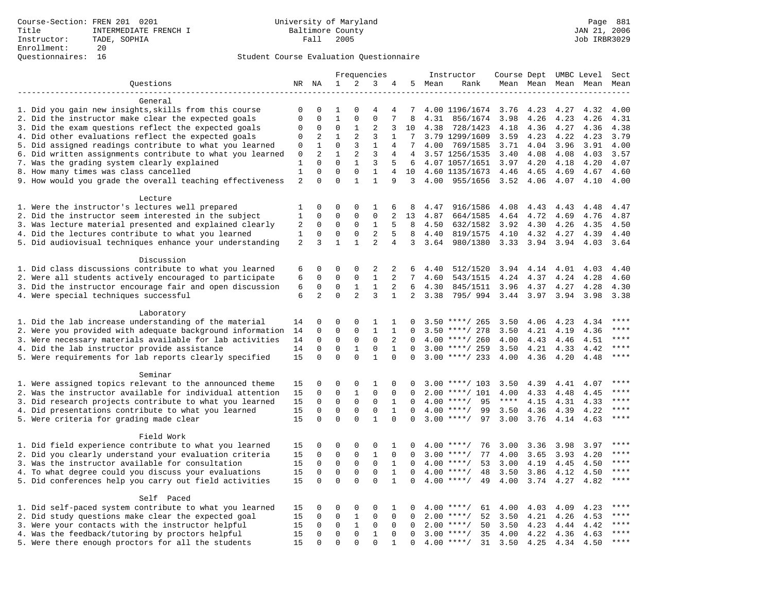|                                                                                                         |                | Frequencies    |              |                |                | Instructor     | Course Dept UMBC Level |        |                      |              | Sect         |                     |      |             |
|---------------------------------------------------------------------------------------------------------|----------------|----------------|--------------|----------------|----------------|----------------|------------------------|--------|----------------------|--------------|--------------|---------------------|------|-------------|
| Questions                                                                                               |                | NR NA          | $\mathbf{1}$ | 2              | 3              | 4              |                        | 5 Mean | Rank                 |              |              | Mean Mean Mean Mean |      | Mean        |
|                                                                                                         |                |                |              |                |                |                |                        |        |                      |              |              |                     |      |             |
| General                                                                                                 |                |                |              |                |                |                |                        |        |                      |              |              |                     |      |             |
| 1. Did you gain new insights, skills from this course                                                   | 0              | $\mathbf 0$    | 1            | $\Omega$       | $\overline{4}$ | 4              | 7                      |        | 4.00 1196/1674       | 3.76         | 4.23         | 4.27                | 4.32 | 4.00        |
| 2. Did the instructor make clear the expected goals                                                     | $\mathbf{0}$   | $\mathbf 0$    | $\mathbf{1}$ | $\mathbf{0}$   | $\mathbf 0$    | 7              | 8                      | 4.31   | 856/1674             | 3.98         | 4.26         | 4.23                | 4.26 | 4.31        |
| 3. Did the exam questions reflect the expected goals                                                    | $\Omega$       | $\Omega$       | $\Omega$     | 1              | 2              | 3              | 10                     | 4.38   | 728/1423             | 4.18         | 4.36         | 4.27                | 4.36 | 4.38        |
| 4. Did other evaluations reflect the expected goals                                                     | $\mathbf 0$    | 2              | $\mathbf{1}$ | 2              | 3              | $\mathbf{1}$   | $7\phantom{.0}$        |        | 3.79 1299/1609       | 3.59         | 4.23         | 4.22                | 4.23 | 3.79        |
| 5. Did assigned readings contribute to what you learned                                                 | $\mathbf 0$    | $\mathbf{1}$   | $\mathbf 0$  | 3              | $\mathbf{1}$   | $\overline{4}$ | 7                      | 4.00   | 769/1585             | 3.71         | 4.04         | 3.96                | 3.91 | 4.00        |
| 6. Did written assignments contribute to what you learned                                               | 0              | 2              | $\mathbf 1$  | 2              | 3              | 4              | 4                      |        | 3.57 1256/1535       | 3.40         | 4.08         | 4.08                | 4.03 | 3.57        |
| 7. Was the grading system clearly explained                                                             | 1              | $\Omega$       | $\Omega$     | $\mathbf{1}$   | 3              | 5              | 6                      |        | 4.07 1057/1651       | 3.97         | 4.20         | 4.18                | 4.20 | 4.07        |
| 8. How many times was class cancelled                                                                   | $\mathbf{1}$   | $\Omega$       | $\Omega$     | $\mathbf 0$    | $\mathbf{1}$   | 4              | 10                     |        | 4.60 1135/1673       | 4.46         | 4.65         | 4.69                | 4.67 | 4.60        |
| 9. How would you grade the overall teaching effectiveness                                               | $\overline{2}$ | $\Omega$       | $\Omega$     | $\mathbf{1}$   | $\mathbf{1}$   | 9              | 3                      | 4.00   | 955/1656             | 3.52         | 4.06         | 4.07                | 4.10 | 4.00        |
| Lecture                                                                                                 |                |                |              |                |                |                |                        |        |                      |              |              |                     |      |             |
|                                                                                                         |                | $\mathbf 0$    | 0            | $\mathbf 0$    | 1              | 6              | 8                      | 4.47   |                      |              |              |                     | 4.48 | 4.47        |
| 1. Were the instructor's lectures well prepared<br>2. Did the instructor seem interested in the subject | 1<br>1         | $\mathbf 0$    | 0            | $\mathbf 0$    | $\mathbf 0$    | 2              | 13                     | 4.87   | 916/1586<br>664/1585 | 4.08<br>4.64 | 4.43<br>4.72 | 4.43<br>4.69        | 4.76 | 4.87        |
| 3. Was lecture material presented and explained clearly                                                 | 2              | $\mathbf 0$    | $\mathbf 0$  | $\mathbf 0$    | 1              | 5              | 8                      | 4.50   | 632/1582             | 3.92         | 4.30         | 4.26                | 4.35 | 4.50        |
| 4. Did the lectures contribute to what you learned                                                      | 1              | $\Omega$       | $\Omega$     | $\Omega$       | $\sqrt{2}$     | 5              | 8                      | 4.40   | 819/1575             | 4.10         | 4.32         | 4.27                | 4.39 | 4.40        |
| 5. Did audiovisual techniques enhance your understanding                                                | 2              | 3              | $\mathbf{1}$ | $\mathbf{1}$   | $\overline{2}$ | $\overline{4}$ | $\overline{3}$         | 3.64   | 980/1380             | 3.33         | 3.94         | 3.94                | 4.03 | 3.64        |
|                                                                                                         |                |                |              |                |                |                |                        |        |                      |              |              |                     |      |             |
| Discussion                                                                                              |                |                |              |                |                |                |                        |        |                      |              |              |                     |      |             |
| 1. Did class discussions contribute to what you learned                                                 | 6              | $\mathbf 0$    | 0            | $\mathbf 0$    | 2              | 2              | 6                      | 4.40   | 512/1520             | 3.94         | 4.14         | 4.01                | 4.03 | 4.40        |
| 2. Were all students actively encouraged to participate                                                 | 6              | $\mathbf 0$    | $\mathbf 0$  | $\mathbf 0$    | $\mathbf{1}$   | 2              | $7\overline{ }$        | 4.60   | 543/1515             | 4.24         | 4.37         | 4.24                | 4.28 | 4.60        |
| 3. Did the instructor encourage fair and open discussion                                                | 6              | $\mathbf 0$    | $\mathbf 0$  | $\mathbf{1}$   | $\mathbf{1}$   | 2              | 6                      | 4.30   | 845/1511             | 3.96         | 4.37         | 4.27                | 4.28 | 4.30        |
| 4. Were special techniques successful                                                                   | 6              | $\overline{2}$ | $\Omega$     | $\overline{2}$ | 3              | $\mathbf{1}$   | $\overline{2}$         | 3.38   | 795/994              | 3.44 3.97    |              | 3.94                | 3.98 | 3.38        |
|                                                                                                         |                |                |              |                |                |                |                        |        |                      |              |              |                     |      |             |
| Laboratory                                                                                              |                |                |              |                |                |                |                        |        |                      |              |              |                     |      |             |
| 1. Did the lab increase understanding of the material                                                   | 14             | $\mathbf 0$    | 0            | $\mathbf 0$    | 1              | 1              | $\Omega$               |        | $3.50$ ****/ 265     | 3.50         | 4.06         | 4.23                | 4.34 |             |
| 2. Were you provided with adequate background information                                               | 14             | $\mathbf 0$    | $\mathbf 0$  | $\mathbf{0}$   | $\mathbf{1}$   | 1              | $\Omega$               |        | $3.50$ ****/ 278     | 3.50         | 4.21         | 4.19                | 4.36 | $***$       |
| 3. Were necessary materials available for lab activities                                                | 14             | $\Omega$       | $\Omega$     | $\mathbf 0$    | $\mathbf 0$    | 2              | $\Omega$               |        | $4.00$ ****/ 260     | 4.00         | 4.43         | 4.46                | 4.51 | $***$ * * * |
| 4. Did the lab instructor provide assistance                                                            | 14             | $\mathbf 0$    | $\mathbf 0$  | $\mathbf{1}$   | $\mathbf 0$    | $\mathbf{1}$   | $\Omega$               |        | $3.00$ ****/ 259     | 3.50         | 4.21         | 4.33                | 4.42 | $***$       |
| 5. Were requirements for lab reports clearly specified                                                  | 15             | $\mathbf 0$    | $\mathbf 0$  | $\Omega$       | $\mathbf{1}$   | $\Omega$       | $\Omega$               |        | $3.00$ ****/ 233     | 4.00         | 4.36         | 4.20                | 4.48 | $***$       |
|                                                                                                         |                |                |              |                |                |                |                        |        |                      |              |              |                     |      |             |
| Seminar                                                                                                 |                |                |              |                |                |                |                        |        |                      |              |              |                     |      |             |
| 1. Were assigned topics relevant to the announced theme                                                 | 15             | $\mathbf 0$    | 0            | $\mathbf{0}$   | 1              | 0              |                        |        | $3.00$ ****/ 103     | 3.50         | 4.39         | 4.41                | 4.07 | ****        |
| 2. Was the instructor available for individual attention                                                | 15             | $\mathbf 0$    | $\mathbf 0$  | $\mathbf{1}$   | $\mathbf 0$    | 0              | $\Omega$               | 2.00   | ****/ 101            | 4.00         | 4.33         | 4.48                | 4.45 | ****        |
| 3. Did research projects contribute to what you learned                                                 | 15             | $\mathbf 0$    | $\mathbf 0$  | $\mathsf 0$    | $\mathbf 0$    | 1              | $\mathbf 0$            |        | $4.00$ ****/<br>95   | $***$ * * *  | 4.15         | 4.31                | 4.33 | ****        |
| 4. Did presentations contribute to what you learned                                                     | 15             | $\mathbf 0$    | $\mathbf 0$  | $\mathbf 0$    | $\mathbf 0$    | $\mathbf{1}$   | $\Omega$               |        | $4.00$ ****/<br>99   | 3.50         | 4.36         | 4.39                | 4.22 | $***$       |
| 5. Were criteria for grading made clear                                                                 | 15             | $\mathbf 0$    | $\Omega$     | $\Omega$       | $\mathbf{1}$   | 0              | $\Omega$               |        | 97<br>$3.00$ ****/   | 3.00         | 3.76         | 4.14                | 4.63 | $***$       |
|                                                                                                         |                |                |              |                |                |                |                        |        |                      |              |              |                     |      |             |
| Field Work                                                                                              |                |                |              |                |                |                |                        |        |                      |              |              |                     |      |             |
| 1. Did field experience contribute to what you learned                                                  | 15             | $\mathbf 0$    | 0            | $\mathbf 0$    | $\mathbf 0$    | 1              | $\Omega$               |        | $4.00$ ****/<br>76   | 3.00         | 3.36         | 3.98                | 3.97 | ****        |
| 2. Did you clearly understand your evaluation criteria                                                  | 15             | $\Omega$       | $\mathbf 0$  | $\Omega$       | $\mathbf{1}$   | $\Omega$       | $\Omega$               |        | 77<br>$3.00$ ****/   | 4.00         | 3.65         | 3.93                | 4.20 | $***$       |
| 3. Was the instructor available for consultation                                                        | 15             | $\mathbf 0$    | $\mathbf 0$  | $\mathsf 0$    | $\mathbf 0$    | $\mathbf{1}$   | $\mathbf 0$            |        | $4.00$ ****/<br>53   | 3.00         | 4.19         | 4.45                | 4.50 | $***$       |
| 4. To what degree could you discuss your evaluations                                                    | 15             | $\mathbf 0$    | $\mathbf 0$  | $\mathbf 0$    | $\mathbf 0$    | 1              | $\Omega$               |        | $4.00$ ****/<br>48   | 3.50         | 3.86         | 4.12                | 4.50 | $***$       |
| 5. Did conferences help you carry out field activities                                                  | 15             | $\Omega$       | $\Omega$     | $\Omega$       | $\Omega$       | $\mathbf{1}$   | $\Omega$               | 4.00   | $***/$<br>49         | 4.00         | 3.74         | 4.27                | 4.82 | $***$       |
|                                                                                                         |                |                |              |                |                |                |                        |        |                      |              |              |                     |      |             |
| Self Paced                                                                                              |                |                |              |                |                |                |                        |        |                      |              |              |                     |      |             |
| 1. Did self-paced system contribute to what you learned                                                 | 15             | $\mathbf 0$    | 0            | $\mathbf 0$    | $\mathbf 0$    | 1              | $\Omega$               |        | $4.00$ ****/<br>61   | 4.00         | 4.03         | 4.09                | 4.23 | $***$ * * * |
| 2. Did study questions make clear the expected goal                                                     | 15             | $\mathbf 0$    | $\mathbf 0$  | $\mathbf{1}$   | $\mathbf 0$    | $\mathbf 0$    | $\Omega$               |        | $2.00$ ****/<br>52   | 3.50         | 4.21         | 4.26                | 4.53 | ****        |
| 3. Were your contacts with the instructor helpful                                                       | 15             | $\mathbf 0$    | $\mathbf 0$  | 1              | 0              | 0              | $\Omega$               |        | 50<br>$2.00$ ****/   | 3.50         | 4.23         | 4.44                | 4.42 | ****        |
| 4. Was the feedback/tutoring by proctors helpful                                                        | 15             | $\mathbf 0$    | $\mathbf 0$  | $\mathbf 0$    | $\mathbf{1}$   | $\mathbf 0$    | $\Omega$               |        | $3.00$ ****/<br>35   | 4.00         | 4.22         | 4.36                | 4.63 | ****        |
| 5. Were there enough proctors for all the students                                                      | 15             | $\Omega$       | $\Omega$     | $\Omega$       | $\mathbf{0}$   | $\mathbf{1}$   | $\Omega$               |        | $4.00$ ****/<br>31   | 3.50         | 4.25         | 4.34                | 4.50 | $***$       |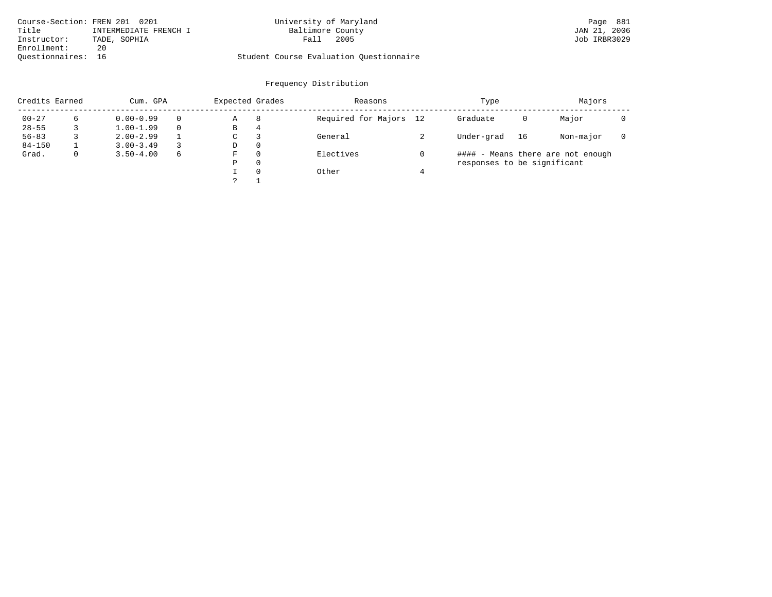| Course-Section: FREN 201 0201 |                       | University of Maryland                  | Page 881     |
|-------------------------------|-----------------------|-----------------------------------------|--------------|
| Title                         | INTERMEDIATE FRENCH I | Baltimore County                        | JAN 21, 2006 |
| Instructor:                   | TADE, SOPHIA          | 2005<br>Fall                            | Job IRBR3029 |
| Enrollment:                   | 20                    |                                         |              |
| Ouestionnaires: 16            |                       | Student Course Evaluation Ouestionnaire |              |

| Credits Earned |   | Cum. GPA      |          | Expected Grades |   | Reasons                | Type                        |    | Majors                            |  |
|----------------|---|---------------|----------|-----------------|---|------------------------|-----------------------------|----|-----------------------------------|--|
| $00 - 27$      | 6 | $0.00 - 0.99$ | $\Omega$ | Α               | 8 | Required for Majors 12 | Graduate                    | 0  | Major                             |  |
| $28 - 55$      |   | $1.00 - 1.99$ | $\Omega$ | В               | 4 |                        |                             |    |                                   |  |
| $56 - 83$      |   | $2.00 - 2.99$ |          | С               |   | General                | Under-grad                  | 16 | Non-major                         |  |
| $84 - 150$     |   | $3.00 - 3.49$ | 3        | D               | 0 |                        |                             |    |                                   |  |
| Grad.          | 0 | $3.50 - 4.00$ | 6        | F               | 0 | Electives              |                             |    | #### - Means there are not enough |  |
|                |   |               |          | Ρ               | 0 |                        | responses to be significant |    |                                   |  |
|                |   |               |          |                 | 0 | Other                  |                             |    |                                   |  |
|                |   |               |          |                 |   |                        |                             |    |                                   |  |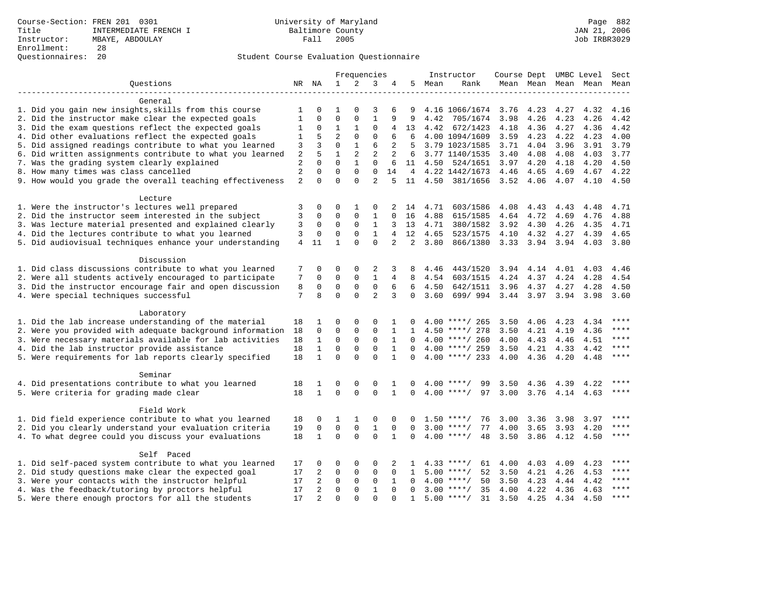|                                                           |                |                |                |              | Frequencies    |                |                |         | Instructor         | Course Dept UMBC Level |           |           |                          | Sect  |
|-----------------------------------------------------------|----------------|----------------|----------------|--------------|----------------|----------------|----------------|---------|--------------------|------------------------|-----------|-----------|--------------------------|-------|
| Ouestions                                                 |                | NR NA          | 1              | 2            | 3              | 4              | 5              | Mean    | Rank               |                        |           |           | Mean Mean Mean Mean Mean |       |
| General                                                   |                |                |                |              |                |                |                |         |                    |                        |           |           |                          |       |
| 1. Did you gain new insights, skills from this course     | 1              | $\Omega$       | 1              | $\Omega$     | 3              | 6              | 9              |         | 4.16 1066/1674     | 3.76                   | 4.23      | 4.27      | 4.32                     | 4.16  |
| 2. Did the instructor make clear the expected goals       | 1              | $\mathbf 0$    | $\mathbf 0$    | $\mathbf 0$  | $\mathbf{1}$   | 9              | 9              | 4.42    | 705/1674           | 3.98                   | 4.26      | 4.23      | 4.26                     | 4.42  |
| 3. Did the exam questions reflect the expected goals      | 1              | $\mathbf 0$    | 1              | 1            | $\Omega$       | 4              | 13             | 4.42    | 672/1423           | 4.18                   | 4.36      | 4.27      | 4.36                     | 4.42  |
| 4. Did other evaluations reflect the expected goals       | 1              | 5              | $\overline{2}$ | $\mathbf 0$  | $\mathbf{0}$   | 6              | 6              |         | 4.00 1094/1609     | 3.59                   | 4.23      | 4.22      | 4.23                     | 4.00  |
| 5. Did assigned readings contribute to what you learned   | 3              | 3              | $\mathbf 0$    | $\mathbf{1}$ | 6              | 2              | 5              |         | 3.79 1023/1585     | 3.71                   | 4.04      | 3.96      | 3.91                     | 3.79  |
| 6. Did written assignments contribute to what you learned | 2              | 5              | $\mathbf{1}$   | 2            | 2              | $\overline{a}$ | 6              |         | 3.77 1140/1535     | 3.40                   | 4.08      | 4.08      | 4.03                     | 3.77  |
| 7. Was the grading system clearly explained               | $\overline{a}$ | $\Omega$       | $\Omega$       | $\mathbf{1}$ | $\mathbf{0}$   | 6              |                | 11 4.50 | 524/1651           | 3.97                   | 4.20      | 4.18      | 4.20                     | 4.50  |
| 8. How many times was class cancelled                     | $\overline{c}$ | $\Omega$       | $\mathbf 0$    | $\mathbf 0$  | $\mathbf 0$    | 14             | $\overline{4}$ |         | 4.22 1442/1673     | 4.46                   | 4.65      | 4.69      | 4.67                     | 4.22  |
| 9. How would you grade the overall teaching effectiveness | 2              | $\Omega$       | $\Omega$       | $\Omega$     | $\overline{2}$ |                | 11             |         | 4.50 381/1656      | 3.52                   | 4.06      | 4.07      | 4.10                     | 4.50  |
|                                                           |                |                |                |              |                |                |                |         |                    |                        |           |           |                          |       |
| Lecture                                                   |                |                |                |              |                |                |                |         |                    |                        |           |           |                          |       |
| 1. Were the instructor's lectures well prepared           | 3              | 0              | 0              | 1            | 0              | 2              | 14             | 4.71    | 603/1586           | 4.08                   | 4.43      | 4.43      | 4.48                     | 4.71  |
| 2. Did the instructor seem interested in the subject      | 3              | 0              | $\mathbf 0$    | $\mathbf 0$  | 1              | 0              | 16             | 4.88    | 615/1585           | 4.64                   | 4.72      | 4.69      | 4.76                     | 4.88  |
| 3. Was lecture material presented and explained clearly   | 3              | 0              | $\mathbf 0$    | $\mathbf 0$  | $\mathbf{1}$   | 3              | 13             | 4.71    | 380/1582           | 3.92                   | 4.30      | 4.26      | 4.35                     | 4.71  |
| 4. Did the lectures contribute to what you learned        | 3              | 0              | $\mathbf 0$    | $\mathsf 0$  | $\mathbf{1}$   | $\overline{4}$ | 12             | 4.65    | 523/1575           | 4.10                   | 4.32      | 4.27      | 4.39                     | 4.65  |
| 5. Did audiovisual techniques enhance your understanding  | 4              | 11             | $\mathbf{1}$   | $\Omega$     | $\Omega$       | $\overline{a}$ | $\overline{2}$ | 3.80    | 866/1380           | 3.33 3.94 3.94         |           |           | 4.03                     | 3.80  |
| Discussion                                                |                |                |                |              |                |                |                |         |                    |                        |           |           |                          |       |
| 1. Did class discussions contribute to what you learned   | 7              | 0              | 0              | $\Omega$     | 2              | 3              | 8              | 4.46    | 443/1520           | 3.94                   | 4.14      | 4.01      | 4.03                     | 4.46  |
| 2. Were all students actively encouraged to participate   | 7              | $\mathbf 0$    | $\mathbf{0}$   | $\mathbf 0$  | $\mathbf{1}$   | $\overline{4}$ | 8              | 4.54    | 603/1515           | 4.24                   | 4.37      | 4.24      | 4.28                     | 4.54  |
| 3. Did the instructor encourage fair and open discussion  | 8              | $\Omega$       | $\mathbf{0}$   | $\mathbf 0$  | $\mathbf 0$    | 6              | 6              | 4.50    | 642/1511           | 3.96                   | 4.37      | 4.27      | 4.28                     | 4.50  |
| 4. Were special techniques successful                     | 7              | 8              | $\Omega$       | $\Omega$     | $\overline{2}$ | 3              | $\Omega$       | 3.60    | 699/994            | 3.44 3.97              |           | 3.94      | 3.98                     | 3.60  |
|                                                           |                |                |                |              |                |                |                |         |                    |                        |           |           |                          |       |
| Laboratory                                                |                |                |                |              |                |                |                |         |                    |                        |           |           |                          |       |
| 1. Did the lab increase understanding of the material     | 18             | 1              | 0              | $\mathbf 0$  | 0              | 1              |                |         | $4.00$ ****/ 265   | 3.50                   | 4.06      | 4.23      | 4.34                     | ****  |
| 2. Were you provided with adequate background information | 18             | 0              | $\mathbf 0$    | 0            | $\mathbf 0$    | $\mathbf 1$    | $\mathbf{1}$   |         | $4.50$ ****/ 278   | 3.50                   | 4.21      | 4.19      | 4.36                     | ****  |
| 3. Were necessary materials available for lab activities  | 18             | $\mathbf{1}$   | $\mathbf 0$    | $\mathbf 0$  | $\mathbf 0$    | $\mathbf{1}$   | $\Omega$       |         | $4.00$ ****/ 260   | 4.00                   | 4.43      | 4.46      | 4.51                     | ****  |
| 4. Did the lab instructor provide assistance              | 18             | $\mathbf{1}$   | $\mathsf 0$    | $\mathsf 0$  | $\mathbf 0$    | $\mathbf{1}$   | $\Omega$       |         | $4.00$ ****/ 259   | 3.50                   | 4.21      | 4.33      | 4.42                     | ****  |
| 5. Were requirements for lab reports clearly specified    | 18             | $\mathbf{1}$   | $\Omega$       | $\Omega$     | $\Omega$       | $\mathbf{1}$   | $\Omega$       |         | $4.00$ ****/ 233   | 4.00                   | 4.36      | 4.20      | 4.48                     | $***$ |
| Seminar                                                   |                |                |                |              |                |                |                |         |                    |                        |           |           |                          |       |
| 4. Did presentations contribute to what you learned       | 18             | 1              | 0              | 0            | 0              | 1              | 0              | 4.00    | 99<br>$***$ /      | 3.50                   | 4.36      | 4.39      | 4.22                     |       |
| 5. Were criteria for grading made clear                   | 18             | $\mathbf{1}$   | $\Omega$       | $\Omega$     | $\Omega$       | $\mathbf{1}$   | $\Omega$       |         | 97<br>$4.00$ ****/ | 3.00                   | 3.76      | 4.14 4.63 |                          | $***$ |
|                                                           |                |                |                |              |                |                |                |         |                    |                        |           |           |                          |       |
| Field Work                                                |                | $\Omega$       |                |              |                | $\Omega$       |                | 1.50    |                    |                        |           |           |                          | ****  |
| 1. Did field experience contribute to what you learned    | 18             |                | 1              | 1            | 0              |                |                |         | 76<br>$***/$       | 3.00                   | 3.36      | 3.98      | 3.97                     | ****  |
| 2. Did you clearly understand your evaluation criteria    | 19             | $\mathbf 0$    | $\mathbf{0}$   | $\mathbf 0$  | $\mathbf{1}$   | $\Omega$       | $\Omega$       | 3.00    | 77<br>$***$ /      | 4.00                   | 3.65      | 3.93      | 4.20                     | $***$ |
| 4. To what degree could you discuss your evaluations      | 18             | $\mathbf{1}$   | $\mathbf{0}$   | $\Omega$     | $\Omega$       | $\mathbf 1$    | 0              |         | $4.00$ ****/<br>48 | 3.50                   | 3.86 4.12 |           | 4.50                     |       |
| Self Paced                                                |                |                |                |              |                |                |                |         |                    |                        |           |           |                          |       |
| 1. Did self-paced system contribute to what you learned   | 17             | 0              | 0              | $\mathbf 0$  | 0              | 2              | 1              |         | $4.33$ ****/<br>61 | 4.00                   | 4.03      | 4.09      | 4.23                     |       |
| 2. Did study questions make clear the expected goal       | 17             | 2              | $\mathbf 0$    | $\Omega$     | $\mathbf{0}$   | $\Omega$       | 1              |         | $5.00$ ****/<br>52 | 3.50                   | 4.21      | 4.26      | 4.53                     | ****  |
| 3. Were your contacts with the instructor helpful         | 17             | 2              | $\mathbf 0$    | 0            | $\mathbf 0$    | 1              | $\Omega$       |         | $4.00$ ****/<br>50 | 3.50                   | 4.23      | 4.44      | 4.42                     | ****  |
| 4. Was the feedback/tutoring by proctors helpful          | 17             | 2              | $\mathbf{0}$   | $\mathbf 0$  | $\mathbf{1}$   | $\Omega$       | $\Omega$       |         | $3.00$ ****/<br>35 | 4.00                   | 4.22      | 4.36      | 4.63                     | ****  |
| 5. Were there enough proctors for all the students        | 17             | $\overline{2}$ | $\Omega$       | $\Omega$     | $\Omega$       | $\Omega$       | $\mathbf{1}$   |         | $5.00$ ****/<br>31 | 3.50                   | 4.25      | 4.34      | 4.50                     | $***$ |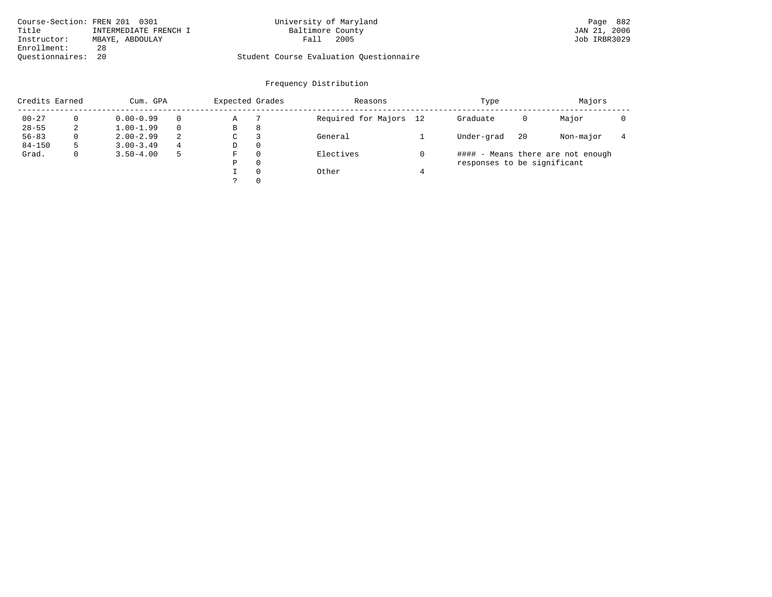|                    | Course-Section: FREN 201 0301 | University of Maryland                  | Page 882     |
|--------------------|-------------------------------|-----------------------------------------|--------------|
| Title              | INTERMEDIATE FRENCH I         | Baltimore County                        | JAN 21, 2006 |
| Instructor:        | MBAYE, ABDOULAY               | 2005<br>Fall                            | Job IRBR3029 |
| Enrollment:        | 28                            |                                         |              |
| Ouestionnaires: 20 |                               | Student Course Evaluation Ouestionnaire |              |

| Credits Earned |              | Cum. GPA      |    | Expected Grades |          | Reasons                |   | Type                        | Majors |                                   |  |
|----------------|--------------|---------------|----|-----------------|----------|------------------------|---|-----------------------------|--------|-----------------------------------|--|
| $00 - 27$      |              | $0.00 - 0.99$ |    | Α               |          | Required for Majors 12 |   | Graduate                    | 0      | Major                             |  |
| $28 - 55$      | 2            | $1.00 - 1.99$ |    | В               | 8        |                        |   |                             |        |                                   |  |
| $56 - 83$      | $\Omega$     | $2.00 - 2.99$ | -2 | C               |          | General                |   | Under-grad                  | 20     | Non-major                         |  |
| $84 - 150$     | 5            | $3.00 - 3.49$ | 4  | D               | 0        |                        |   |                             |        |                                   |  |
| Grad.          | $\mathbf{0}$ | $3.50 - 4.00$ |    | F               | $\Omega$ | Electives              |   |                             |        | #### - Means there are not enough |  |
|                |              |               |    | P               | $\Omega$ |                        |   | responses to be significant |        |                                   |  |
|                |              |               |    |                 | $\Omega$ | Other                  | 4 |                             |        |                                   |  |
|                |              |               |    |                 | 0        |                        |   |                             |        |                                   |  |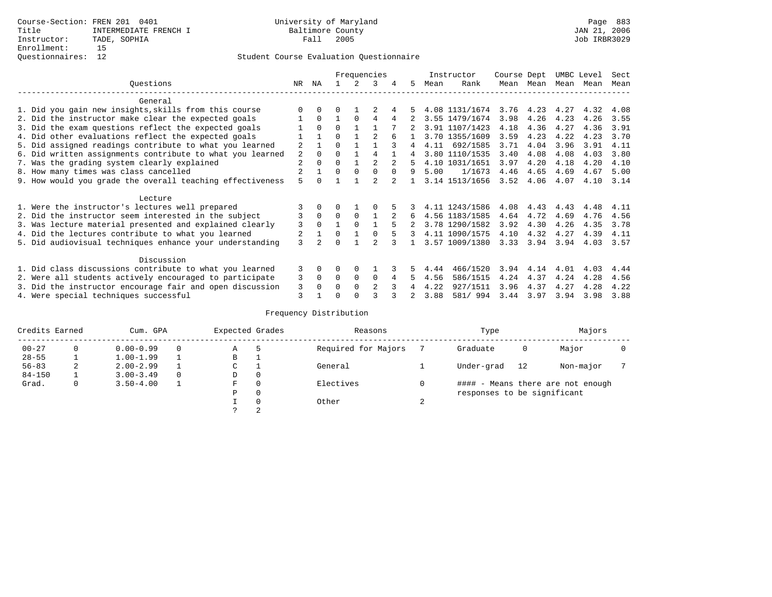|                                                           |                |              |          |          | Frequencies    |   |    |      | Instructor     | Course Dept |             | UMBC Level |      | Sect |
|-----------------------------------------------------------|----------------|--------------|----------|----------|----------------|---|----|------|----------------|-------------|-------------|------------|------|------|
| Ouestions                                                 | NR.            | ΝA           |          |          | 3              | 4 | 5. | Mean | Rank           |             | Mean Mean   | Mean       | Mean | Mean |
| General                                                   |                |              |          |          |                |   |    |      |                |             |             |            |      |      |
| 1. Did you gain new insights, skills from this course     |                | $\Omega$     | O        |          |                |   |    |      | 4.08 1131/1674 |             | $3.76$ 4.23 | 4.27       | 4.32 | 4.08 |
| 2. Did the instructor make clear the expected goals       |                | $\Omega$     |          | $\Omega$ | 4              | 4 |    |      | 3.55 1479/1674 | 3.98        | 4.26        | 4.23       | 4.26 | 3.55 |
| 3. Did the exam questions reflect the expected goals      |                | $\Omega$     | $\Omega$ |          |                |   |    |      | 3.91 1107/1423 | 4.18        | 4.36        | 4.27       | 4.36 | 3.91 |
| 4. Did other evaluations reflect the expected goals       |                |              | $\Omega$ |          |                |   |    |      | 3.70 1355/1609 | 3.59        | 4.23        | 4.22       | 4.23 | 3.70 |
| 5. Did assigned readings contribute to what you learned   | 2              |              | $\Omega$ |          |                |   | 4  | 4.11 | 692/1585       | 3.71        | 4.04        | 3.96       | 3.91 | 4.11 |
| 6. Did written assignments contribute to what you learned | 2              | $\Omega$     | $\Omega$ |          | 4              |   | 4  |      | 3.80 1110/1535 | 3.40        | 4.08        | 4.08       | 4.03 | 3.80 |
| 7. Was the grading system clearly explained               | $\overline{a}$ | $\Omega$     | 0        |          |                |   | 5. |      | 4.10 1031/1651 | 3.97        | 4.20        | 4.18       | 4.20 | 4.10 |
| 8. How many times was class cancelled                     |                |              | $\Omega$ | $\Omega$ | $\Omega$       |   | 9  | 5.00 | 1/1673         | 4.46        | 4.65        | 4.69       | 4.67 | 5.00 |
| 9. How would you grade the overall teaching effectiveness | 5              | <sup>n</sup> |          |          |                |   |    |      | 3.14 1513/1656 | 3.52        | 4.06        | 4.07       | 4.10 | 3.14 |
| Lecture                                                   |                |              |          |          |                |   |    |      |                |             |             |            |      |      |
| 1. Were the instructor's lectures well prepared           |                |              |          |          |                |   |    |      | 4.11 1243/1586 | 4.08        | 4.43        | 4.43       | 4.48 | 4.11 |
| 2. Did the instructor seem interested in the subject      | 3              | $\Omega$     | $\Omega$ | $\Omega$ |                |   | 6  |      | 4.56 1183/1585 | 4.64        | 4.72        | 4.69       | 4.76 | 4.56 |
| 3. Was lecture material presented and explained clearly   | 3              | $\Omega$     |          | $\Omega$ |                |   |    |      | 3.78 1290/1582 | 3.92        | 4.30        | 4.26       | 4.35 | 3.78 |
| 4. Did the lectures contribute to what you learned        |                |              | $\Omega$ |          |                |   | 3  |      | 4.11 1090/1575 | 4.10        | 4.32        | 4.27       | 4.39 | 4.11 |
| 5. Did audiovisual techniques enhance your understanding  | 3              |              | ∩        |          |                |   |    |      | 3.57 1009/1380 | 3.33        | 3.94        | 3.94       | 4.03 | 3.57 |
| Discussion                                                |                |              |          |          |                |   |    |      |                |             |             |            |      |      |
| 1. Did class discussions contribute to what you learned   | 3              | 0            | 0        | $\Omega$ |                |   |    | 4.44 | 466/1520       | 3.94        | 4.14        | 4.01       | 4.03 | 4.44 |
| 2. Were all students actively encouraged to participate   | 3              | $\Omega$     | $\Omega$ | $\Omega$ | $\Omega$       |   | 5. | 4.56 | 586/1515       | 4.24        | 4.37        | 4.24       | 4.28 | 4.56 |
| 3. Did the instructor encourage fair and open discussion  | 3              | $\Omega$     | 0        | $\Omega$ | $\mathfrak{D}$ |   |    | 4.22 | 927/1511       | 3.96        | 4.37        | 4.27       | 4.28 | 4.22 |
| 4. Were special techniques successful                     | 3              |              |          |          |                |   |    | 3.88 | 581/ 994       | 3.44        | 3.97        | 3.94       | 3.98 | 3.88 |

| Credits Earned |   | Cum. GPA      |  | Expected Grades |          | Reasons             |        | Type                        | Majors |                                   |  |
|----------------|---|---------------|--|-----------------|----------|---------------------|--------|-----------------------------|--------|-----------------------------------|--|
| $00 - 27$      | 0 | $0.00 - 0.99$ |  | Α               | 5        | Required for Majors |        | Graduate                    | 0      | Major                             |  |
| $28 - 55$      |   | $1.00 - 1.99$ |  | B               |          |                     |        |                             |        |                                   |  |
| $56 - 83$      | 2 | $2.00 - 2.99$ |  | ◡               |          | General             |        | Under-grad                  | 12     | Non-major                         |  |
| $84 - 150$     |   | $3.00 - 3.49$ |  | D               | 0        |                     |        |                             |        |                                   |  |
| Grad.          | 0 | $3.50 - 4.00$ |  | F               | 0        | Electives           |        |                             |        | #### - Means there are not enough |  |
|                |   |               |  | Ρ               | 0        |                     |        | responses to be significant |        |                                   |  |
|                |   |               |  |                 | $\Omega$ | Other               | $\sim$ |                             |        |                                   |  |
|                |   |               |  |                 | 2        |                     |        |                             |        |                                   |  |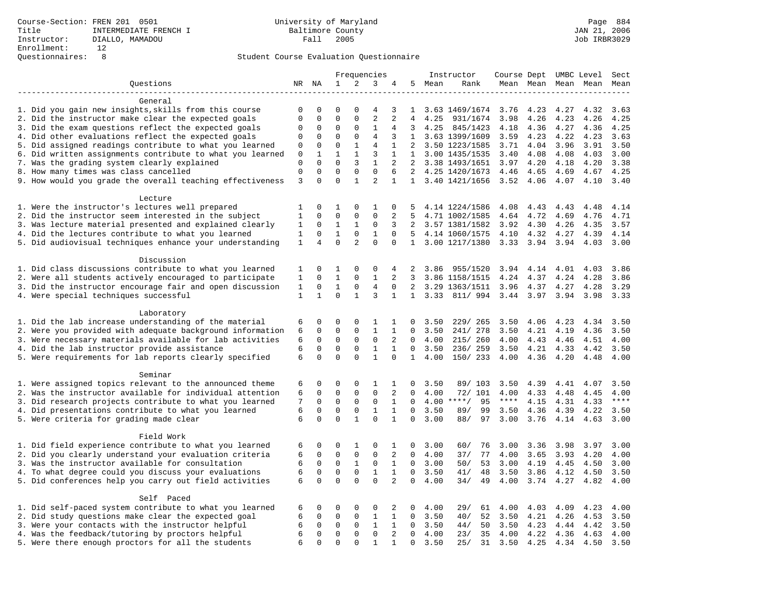|                                                                                                            |              |                            |                            |                             | Frequencies                |                              |                |              | Instructor             | Course Dept UMBC Level |              |                     |              | Sect         |
|------------------------------------------------------------------------------------------------------------|--------------|----------------------------|----------------------------|-----------------------------|----------------------------|------------------------------|----------------|--------------|------------------------|------------------------|--------------|---------------------|--------------|--------------|
| Questions                                                                                                  |              | NR NA                      | 1                          | $\overline{a}$              | 3                          | 4                            | 5              | Mean         | Rank                   |                        |              | Mean Mean Mean Mean |              | Mean         |
|                                                                                                            |              |                            |                            |                             |                            |                              |                |              |                        |                        |              |                     |              |              |
| General                                                                                                    |              |                            |                            |                             |                            |                              |                |              |                        |                        |              |                     |              |              |
| 1. Did you gain new insights, skills from this course                                                      | $\mathbf 0$  | 0                          | $\mathbf 0$                | $\Omega$                    | 4                          | 3                            | 1              |              | 3.63 1469/1674         | 3.76                   | 4.23         | 4.27                | 4.32         | 3.63         |
| 2. Did the instructor make clear the expected goals                                                        | $\mathsf 0$  | $\Omega$                   | $\mathbf 0$                | $\Omega$                    | $\overline{2}$             | 2                            | $\overline{4}$ | 4.25         | 931/1674               | 3.98                   | 4.26         | 4.23                | 4.26         | 4.25         |
| 3. Did the exam questions reflect the expected goals                                                       | $\mathbf 0$  | $\mathbf 0$                | $\mathbf{0}$               | $\mathbf 0$                 | 1                          | 4                            | 3              | 4.25         | 845/1423               | 4.18                   | 4.36         | 4.27                | 4.36         | 4.25         |
| 4. Did other evaluations reflect the expected goals                                                        | $\mathbf 0$  | 0                          | $\mathbf 0$                | $\mathbf 0$                 | 4                          | 3                            |                |              | 1 3.63 1399/1609       | 3.59                   | 4.23         | 4.22                | 4.23         | 3.63         |
| 5. Did assigned readings contribute to what you learned                                                    | 0            | $\mathbf 0$                | $\mathbf{0}$               | $\mathbf{1}$                | $\overline{4}$             | 1                            | 2              |              | 3.50 1223/1585         | 3.71                   | 4.04         | 3.96                | 3.91         | 3.50         |
| 6. Did written assignments contribute to what you learned                                                  | $\mathbf 0$  | 1                          | $\mathbf{1}$               | $\mathbf{1}$                | 3                          | $\mathbf{1}$                 | $\mathbf{1}$   |              | 3.00 1435/1535         | 3.40                   | 4.08         | 4.08                | 4.03         | 3.00         |
| 7. Was the grading system clearly explained                                                                | $\Omega$     | $\Omega$                   | $\Omega$                   | 3                           | $\mathbf{1}$               | 2                            | 2              |              | 3.38 1493/1651         | 3.97                   | 4.20         | 4.18                | 4.20         | 3.38         |
| 8. How many times was class cancelled                                                                      | $\mathsf 0$  | $\mathbf 0$                | $\mathbf 0$                | $\mathbf 0$                 | $\mathbf 0$                | 6                            | 2              |              | 4.25 1420/1673         | 4.46                   | 4.65         | 4.69                | 4.67         | 4.25         |
| 9. How would you grade the overall teaching effectiveness                                                  | 3            | $\Omega$                   | $\Omega$                   | $\mathbf{1}$                | $\overline{a}$             | $\mathbf{1}$                 |                |              | 1 3.40 1421/1656       | 3.52                   | 4.06         | 4.07                | 4.10         | 3.40         |
|                                                                                                            |              |                            |                            |                             |                            |                              |                |              |                        |                        |              |                     |              |              |
| Lecture<br>1. Were the instructor's lectures well prepared                                                 | 1            | $\mathbf 0$                | 1                          | $\mathsf 0$                 | 1                          | 0                            | .5             |              | 4.14 1224/1586         | 4.08                   | 4.43         | 4.43                | 4.48         | 4.14         |
| 2. Did the instructor seem interested in the subject                                                       | $\mathbf{1}$ | $\mathbf 0$                | $\mathbf 0$                | $\mathbf 0$                 | $\mathbf 0$                | 2                            | 5              |              | 4.71 1002/1585         | 4.64                   | 4.72         | 4.69                | 4.76         | 4.71         |
| 3. Was lecture material presented and explained clearly                                                    | 1            | 0                          | 1                          | 1                           | 0                          | 3                            | 2              |              | 3.57 1381/1582         | 3.92                   | 4.30         | 4.26                | 4.35         | 3.57         |
| 4. Did the lectures contribute to what you learned                                                         | 1            | 0                          | $\mathbf{1}$               | $\mathbf 0$                 | 1                          | $\Omega$                     | .5             |              | 4.14 1060/1575         | 4.10                   | 4.32         | 4.27                | 4.39         | 4.14         |
| 5. Did audiovisual techniques enhance your understanding                                                   | $\mathbf{1}$ | 4                          | $\Omega$                   | $\overline{a}$              | $\Omega$                   | $\Omega$                     | $\mathbf{1}$   |              | 3.00 1217/1380         | 3.33                   | 3.94         | 3.94                | 4.03         | 3.00         |
|                                                                                                            |              |                            |                            |                             |                            |                              |                |              |                        |                        |              |                     |              |              |
| Discussion                                                                                                 |              |                            |                            |                             |                            |                              |                |              |                        |                        |              |                     |              |              |
| 1. Did class discussions contribute to what you learned                                                    | 1            | 0                          | 1                          | $\mathbf 0$                 | 0                          | 4                            | 2              | 3.86         | 955/1520               | 3.94                   | 4.14         | 4.01                | 4.03         | 3.86         |
| 2. Were all students actively encouraged to participate                                                    | $\mathbf{1}$ | $\mathbf 0$                | $\mathbf{1}$               | $\mathbf 0$                 | $\mathbf{1}$               | 2                            | 3              |              | 3.86 1158/1515         | 4.24                   | 4.37         | 4.24                | 4.28         | 3.86         |
| 3. Did the instructor encourage fair and open discussion                                                   | 1            | 0                          | $\mathbf{1}$               | $\mathbf 0$                 | $\overline{4}$             | $\Omega$                     | $\overline{2}$ |              | 3.29 1363/1511         | 3.96                   | 4.37         | 4.27                | 4.28         | 3.29         |
| 4. Were special techniques successful                                                                      | $\mathbf{1}$ | $\mathbf{1}$               | $\Omega$                   | $\mathbf{1}$                | 3                          | $\mathbf{1}$                 |                |              | 1 3.33 811/994         | 3.44 3.97              |              | 3.94                | 3.98         | 3.33         |
|                                                                                                            |              |                            |                            |                             |                            |                              |                |              |                        |                        |              |                     |              |              |
| Laboratory                                                                                                 |              |                            |                            |                             |                            |                              |                |              |                        |                        |              |                     |              |              |
| 1. Did the lab increase understanding of the material                                                      | 6            | 0                          | $\mathbf 0$                | $\mathbf 0$                 | 1                          | 1                            | $\Omega$       | 3.50         | 229/ 265               | 3.50                   | 4.06         | 4.23                | 4.34         | 3.50         |
| 2. Were you provided with adequate background information                                                  | 6            | 0                          | $\mathbf{0}$               | $\mathbf 0$                 | $\mathbf{1}$               | $\mathbf{1}$                 | $\Omega$       | 3.50         | 241/ 278               | 3.50                   | 4.21         | 4.19                | 4.36         | 3.50         |
| 3. Were necessary materials available for lab activities                                                   | 6            | $\mathbf 0$                | $\mathbf{0}$               | $\mathbf 0$                 | $\mathbf{0}$               | 2                            | $\Omega$       | 4.00         | 215/ 260               | 4.00                   | 4.43         | 4.46                | 4.51         | 4.00         |
| 4. Did the lab instructor provide assistance                                                               | 6            | $\mathbf 0$                | $\mathsf 0$                | $\mathsf 0$                 | $\mathbf{1}$               | $\mathbf{1}$                 | $\mathbf 0$    | 3.50         | 236/259                | 3.50                   | 4.21         | 4.33                | 4.42         | 3.50         |
| 5. Were requirements for lab reports clearly specified                                                     | 6            | $\mathbf 0$                | $\mathbf{0}$               | $\Omega$                    | $\mathbf{1}$               | $\Omega$                     | 1              | 4.00         | 150/ 233               | 4.00                   | 4.36         | 4.20                | 4.48         | 4.00         |
|                                                                                                            |              |                            |                            |                             |                            |                              |                |              |                        |                        |              |                     |              |              |
| Seminar                                                                                                    |              |                            |                            |                             |                            |                              |                |              |                        |                        |              |                     |              |              |
| 1. Were assigned topics relevant to the announced theme                                                    | 6            | 0                          | $\mathbf{0}$               | $\mathbf 0$                 | 1                          | 1                            | 0              | 3.50         | 89/ 103                | 3.50                   | 4.39         | 4.41                | 4.07         | 3.50         |
| 2. Was the instructor available for individual attention                                                   | 6            | $\mathbf 0$                | $\mathsf 0$                | $\mathsf{O}$                | $\mathsf 0$                | 2                            | 0              | 4.00         | 72/ 101                | 4.00                   | 4.33         | 4.48                | 4.45         | 4.00         |
| 3. Did research projects contribute to what you learned                                                    | 7            | 0                          | $\mathbf 0$                | $\mathsf 0$                 | $\mathsf 0$                | 1                            | 0              |              | $4.00$ ****/<br>95     | $***$ * * *            | 4.15         | 4.31                | 4.33         | $***$        |
| 4. Did presentations contribute to what you learned                                                        | 6            | $\mathbf 0$                | $\mathbf 0$                | $\mathbf 0$                 | 1                          | 1                            | $\mathbf 0$    | 3.50         | 89/<br>99              | 3.50                   | 4.36         | 4.39                | 4.22         | 3.50         |
| 5. Were criteria for grading made clear                                                                    | 6            | $\Omega$                   | $\Omega$                   | $\mathbf{1}$                | $\Omega$                   | $\mathbf{1}$                 | $\Omega$       | 3.00         | 88/<br>97              | 3.00                   | 3.76         | 4.14                | 4.63         | 3.00         |
| Field Work                                                                                                 |              |                            |                            |                             |                            |                              |                |              |                        |                        |              |                     |              |              |
|                                                                                                            |              | $\mathbf 0$                |                            |                             |                            |                              |                | 3.00         |                        |                        |              |                     |              |              |
| 1. Did field experience contribute to what you learned                                                     | 6            |                            | 0                          | 1                           | 0                          | 1                            | 0              |              | 60/<br>76              | 3.00                   | 3.36         | 3.98                | 3.97         | 3.00         |
| 2. Did you clearly understand your evaluation criteria<br>3. Was the instructor available for consultation | 6            | $\mathbf 0$<br>$\mathbf 0$ | $\mathbf 0$<br>$\mathbf 0$ | $\mathbf 0$                 | $\mathbf 0$<br>$\mathbf 0$ | 2                            | $\mathbf 0$    | 4.00         | 77<br>37/              | 4.00                   | 3.65         | 3.93                | 4.20         | 4.00         |
|                                                                                                            | 6<br>6       | $\mathbf 0$                | $\mathbf{0}$               | $\mathbf{1}$<br>$\mathbf 0$ | $\mathbf{1}$               | $\mathbf{1}$<br>$\mathbf{1}$ | 0<br>$\Omega$  | 3.00<br>3.50 | 50/<br>53<br>41/<br>48 | 3.00                   | 4.19         | 4.45                | 4.50<br>4.50 | 3.00<br>3.50 |
| 4. To what degree could you discuss your evaluations                                                       | 6            | $\mathbf 0$                | $\mathbf{0}$               | $\mathbf 0$                 | $\mathbf 0$                | 2                            | $\mathbf 0$    | 4.00         | 49                     | 3.50<br>4.00           | 3.86<br>3.74 | 4.12                | 4.82         | 4.00         |
| 5. Did conferences help you carry out field activities                                                     |              |                            |                            |                             |                            |                              |                |              | 34/                    |                        |              | 4.27                |              |              |
| Self Paced                                                                                                 |              |                            |                            |                             |                            |                              |                |              |                        |                        |              |                     |              |              |
| 1. Did self-paced system contribute to what you learned                                                    | 6            | 0                          | $\mathbf 0$                | $\mathbf 0$                 | 0                          | 2                            | 0              | 4.00         | 29/<br>61              | 4.00                   | 4.03         | 4.09                | 4.23         | 4.00         |
| 2. Did study questions make clear the expected goal                                                        | 6            | $\Omega$                   | $\mathbf 0$                | $\mathbf 0$                 | $\mathbf{1}$               | $\mathbf{1}$                 | $\Omega$       | 3.50         | 52<br>40/              | 3.50                   | 4.21         | 4.26                | 4.53         | 3.50         |
| 3. Were your contacts with the instructor helpful                                                          | 6            | $\mathbf 0$                | $\mathbf 0$                | $\mathbf 0$                 | $\mathbf{1}$               | $\mathbf{1}$                 | $\mathbf 0$    | 3.50         | 44/<br>50              | 3.50                   | 4.23         | 4.44                | 4.42         | 3.50         |
| 4. Was the feedback/tutoring by proctors helpful                                                           | 6            | $\mathbf 0$                | $\mathsf 0$                | $\mathbf 0$                 | $\mathsf 0$                | 2                            | $\mathbf 0$    | 4.00         | 23/<br>35              | 4.00                   | 4.22         | 4.36                | 4.63         | 4.00         |
| 5. Were there enough proctors for all the students                                                         | 6            | $\Omega$                   | $\Omega$                   | $\Omega$                    | $\mathbf{1}$               | 1                            | $\Omega$       | 3.50         | 25/<br>31              | 3.50                   | 4.25         | 4.34                | 4.50         | 3.50         |
|                                                                                                            |              |                            |                            |                             |                            |                              |                |              |                        |                        |              |                     |              |              |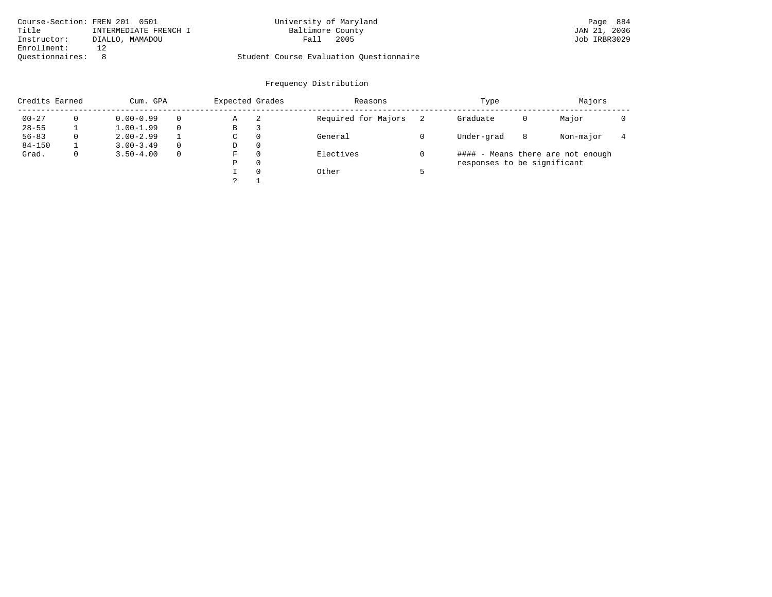| Course-Section: FREN 201 0501 |                       | University of Maryland                  |      | Page 884     |
|-------------------------------|-----------------------|-----------------------------------------|------|--------------|
| Title                         | INTERMEDIATE FRENCH I | Baltimore County                        |      | JAN 21, 2006 |
| Instructor:                   | DIALLO, MAMADOU       | Fall                                    | 2005 | Job IRBR3029 |
| Enrollment:                   |                       |                                         |      |              |
| Ouestionnaires:               |                       | Student Course Evaluation Questionnaire |      |              |

| Credits Earned |             | Cum. GPA      |          | Expected Grades |          | Reasons             | Type                        | Majors |                                   |  |
|----------------|-------------|---------------|----------|-----------------|----------|---------------------|-----------------------------|--------|-----------------------------------|--|
| $00 - 27$      |             | $0.00 - 0.99$ |          | Α               | 2        | Required for Majors | Graduate                    | 0      | Major                             |  |
| $28 - 55$      |             | $1.00 - 1.99$ |          | В               | З        |                     |                             |        |                                   |  |
| $56 - 83$      | 0           | $2.00 - 2.99$ |          | C               | $\Omega$ | General             | Under-grad                  | 8      | Non-major                         |  |
| $84 - 150$     |             | $3.00 - 3.49$ | $\Omega$ | D               | $\Omega$ |                     |                             |        |                                   |  |
| Grad.          | $\mathbf 0$ | $3.50 - 4.00$ | $\Omega$ | F               | $\Omega$ | Electives           |                             |        | #### - Means there are not enough |  |
|                |             |               |          | Ρ               | $\Omega$ |                     | responses to be significant |        |                                   |  |
|                |             |               |          |                 | $\Omega$ | Other               |                             |        |                                   |  |
|                |             |               |          |                 |          |                     |                             |        |                                   |  |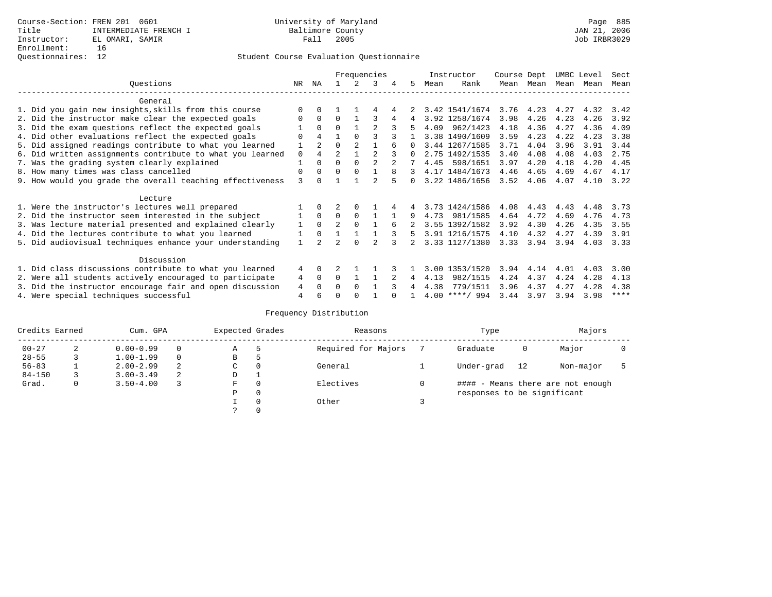### Questionnaires: 12 Student Course Evaluation Questionnaire

|                                                           |          |                |                |                | Frequencies    |   |          |      | Instructor       | Course Dept |           | UMBC Level |      | Sect        |
|-----------------------------------------------------------|----------|----------------|----------------|----------------|----------------|---|----------|------|------------------|-------------|-----------|------------|------|-------------|
| Ouestions                                                 | NR.      | ΝA             |                |                | 3              | 4 | 5.       | Mean | Rank             |             | Mean Mean | Mean       | Mean | Mean        |
| General                                                   |          |                |                |                |                |   |          |      |                  |             |           |            |      |             |
| 1. Did you gain new insights, skills from this course     |          |                |                |                |                |   |          |      | 3.42 1541/1674   | 3.76        | 4.23      | 4.27       | 4.32 | 3.42        |
| 2. Did the instructor make clear the expected goals       | O        | $\Omega$       | $\Omega$       |                |                |   | 4        |      | 3.92 1258/1674   | 3.98        | 4.26      | 4.23       | 4.26 | 3.92        |
| 3. Did the exam questions reflect the expected goals      |          | $\Omega$       | $\Omega$       |                |                |   | 5        | 4.09 | 962/1423         | 4.18        | 4.36      | 4.27       | 4.36 | 4.09        |
| 4. Did other evaluations reflect the expected goals       | O        | $\overline{4}$ |                | $\Omega$       |                |   |          |      | 3.38 1490/1609   | 3.59        | 4.23      | 4.22       | 4.23 | 3.38        |
| 5. Did assigned readings contribute to what you learned   |          | $\mathfrak{D}$ | $\Omega$       | $\mathfrak{D}$ |                |   | $\Omega$ |      | 3.44 1267/1585   | 3.71        | 4.04      | 3.96       | 3.91 | 3.44        |
| 6. Did written assignments contribute to what you learned | $\Omega$ |                | $\mathfrak{D}$ |                | $\mathfrak{D}$ |   | $\Omega$ |      | 2.75 1492/1535   | 3.40        | 4.08      | 4.08       | 4.03 | 2.75        |
| 7. Was the grading system clearly explained               |          | $\Omega$       | $\Omega$       | $\Omega$       |                |   |          | 4.45 | 598/1651         | 3.97        | 4.20      | 4.18       | 4.20 | 4.45        |
| 8. How many times was class cancelled                     | $\Omega$ | $\Omega$       | $\Omega$       | $\Omega$       |                |   | 3        |      | 4.17 1484/1673   | 4.46        | 4.65      | 4.69       | 4.67 | 4.17        |
| 9. How would you grade the overall teaching effectiveness | 3        | <sup>n</sup>   |                |                |                |   | $\cap$   |      | 3.22 1486/1656   | 3.52        | 4.06      | 4.07       | 4.10 | 3.22        |
| Lecture                                                   |          |                |                |                |                |   |          |      |                  |             |           |            |      |             |
| 1. Were the instructor's lectures well prepared           |          |                |                | $\Omega$       |                |   |          |      | 3.73 1424/1586   | 4.08        | 4.43      | 4.43       | 4.48 | 3.73        |
| 2. Did the instructor seem interested in the subject      |          | $\Omega$       | $\Omega$       | $\Omega$       |                |   |          | 4.73 | 981/1585         | 4.64        | 4.72      | 4.69       | 4.76 | 4.73        |
| 3. Was lecture material presented and explained clearly   |          | $\Omega$       | $\mathfrak{D}$ | $\Omega$       |                | 6 |          |      | 3.55 1392/1582   | 3.92        | 4.30      | 4.26       | 4.35 | 3.55        |
| 4. Did the lectures contribute to what you learned        |          | $\Omega$       |                |                |                |   | 5.       |      | 3.91 1216/1575   | 4.10        | 4.32      | 4.27       | 4.39 | 3.91        |
| 5. Did audiovisual techniques enhance your understanding  |          |                |                | $\cap$         |                |   |          |      | 3.33 1127/1380   | 3.33        | 3.94      | 3.94       | 4.03 | 3.33        |
| Discussion                                                |          |                |                |                |                |   |          |      |                  |             |           |            |      |             |
| 1. Did class discussions contribute to what you learned   | 4        | $\Omega$       |                |                |                |   |          | 3.00 | 1353/1520        | 3.94        | 4.14      | 4.01       | 4.03 | 3.00        |
| 2. Were all students actively encouraged to participate   | 4        | $\Omega$       | $\Omega$       |                |                |   | 4        | 4.13 | 982/1515         | 4.24        | 4.37      | 4.24       | 4.28 | 4.13        |
| 3. Did the instructor encourage fair and open discussion  | 4        | $\Omega$       | 0              | $\Omega$       |                |   |          | 4.38 | 779/1511         | 3.96        | 4.37      | 4.27       | 4.28 | 4.38        |
| 4. Were special techniques successful                     | 4        |                |                |                |                |   |          |      | $4.00$ ****/ 994 | 3.44        | 3.97      | 3.94       | 3.98 | $***$ * * * |

| Credits Earned |   | Cum. GPA      |   | Expected Grades |          | Reasons             |   | Type                        |    | Majors                            |  |  |
|----------------|---|---------------|---|-----------------|----------|---------------------|---|-----------------------------|----|-----------------------------------|--|--|
| $00 - 27$      | 2 | $0.00 - 0.99$ |   | Α               | 5        | Required for Majors |   | Graduate                    | 0  | Major                             |  |  |
| $28 - 55$      | 3 | $1.00 - 1.99$ |   | В               | 5        |                     |   |                             |    |                                   |  |  |
| $56 - 83$      |   | $2.00 - 2.99$ | 2 | $\sim$<br>◡     | 0        | General             |   | Under-grad                  | 12 | Non-major                         |  |  |
| $84 - 150$     |   | $3.00 - 3.49$ | 2 | D               | <b>.</b> |                     |   |                             |    |                                   |  |  |
| Grad.          | 0 | $3.50 - 4.00$ |   | F               | 0        | Electives           | 0 |                             |    | #### - Means there are not enough |  |  |
|                |   |               |   | Ρ               | 0        |                     |   | responses to be significant |    |                                   |  |  |
|                |   |               |   |                 | $\Omega$ | Other               |   |                             |    |                                   |  |  |
|                |   |               |   |                 |          |                     |   |                             |    |                                   |  |  |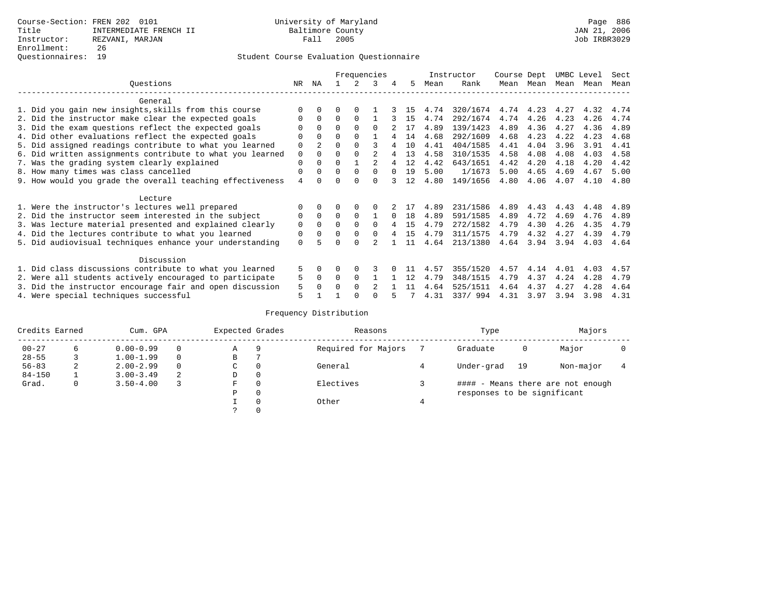|                                                           |          |                |          |          | Frequencies    |          |    |      | Instructor | Course Dept |      | UMBC Level |      | Sect |
|-----------------------------------------------------------|----------|----------------|----------|----------|----------------|----------|----|------|------------|-------------|------|------------|------|------|
| Questions                                                 | NR.      | ΝA             |          |          | 3              | 4        | 5. | Mean | Rank       | Mean        | Mean | Mean       | Mean | Mean |
| General                                                   |          |                |          |          |                |          |    |      |            |             |      |            |      |      |
| 1. Did you gain new insights, skills from this course     |          | $\Omega$       | 0        | $\Omega$ |                |          | 15 | 4.74 | 320/1674   | 4.74        | 4.23 | 4.27       | 4.32 | 4.74 |
| 2. Did the instructor make clear the expected goals       |          | $\Omega$       | $\Omega$ | $\Omega$ |                |          | 15 | 4.74 | 292/1674   | 4.74        | 4.26 | 4.23       | 4.26 | 4.74 |
| 3. Did the exam questions reflect the expected goals      |          | $\Omega$       | O        | $\Omega$ | <sup>0</sup>   |          | 17 | 4.89 | 139/1423   | 4.89        | 4.36 | 4.27       | 4.36 | 4.89 |
| 4. Did other evaluations reflect the expected goals       | O        | $\Omega$       | O        | $\Omega$ |                |          | 14 | 4.68 | 292/1609   | 4.68        | 4.23 | 4.22       | 4.23 | 4.68 |
| 5. Did assigned readings contribute to what you learned   | 0        | $\overline{a}$ |          |          |                |          | 10 | 4.41 | 404/1585   | 4.41        | 4.04 | 3.96       | 3.91 | 4.41 |
| 6. Did written assignments contribute to what you learned | 0        |                |          |          |                |          | 13 | 4.58 | 310/1535   | 4.58        | 4.08 | 4.08       | 4.03 | 4.58 |
| 7. Was the grading system clearly explained               | 0        |                |          |          |                |          | 12 | 4.42 | 643/1651   | 4.42        | 4.20 | 4.18       | 4.20 | 4.42 |
| 8. How many times was class cancelled                     | 0        | $\Omega$       | 0        | $\Omega$ | 0              |          | 19 | 5.00 | 1/1673     | 5.00        | 4.65 | 4.69       | 4.67 | 5.00 |
| 9. How would you grade the overall teaching effectiveness | 4        |                |          | U        | U              |          | 12 | 4.80 | 149/1656   | 4.80        | 4.06 | 4.07       | 4.10 | 4.80 |
| Lecture                                                   |          |                |          |          |                |          |    |      |            |             |      |            |      |      |
| 1. Were the instructor's lectures well prepared           |          |                |          |          |                |          |    | 4.89 | 231/1586   | 4.89        | 4.43 | 4.43       | 4.48 | 4.89 |
| 2. Did the instructor seem interested in the subject      | 0        | $\Omega$       | $\Omega$ | $\Omega$ |                | $\Omega$ | 18 | 4.89 | 591/1585   | 4.89        | 4.72 | 4.69       | 4.76 | 4.89 |
| 3. Was lecture material presented and explained clearly   | 0        | $\Omega$       | O        | $\Omega$ | <sup>0</sup>   |          | 15 | 4.79 | 272/1582   | 4.79        | 4.30 | 4.26       | 4.35 | 4.79 |
| 4. Did the lectures contribute to what you learned        | 0        | $\mathbf 0$    |          | $\Omega$ |                |          | 15 | 4.79 | 311/1575   | 4.79        | 4.32 | 4.27       | 4.39 | 4.79 |
| 5. Did audiovisual techniques enhance your understanding  | $\Omega$ |                |          | $\cap$   |                |          | 11 | 4.64 | 213/1380   | 4.64        | 3.94 | 3.94       | 4.03 | 4.64 |
| Discussion                                                |          |                |          |          |                |          |    |      |            |             |      |            |      |      |
| 1. Did class discussions contribute to what you learned   | 5        | $\Omega$       | U        | $\Omega$ | 3              |          |    | 4.57 | 355/1520   | 4.57        | 4.14 | 4.01       | 4.03 | 4.57 |
| 2. Were all students actively encouraged to participate   | 5        | $\Omega$       | U        | $\Omega$ |                |          | 12 | 4.79 | 348/1515   | 4.79        | 4.37 | 4.24       | 4.28 | 4.79 |
| 3. Did the instructor encourage fair and open discussion  | 5        |                |          | $\Omega$ | $\mathfrak{D}$ |          | 11 | 4.64 | 525/1511   | 4.64        | 4.37 | 4.27       | 4.28 | 4.64 |
| 4. Were special techniques successful                     | 5        |                |          |          |                |          |    | 4.31 | 337/994    | 4.31        | 3.97 | 3.94       | 3.98 | 4.31 |

| Credits Earned |   | Cum. GPA      |   | Expected Grades |          | Reasons             | Type                        |    | Majors                            |  |
|----------------|---|---------------|---|-----------------|----------|---------------------|-----------------------------|----|-----------------------------------|--|
| $00 - 27$      | 6 | $0.00 - 0.99$ |   | Α               | 9        | Required for Majors | Graduate                    | 0  | Major                             |  |
| $28 - 55$      | 3 | $1.00 - 1.99$ |   | В               |          |                     |                             |    |                                   |  |
| $56 - 83$      | 2 | $2.00 - 2.99$ |   | $\sim$<br>◡     | 0        | General             | Under-grad                  | 19 | Non-major                         |  |
| $84 - 150$     |   | $3.00 - 3.49$ | 2 | D               | 0        |                     |                             |    |                                   |  |
| Grad.          | 0 | $3.50 - 4.00$ |   | F               | 0        | Electives           |                             |    | #### - Means there are not enough |  |
|                |   |               |   | Ρ               | 0        |                     | responses to be significant |    |                                   |  |
|                |   |               |   |                 | $\Omega$ | Other               |                             |    |                                   |  |
|                |   |               |   |                 |          |                     |                             |    |                                   |  |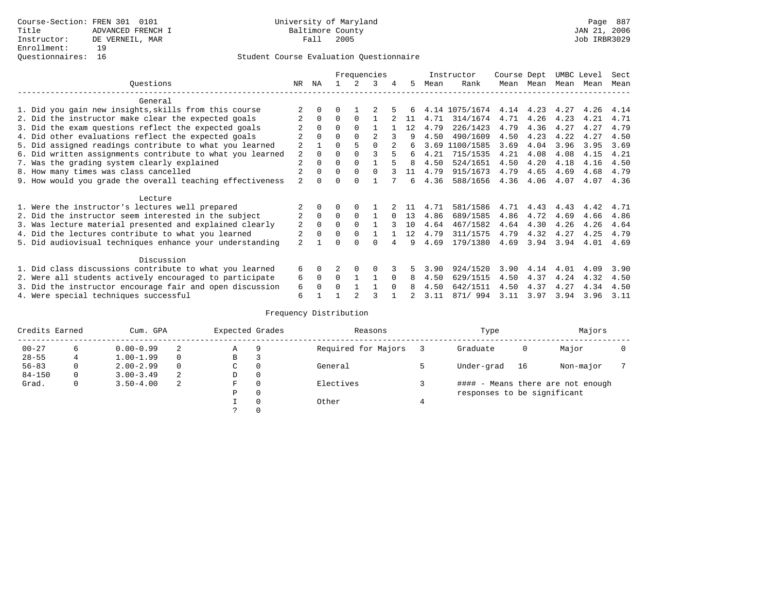|                                                           |                |              |          |          | Frequencies |          |              |      | Instructor     | Course Dept |               | UMBC Level |      | Sect |
|-----------------------------------------------------------|----------------|--------------|----------|----------|-------------|----------|--------------|------|----------------|-------------|---------------|------------|------|------|
| Ouestions                                                 | NR.            | ΝA           |          |          | 3           |          | 5.           | Mean | Rank           | Mean        | Mean          | Mean       | Mean | Mean |
| General                                                   |                |              |          |          |             |          |              |      |                |             |               |            |      |      |
| 1. Did you gain new insights, skills from this course     |                |              | O        |          |             |          |              |      | 4.14 1075/1674 |             | $4.14$ $4.23$ | 4.27       | 4.26 | 4.14 |
| 2. Did the instructor make clear the expected goals       |                | $\Omega$     | $\Omega$ | $\Omega$ |             |          | 11           | 4.71 | 314/1674       | 4.71        | 4.26          | 4.23       | 4.21 | 4.71 |
| 3. Did the exam questions reflect the expected goals      |                | $\Omega$     | $\Omega$ | $\Omega$ |             |          | 12           | 4.79 | 226/1423       | 4.79        | 4.36          | 4.27       | 4.27 | 4.79 |
| 4. Did other evaluations reflect the expected goals       |                |              | $\Omega$ |          |             |          |              | 4.50 | 490/1609       | 4.50        | 4.23          | 4.22       | 4.27 | 4.50 |
| 5. Did assigned readings contribute to what you learned   | $\overline{a}$ |              |          |          |             |          | б.           | 3.69 | 1100/1585      | 3.69        | 4.04          | 3.96       | 3.95 | 3.69 |
| 6. Did written assignments contribute to what you learned | 2              | $\Omega$     |          |          |             |          | б.           | 4.21 | 715/1535       | 4.21        | 4.08          | 4.08       | 4.15 | 4.21 |
| 7. Was the grading system clearly explained               | $\overline{a}$ | $\Omega$     | $\Omega$ | $\Omega$ |             |          | <sup>8</sup> | 4.50 | 524/1651       | 4.50        | 4.20          | 4.18       | 4.16 | 4.50 |
| 8. How many times was class cancelled                     |                | $\Omega$     | $\Omega$ | $\Omega$ | $\cap$      |          | 11           | 4.79 | 915/1673       | 4.79        | 4.65          | 4.69       | 4.68 | 4.79 |
| 9. How would you grade the overall teaching effectiveness | $\mathfrak{D}$ | <sup>n</sup> | U        | $\cap$   |             |          | б.           | 4.36 | 588/1656       | 4.36        | 4.06          | 4.07       | 4.07 | 4.36 |
|                                                           |                |              |          |          |             |          |              |      |                |             |               |            |      |      |
| Lecture                                                   |                |              |          |          |             |          |              |      |                |             |               |            |      |      |
| 1. Were the instructor's lectures well prepared           |                |              |          |          |             |          |              | 4.71 | 581/1586       | 4.71        | 4.43          | 4.43       | 4.42 | 4.71 |
| 2. Did the instructor seem interested in the subject      | $\overline{2}$ | $\Omega$     | $\Omega$ | $\Omega$ |             | $\Omega$ | 13           | 4.86 | 689/1585       | 4.86        | 4.72          | 4.69       | 4.66 | 4.86 |
| 3. Was lecture material presented and explained clearly   | 2              | $\Omega$     | $\Omega$ | $\cap$   |             |          | 10           | 4.64 | 467/1582       | 4.64        | 4.30          | 4.26       | 4.26 | 4.64 |
| 4. Did the lectures contribute to what you learned        |                | $\Omega$     |          | $\Omega$ |             |          | 12           | 4.79 | 311/1575       | 4.79        | 4.32          | 4.27       | 4.25 | 4.79 |
| 5. Did audiovisual techniques enhance your understanding  | $\mathfrak{D}$ |              |          |          |             |          | q            | 4.69 | 179/1380       | 4.69        | 3.94          | 3.94       | 4.01 | 4.69 |
|                                                           |                |              |          |          |             |          |              |      |                |             |               |            |      |      |
| Discussion                                                |                |              |          |          |             |          |              |      |                |             |               |            |      |      |
| 1. Did class discussions contribute to what you learned   | 6              | $\Omega$     |          | $\Omega$ |             |          |              | 3.90 | 924/1520       | 3.90        | 4.14          | 4.01       | 4.09 | 3.90 |
| 2. Were all students actively encouraged to participate   | 6              | $\Omega$     | $\Omega$ |          |             |          | 8            | 4.50 | 629/1515       | 4.50        | 4.37          | 4.24       | 4.32 | 4.50 |
| 3. Did the instructor encourage fair and open discussion  | 6              |              | 0        |          |             | $\Omega$ |              | 4.50 | 642/1511       | 4.50        | 4.37          | 4.27       | 4.34 | 4.50 |
| 4. Were special techniques successful                     | 6              |              |          |          |             |          |              | 3.11 | 871/994        | 3.11        | 3.97          | 3.94       | 3.96 | 3.11 |

| Credits Earned |   | Cum. GPA      |          | Expected Grades |          | Reasons             | Type                        |    | Majors                            |  |
|----------------|---|---------------|----------|-----------------|----------|---------------------|-----------------------------|----|-----------------------------------|--|
| $00 - 27$      | ь | $0.00 - 0.99$ |          | Α               | 9        | Required for Majors | Graduate                    | 0  | Major                             |  |
| $28 - 55$      |   | $1.00 - 1.99$ | $\Omega$ | В               | 3        |                     |                             |    |                                   |  |
| $56 - 83$      |   | $2.00 - 2.99$ |          | C.              | $\Omega$ | General             | Under-grad                  | 16 | Non-major                         |  |
| $84 - 150$     | 0 | $3.00 - 3.49$ | 2        | D               | 0        |                     |                             |    |                                   |  |
| Grad.          | 0 | $3.50 - 4.00$ | -2       | F               | $\Omega$ | Electives           |                             |    | #### - Means there are not enough |  |
|                |   |               |          | Ρ               | 0        |                     | responses to be significant |    |                                   |  |
|                |   |               |          |                 | $\Omega$ | Other               |                             |    |                                   |  |
|                |   |               |          |                 |          |                     |                             |    |                                   |  |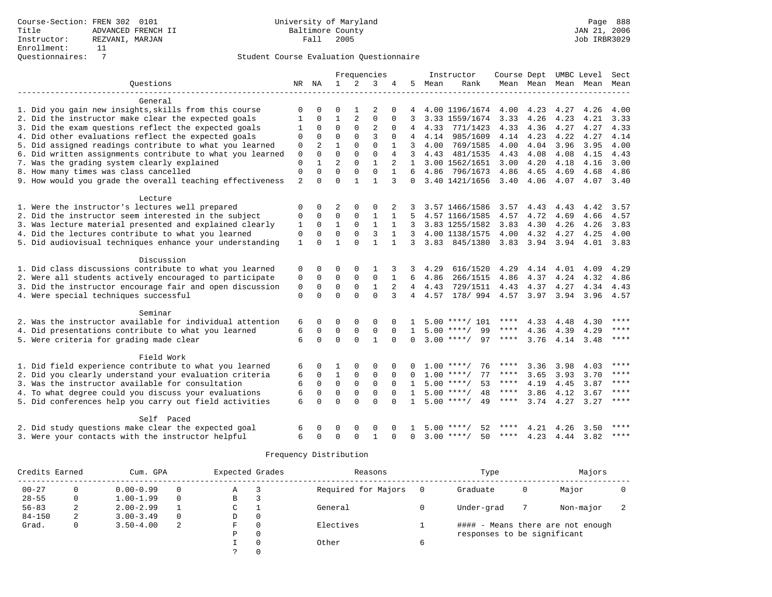|                                                           |              |                |                |                | Frequencies    |              |                |        | Instructor          | Course Dept |                |           | UMBC Level | Sect        |
|-----------------------------------------------------------|--------------|----------------|----------------|----------------|----------------|--------------|----------------|--------|---------------------|-------------|----------------|-----------|------------|-------------|
| Questions                                                 | NR           | ΝA             | 1              | $\overline{2}$ | 3              | 4            | .5             | Mean   | Rank                |             | Mean Mean Mean |           | Mean       | Mean        |
|                                                           |              |                |                |                |                |              |                |        |                     |             |                |           |            |             |
| General                                                   |              |                |                |                |                |              |                |        |                     |             |                |           |            |             |
| 1. Did you gain new insights, skills from this course     | 0            | $\Omega$       | $\Omega$       |                | 2              | 0            |                |        | 4.00 1196/1674 4.00 |             | 4.23           | 4.27      | 4.26       | 4.00        |
| 2. Did the instructor make clear the expected goals       | $\mathbf{1}$ | $\Omega$       | $\mathbf{1}$   | 2              | $\Omega$       | $\Omega$     | 3              |        | 3.33 1559/1674      | 3.33        | 4.26           | 4.23      | 4.21       | 3.33        |
| 3. Did the exam questions reflect the expected goals      | -1           | $\Omega$       | $\Omega$       | $\Omega$       | $\overline{2}$ | $\Omega$     |                | 4.33   | 771/1423            | 4.33        | 4.36           | 4.27      | 4.27       | 4.33        |
| 4. Did other evaluations reflect the expected goals       | $\Omega$     | $\Omega$       | $\Omega$       | $\Omega$       | 3              | $\Omega$     |                | 4.14   | 985/1609            | 4.14        | 4.23           | 4.22      | 4.27       | 4.14        |
| 5. Did assigned readings contribute to what you learned   | 0            | $\overline{a}$ | $\mathbf{1}$   | $\Omega$       | $\mathbf 0$    |              | 3              | 4.00   | 769/1585            | 4.00        | 4.04           | 3.96      | 3.95       | 4.00        |
| 6. Did written assignments contribute to what you learned | $\mathbf{0}$ | $\Omega$       | $\Omega$       | $\Omega$       | $\Omega$       | 4            | 3              | 4.43   | 481/1535            | 4.43        | 4.08           | 4.08      | 4.15       | 4.43        |
| 7. Was the grading system clearly explained               | $\mathbf 0$  |                | $\overline{2}$ | $\Omega$       | $\mathbf{1}$   |              | $\mathbf{1}$   |        | 3.00 1562/1651      | 3.00        | 4.20           | 4.18      | 4.16       | 3.00        |
| 8. How many times was class cancelled                     | $\mathbf{0}$ | $\Omega$       | $\Omega$       | $\mathbf 0$    | $\Omega$       | $\mathbf{1}$ | 6              |        | 4.86 796/1673       | 4.86        | 4.65           | 4.69      | 4.68       | 4.86        |
| 9. How would you grade the overall teaching effectiveness | 2            | 0              | $\Omega$       | $\mathbf{1}$   | $\mathbf{1}$   | 3            | $\Omega$       |        | 3.40 1421/1656      | 3.40        | 4.06           | 4.07      | 4.07       | 3.40        |
| Lecture                                                   |              |                |                |                |                |              |                |        |                     |             |                |           |            |             |
| 1. Were the instructor's lectures well prepared           | 0            | $\mathbf 0$    | 2              | $\Omega$       | $\Omega$       |              |                |        | 3.57 1466/1586      | 3.57        | 4.43           | 4.43      | 4.42       | 3.57        |
| 2. Did the instructor seem interested in the subject      | 0            | $\mathbf 0$    | $\mathbf 0$    | $\mathbf 0$    | 1              | 1            | 5              |        | 4.57 1166/1585      | 4.57        | 4.72           | 4.69      | 4.66       | 4.57        |
| 3. Was lecture material presented and explained clearly   | 1            | $\mathbf 0$    | $\mathbf{1}$   | $\mathbf 0$    | $\mathbf{1}$   | 1            | 3              |        | 3.83 1255/1582      | 3.83        | 4.30           | 4.26      | 4.26       | 3.83        |
| 4. Did the lectures contribute to what you learned        | $\mathbf 0$  | $\Omega$       | $\Omega$       | $\Omega$       | 3              | $\mathbf{1}$ | 3              |        | 4.00 1138/1575      | 4.00        | 4.32           | 4.27      | 4.25       | 4.00        |
| 5. Did audiovisual techniques enhance your understanding  | 1            | $\Omega$       | 1              | $\Omega$       | $\mathbf{1}$   |              | 3              |        | 3.83 845/1380       |             | $3.83$ $3.94$  | 3.94      | 4.01       | 3.83        |
|                                                           |              |                |                |                |                |              |                |        |                     |             |                |           |            |             |
| Discussion                                                |              |                |                |                |                |              |                |        |                     |             |                |           |            |             |
| 1. Did class discussions contribute to what you learned   | 0            | 0              | $\Omega$       | 0              | -1             |              | 3              | 4.29   | 616/1520            | 4.29        |                | 4.14 4.01 | 4.09       | 4.29        |
| 2. Were all students actively encouraged to participate   | $\mathbf 0$  | $\mathbf 0$    | $\mathbf 0$    | $\mathbf{0}$   | $\mathbf 0$    |              | 6              | 4.86   | 266/1515            | 4.86        | 4.37           | 4.24      | 4.32       | 4.86        |
| 3. Did the instructor encourage fair and open discussion  | $\mathbf 0$  | $\Omega$       | $\mathbf 0$    | $\mathbf 0$    | $\mathbf{1}$   | 2            | $\overline{4}$ | 4.43   | 729/1511            | 4.43        | 4.37           | 4.27      | 4.34       | 4.43        |
| 4. Were special techniques successful                     | $\Omega$     | $\Omega$       | $\Omega$       | $\Omega$       | $\Omega$       | 3            |                | 4 4.57 | 178/ 994 4.57 3.97  |             |                | 3.94      | 3.96       | 4.57        |
| Seminar                                                   |              |                |                |                |                |              |                |        |                     |             |                |           |            |             |
| 2. Was the instructor available for individual attention  | 6            | 0              | 0              | 0              | $\Omega$       |              |                |        | $5.00$ ****/ 101    | ****        | 4.33           | 4.48      | 4.30       | ****        |
| 4. Did presentations contribute to what you learned       | 6            | $\Omega$       | $\mathbf 0$    | $\mathsf 0$    | $\mathbf 0$    | $\Omega$     | 1              |        | $5.00$ ****/<br>99  | $***$ * * * | 4.36           | 4.39      | 4.29       | $* * * *$   |
| 5. Were criteria for grading made clear                   | 6            | $\Omega$       | $\Omega$       | $\Omega$       | $\mathbf{1}$   | $\Omega$     | $\Omega$       |        | 97<br>$3.00$ ****/  | ****        | 3.76           | 4.14      | 3.48       | $***$ * * * |
| Field Work                                                |              |                |                |                |                |              |                |        |                     |             |                |           |            |             |
| 1. Did field experience contribute to what you learned    | 6            | 0              | 1              | $\Omega$       | $\Omega$       |              |                | 1.00   | 76<br>$***$ /       | ****        | 3.36           | 3.98      | 4.03       | ****        |
| 2. Did you clearly understand your evaluation criteria    | 6            | 0              | $\mathbf{1}$   | $\mathbf 0$    | $\mathbf 0$    | $\Omega$     |                |        | $1.00$ ****/<br>77  | ****        | 3.65           | 3.93      | 3.70       | ****        |
| 3. Was the instructor available for consultation          | 6            | $\mathbf 0$    | $\mathbf 0$    | $\mathbf 0$    | $\mathbf 0$    | $\Omega$     | 1              |        | 53<br>$5.00$ ****/  | ****        | 4.19           | 4.45      | 3.87       | $***$       |
| 4. To what degree could you discuss your evaluations      | 6            | $\mathbf 0$    | $\mathbf 0$    | $\mathbf 0$    | $\mathbf 0$    | $\Omega$     | $\mathbf{1}$   |        | $5.00$ ****/<br>48  | ****        | 3.86           | 4.12      | 3.67       | $***$ * * * |
| 5. Did conferences help you carry out field activities    | 6            | $\Omega$       | $\Omega$       | $\Omega$       | $\Omega$       | $\Omega$     | $\mathbf{1}$   |        | $5.00$ ****/<br>49  | ****        | 3.74           | 4.27      | 3.27       | ****        |
|                                                           |              |                |                |                |                |              |                |        |                     |             |                |           |            |             |
| Self Paced                                                |              |                |                |                |                |              |                |        |                     |             |                |           |            |             |
| 2. Did study questions make clear the expected goal       | 6            | O              | $\Omega$       | $\Omega$       | <sup>0</sup>   |              |                |        | $5.00$ ****/<br>52  | ****        | 4.21           | 4.26      | 3.50       | ****        |
| 3. Were your contacts with the instructor helpful         | $\epsilon$   | $\Omega$       | $\Omega$       | $\cap$         | $\mathbf{1}$   | $\Omega$     | $\Omega$       |        | $3.00$ ****/<br>50  | ****        | 4.23           | 4.44      | 3.82       | $***$       |

| Credits Earned |   | Cum. GPA      |          | Expected Grades |          | Reasons             |   | Type                        |   | Majors                            |  |
|----------------|---|---------------|----------|-----------------|----------|---------------------|---|-----------------------------|---|-----------------------------------|--|
| $00 - 27$      |   | $0.00 - 0.99$ | 0        | Α               |          | Required for Majors |   | Graduate                    | 0 | Major                             |  |
| $28 - 55$      |   | $1.00 - 1.99$ | $\Omega$ | B               |          |                     |   |                             |   |                                   |  |
| $56 - 83$      | 2 | $2.00 - 2.99$ |          | C               |          | General             |   | Under-grad                  |   | Non-major                         |  |
| $84 - 150$     | 2 | $3.00 - 3.49$ | $\Omega$ | D               | $\Omega$ |                     |   |                             |   |                                   |  |
| Grad.          | 0 | $3.50 - 4.00$ | 2        | F               |          | Electives           |   |                             |   | #### - Means there are not enough |  |
|                |   |               |          | Ρ               |          |                     |   | responses to be significant |   |                                   |  |
|                |   |               |          |                 |          | Other               | b |                             |   |                                   |  |
|                |   |               |          |                 |          |                     |   |                             |   |                                   |  |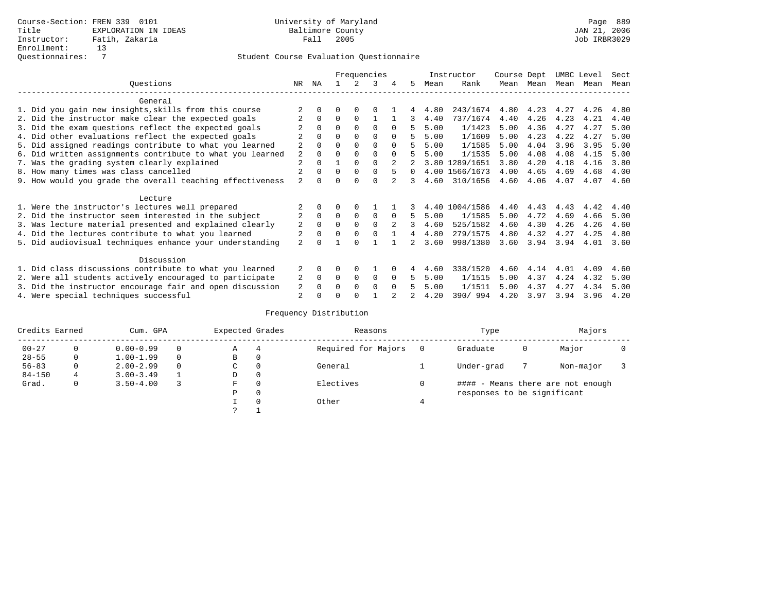|                                                           |                |              |              |              | Frequencies |                |          |      | Instructor     | Course Dept |      | UMBC Level |      | Sect |
|-----------------------------------------------------------|----------------|--------------|--------------|--------------|-------------|----------------|----------|------|----------------|-------------|------|------------|------|------|
| Ouestions                                                 | NR.            | ΝA           |              |              | 3           | 4              | 5        | Mean | Rank           | Mean        | Mean | Mean       | Mean | Mean |
| General                                                   |                |              |              |              |             |                |          |      |                |             |      |            |      |      |
| 1. Did you gain new insights, skills from this course     |                |              |              | $\Omega$     |             |                |          | 4.80 | 243/1674       | 4.80        | 4.23 | 4.27       | 4.26 | 4.80 |
| 2. Did the instructor make clear the expected goals       |                | $\Omega$     | $\Omega$     | $\Omega$     |             |                | 3        | 4.40 | 737/1674       | 4.40        | 4.26 | 4.23       | 4.21 | 4.40 |
| 3. Did the exam questions reflect the expected goals      |                | $\Omega$     | $\Omega$     | $\Omega$     | $\Omega$    | $\Omega$       | 5        | 5.00 | 1/1423         | 5.00        | 4.36 | 4.27       | 4.27 | 5.00 |
| 4. Did other evaluations reflect the expected goals       |                | $\Omega$     | 0            | $\Omega$     | $\Omega$    |                |          | 5.00 | 1/1609         | 5.00        | 4.23 | 4.22       | 4.27 | 5.00 |
| 5. Did assigned readings contribute to what you learned   | 2              |              |              | $\Omega$     | $\Omega$    |                |          | 5.00 | 1/1585         | 5.00        | 4.04 | 3.96       | 3.95 | 5.00 |
| 6. Did written assignments contribute to what you learned | 2              |              |              | $\Omega$     | 0           | $\Omega$       |          | 5.00 | 1/1535         | 5.00        | 4.08 | 4.08       | 4.15 | 5.00 |
| 7. Was the grading system clearly explained               | 2              |              |              | $\Omega$     | $\Omega$    |                |          |      | 3.80 1289/1651 | 3.80        | 4.20 | 4.18       | 4.16 | 3.80 |
| 8. How many times was class cancelled                     |                | <sup>0</sup> | <sup>0</sup> | $\Omega$     | $\Omega$    | 5              | $\Omega$ |      | 4.00 1566/1673 | 4.00        | 4.65 | 4.69       | 4.68 | 4.00 |
| 9. How would you grade the overall teaching effectiveness | $\overline{a}$ |              |              | <sup>n</sup> | U           |                | 3        | 4.60 | 310/1656       | 4.60        | 4.06 | 4.07       | 4.07 | 4.60 |
| Lecture                                                   |                |              |              |              |             |                |          |      |                |             |      |            |      |      |
| 1. Were the instructor's lectures well prepared           |                |              |              |              |             |                |          | 4.40 | 1004/1586      | 4.40        | 4.43 | 4.43       | 4.42 | 4.40 |
| 2. Did the instructor seem interested in the subject      | 2              | $\mathbf 0$  | $\Omega$     | 0            | 0           | $\Omega$       | 5        | 5.00 | 1/1585         | 5.00        | 4.72 | 4.69       | 4.66 | 5.00 |
| 3. Was lecture material presented and explained clearly   | 2              | $\Omega$     | $\Omega$     | $\Omega$     | $\Omega$    | $\mathfrak{D}$ | 3        | 4.60 | 525/1582       | 4.60        | 4.30 | 4.26       | 4.26 | 4.60 |
| 4. Did the lectures contribute to what you learned        | 2              | $\Omega$     | $\Omega$     | 0            |             |                | 4        | 4.80 | 279/1575       | 4.80        | 4.32 | 4.27       | 4.25 | 4.80 |
| 5. Did audiovisual techniques enhance your understanding  | $\overline{a}$ |              |              |              |             |                |          | 3.60 | 998/1380       | 3.60        | 3.94 | 3.94       | 4.01 | 3.60 |
| Discussion                                                |                |              |              |              |             |                |          |      |                |             |      |            |      |      |
| 1. Did class discussions contribute to what you learned   |                | 0            | U            | $\Omega$     |             |                |          | 4.60 | 338/1520       | 4.60        | 4.14 | 4.01       | 4.09 | 4.60 |
| 2. Were all students actively encouraged to participate   | 2              | 0            | 0            | 0            | 0           | $\Omega$       | 5        | 5.00 | 1/1515         | 5.00        | 4.37 | 4.24       | 4.32 | 5.00 |
| 3. Did the instructor encourage fair and open discussion  | 2              |              |              | $\Omega$     | 0           | $\Omega$       |          | 5.00 | 1/1511         | 5.00        | 4.37 | 4.27       | 4.34 | 5.00 |
| 4. Were special techniques successful                     | 2              |              |              |              |             |                |          | 4.20 | 390/994        | 4.20        | 3.97 | 3.94       | 3.96 | 4.20 |

| Credits Earned |          | Cum. GPA      | Expected Grades |          | Reasons             | Type                        |   | Majors                            |  |
|----------------|----------|---------------|-----------------|----------|---------------------|-----------------------------|---|-----------------------------------|--|
| $00 - 27$      | 0        | $0.00 - 0.99$ | Α               | 4        | Required for Majors | Graduate                    | 0 | Major                             |  |
| $28 - 55$      | 0        | $1.00 - 1.99$ | B               | 0        |                     |                             |   |                                   |  |
| $56 - 83$      | $\Omega$ | $2.00 - 2.99$ | C               | 0        | General             | Under-grad                  |   | Non-major                         |  |
| $84 - 150$     | 4        | $3.00 - 3.49$ | D               | 0        |                     |                             |   |                                   |  |
| Grad.          | 0        | $3.50 - 4.00$ | F               | 0        | Electives           |                             |   | #### - Means there are not enough |  |
|                |          |               | Ρ               | 0        |                     | responses to be significant |   |                                   |  |
|                |          |               |                 | $\Omega$ | Other               |                             |   |                                   |  |
|                |          |               |                 |          |                     |                             |   |                                   |  |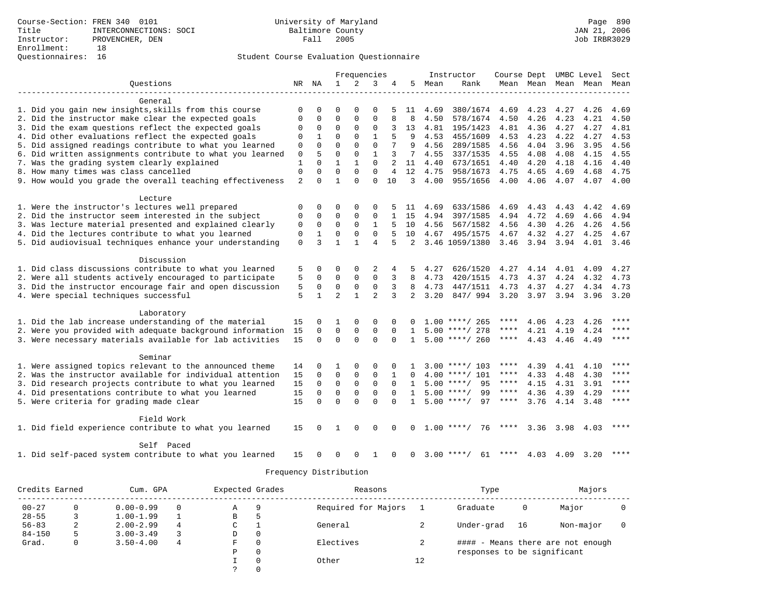|                                                           |              |              |                | Frequencies    |                |                |                |      | Instructor         | Course Dept |                     | UMBC Level |           | Sect        |
|-----------------------------------------------------------|--------------|--------------|----------------|----------------|----------------|----------------|----------------|------|--------------------|-------------|---------------------|------------|-----------|-------------|
| Ouestions                                                 |              | NR NA        | $\mathbf{1}$   | $\overline{2}$ | 3              | 4              | 5.             | Mean | Rank               |             | Mean Mean Mean Mean |            |           | Mean        |
|                                                           |              |              |                |                |                |                |                |      |                    |             |                     |            |           |             |
| General                                                   |              |              |                |                |                |                |                |      |                    |             |                     |            |           |             |
| 1. Did you gain new insights, skills from this course     | 0            | 0            | O              | $\Omega$       | $\Omega$       | 5              | 11             | 4.69 | 380/1674           | 4.69        | 4.23                | 4.27       | 4.26      | 4.69        |
| 2. Did the instructor make clear the expected goals       | $\Omega$     | $\Omega$     | $\Omega$       | $\Omega$       | $\Omega$       |                | 8              | 4.50 | 578/1674           | 4.50        | 4.26                | 4.23       | 4.21      | 4.50        |
| 3. Did the exam questions reflect the expected goals      | 0            | 0            | $\mathbf 0$    | $\Omega$       | $\mathbf 0$    |                | 13             | 4.81 | 195/1423           | 4.81        | 4.36                | 4.27       | 4.27      | 4.81        |
| 4. Did other evaluations reflect the expected goals       | $\Omega$     | 1            | $\Omega$       | $\Omega$       | $\mathbf{1}$   | 5              | 9              | 4.53 | 455/1609           | 4.53        | 4.23                | 4.22       | 4.27      | 4.53        |
| 5. Did assigned readings contribute to what you learned   | $\Omega$     | $\Omega$     | $\Omega$       | $\Omega$       | $\Omega$       |                | 9              | 4.56 | 289/1585           | 4.56        | 4.04                | 3.96       | 3.95      | 4.56        |
| 6. Did written assignments contribute to what you learned | 0            | 5            | 0              | 0              | $\mathbf{1}$   | 3              | 7              | 4.55 | 337/1535           | 4.55        | 4.08                | 4.08       | 4.15      | 4.55        |
| 7. Was the grading system clearly explained               | $\mathbf{1}$ | $\Omega$     | $\mathbf{1}$   | $\mathbf{1}$   | $\Omega$       |                | 11             | 4.40 | 673/1651           | 4.40        | 4.20                | 4.18       | 4.16      | 4.40        |
| 8. How many times was class cancelled                     | $\mathbf 0$  | $\Omega$     | $\Omega$       | $\Omega$       | $\Omega$       | $\overline{4}$ | 12             | 4.75 | 958/1673           | 4.75        | 4.65                | 4.69       | 4.68      | 4.75        |
| 9. How would you grade the overall teaching effectiveness | 2            | $\Omega$     | $\mathbf{1}$   | $\Omega$       | $\Omega$       | 10             | 3              | 4.00 | 955/1656           | 4.00        | 4.06                | 4.07       | 4.07 4.00 |             |
| Lecture                                                   |              |              |                |                |                |                |                |      |                    |             |                     |            |           |             |
| 1. Were the instructor's lectures well prepared           | 0            | 0            | O              | $\Omega$       | $\Omega$       |                | 11             | 4.69 | 633/1586           | 4.69        | 4.43                | 4.43       | 4.42      | 4.69        |
| 2. Did the instructor seem interested in the subject      | 0            | 0            | 0              | $\Omega$       | $\mathbf 0$    |                | 15             | 4.94 | 397/1585           | 4.94        | 4.72                | 4.69       | 4.66      | 4.94        |
| 3. Was lecture material presented and explained clearly   | 0            | 0            | $\mathbf 0$    | $\Omega$       | $\mathbf{1}$   | 5              | 10             | 4.56 | 567/1582           | 4.56        | 4.30                | 4.26       | 4.26      | 4.56        |
| 4. Did the lectures contribute to what you learned        | $\mathbf 0$  | $\mathbf{1}$ | $\Omega$       | 0              | $\Omega$       |                | 10             |      |                    |             |                     |            |           |             |
|                                                           |              |              |                |                |                |                |                | 4.67 | 495/1575           | 4.67        | 4.32                | 4.27       | 4.25      | 4.67        |
| 5. Did audiovisual techniques enhance your understanding  | 0            | 3            | $\mathbf{1}$   | 1              | 4              |                | 2              |      | 3.46 1059/1380     | 3.46        | 3.94                | 3.94       | 4.01      | 3.46        |
| Discussion                                                |              |              |                |                |                |                |                |      |                    |             |                     |            |           |             |
| 1. Did class discussions contribute to what you learned   | 5            | 0            | $\Omega$       | $\Omega$       | 2              | 4              | 5              | 4.27 | 626/1520           | 4.27        | 4.14                | 4.01       | 4.09      | 4.27        |
| 2. Were all students actively encouraged to participate   | 5            | 0            | $\mathbf 0$    | 0              | $\mathbf 0$    | 3              | 8              | 4.73 | 420/1515           | 4.73        | 4.37                | 4.24       | 4.32      | 4.73        |
| 3. Did the instructor encourage fair and open discussion  | 5            | 0            | $\mathbf 0$    | 0              | $\mathbf 0$    |                | 8              | 4.73 | 447/1511           | 4.73        | 4.37                | 4.27       | 4.34      | 4.73        |
| 4. Were special techniques successful                     | 5            | $\mathbf{1}$ | $\overline{a}$ | $\mathbf{1}$   | $\mathfrak{D}$ | 3              | $\overline{2}$ | 3.20 | 847/994            | 3.20        | 3.97                | 3.94       | 3.96 3.20 |             |
|                                                           |              |              |                |                |                |                |                |      |                    |             |                     |            |           |             |
| Laboratory                                                |              |              |                |                |                |                |                |      |                    |             |                     |            |           |             |
| 1. Did the lab increase understanding of the material     | 15           | $\Omega$     | 1              | $\Omega$       | $\Omega$       |                |                |      | $1.00$ ****/ 265   | ****        | 4.06                | 4.23       | 4.26      | ****        |
| 2. Were you provided with adequate background information | 15           | $\Omega$     | $\mathbf 0$    | $\mathbf 0$    | $\mathsf 0$    | $\Omega$       | $\mathbf{1}$   |      | $5.00$ ****/ 278   | ****        | 4.21                | 4.19       | 4.24      | ****        |
| 3. Were necessary materials available for lab activities  | 15           | $\Omega$     | $\Omega$       | $\Omega$       | $\Omega$       | $\Omega$       | $\mathbf{1}$   |      | $5.00$ ****/ 260   | ****        | 4.43                | 4.46       | 4.49      | $***$ * * * |
| Seminar                                                   |              |              |                |                |                |                |                |      |                    |             |                     |            |           |             |
| 1. Were assigned topics relevant to the announced theme   | 14           | 0            | 1              | $\Omega$       | $\Omega$       | $\Omega$       |                |      | $3.00$ ****/ 103   | ****        | 4.39                | 4.41       | 4.10      | ****        |
| 2. Was the instructor available for individual attention  | 15           | 0            | $\mathbf 0$    | 0              | $\mathbf 0$    |                | 0              |      | 4.00 ****/ 101     | $***$ * *   | 4.33                | 4.48       | 4.30      | ****        |
| 3. Did research projects contribute to what you learned   | 15           | $\mathbf 0$  | $\mathbf 0$    | $\mathsf 0$    | $\mathbf 0$    | $\Omega$       | $\mathbf{1}$   |      | 95<br>$5.00$ ****/ | $***$ * * * | 4.15                | 4.31       | 3.91      | ****        |
|                                                           |              | $\Omega$     |                |                | $\mathbf 0$    | $\Omega$       |                |      |                    | $***$ * * * |                     |            |           | ****        |
| 4. Did presentations contribute to what you learned       | 15           |              | $\mathbf 0$    | $\mathbf 0$    |                |                | 1              |      | 99<br>$5.00$ ****/ |             | 4.36                | 4.39       | 4.29      | $***$       |
| 5. Were criteria for grading made clear                   | 15           | $\Omega$     | $\Omega$       | $\Omega$       | $\Omega$       | $\Omega$       | $\mathbf{1}$   |      | $5.00$ ****/<br>97 | $***$ * * * | 3.76                | 4.14       | 3.48      |             |
| Field Work                                                |              |              |                |                |                |                |                |      |                    |             |                     |            |           |             |
| 1. Did field experience contribute to what you learned    | 15           | 0            | 1              | $\Omega$       | $\Omega$       | $\Omega$       | 0              |      | $1.00$ ****/<br>76 | ****        | 3.36                |            | 3.98 4.03 | ****        |
| Self Paced                                                |              |              |                |                |                |                |                |      |                    |             |                     |            |           |             |
| 1. Did self-paced system contribute to what you learned   | 15           |              | O              | $\Omega$       | 1              | $\Omega$       | $\Omega$       |      | $3.00$ ****/<br>61 | ****        | 4.03 4.09           |            | 3.20      | ****        |

| Credits Earned |   | Cum. GPA      |                | Expected Grades |          | Reasons             |    | Type                        |    | Majors                       |  |
|----------------|---|---------------|----------------|-----------------|----------|---------------------|----|-----------------------------|----|------------------------------|--|
| $00 - 27$      | 0 | $0.00 - 0.99$ | $\Omega$       | А               | 9        | Required for Majors |    | Graduate                    | 0  | Major                        |  |
| $28 - 55$      |   | $1.00 - 1.99$ |                | В               | ל        |                     |    |                             |    |                              |  |
| $56 - 83$      | 2 | $2.00 - 2.99$ | $\overline{4}$ | C               |          | General             |    | Under-grad                  | 16 | Non-major                    |  |
| $84 - 150$     | 5 | $3.00 - 3.49$ | 3              | D               | 0        |                     |    |                             |    |                              |  |
| Grad.          | 0 | $3.50 - 4.00$ | 4              | F.              | $\Omega$ | Electives           |    | ####                        |    | - Means there are not enough |  |
|                |   |               |                | Ρ               | 0        |                     |    | responses to be significant |    |                              |  |
|                |   |               |                |                 | 0        | Other               | 12 |                             |    |                              |  |
|                |   |               |                |                 | 0        |                     |    |                             |    |                              |  |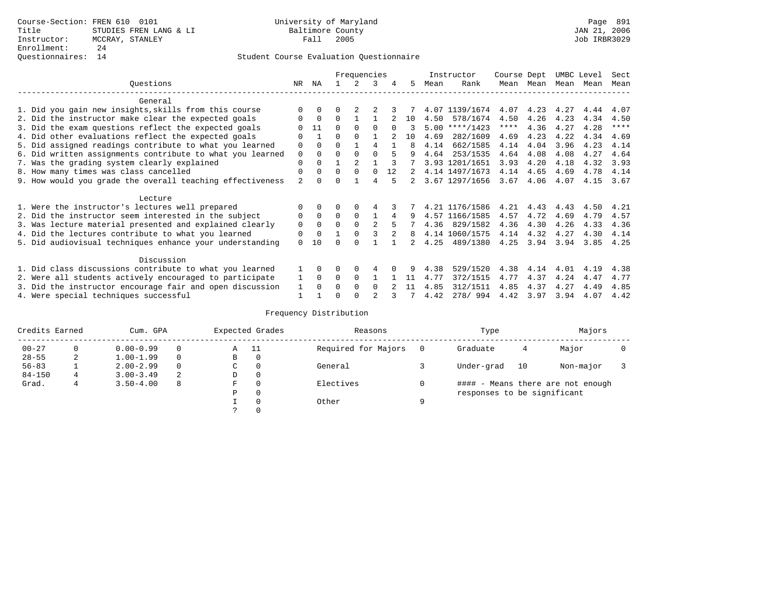### Questionnaires: 14 Student Course Evaluation Questionnaire

|                                                           |                |             |          | Frequencies |                |    |    |      | Instructor     | Course Dept |      | UMBC Level |      | Sect        |
|-----------------------------------------------------------|----------------|-------------|----------|-------------|----------------|----|----|------|----------------|-------------|------|------------|------|-------------|
| Ouestions                                                 | NR             | ΝA          |          |             | 3              | 4  | 5  | Mean | Rank           | Mean        | Mean | Mean       | Mean | Mean        |
| General                                                   |                |             |          |             |                |    |    |      |                |             |      |            |      |             |
| 1. Did you gain new insights, skills from this course     |                | $\Omega$    |          |             |                |    |    |      | 4.07 1139/1674 | 4.07        | 4.23 | 4.27       | 4.44 | 4.07        |
| 2. Did the instructor make clear the expected goals       |                | $\mathbf 0$ | $\Omega$ |             |                |    | 10 | 4.50 | 578/1674       | 4.50        | 4.26 | 4.23       | 4.34 | 4.50        |
| 3. Did the exam questions reflect the expected goals      |                | 11          | $\Omega$ | $\Omega$    |                |    |    | 5.00 | $***/1423$     | ****        | 4.36 | 4.27       | 4.28 | $***$ * * * |
| 4. Did other evaluations reflect the expected goals       | O              |             | 0        | $\Omega$    |                |    | 10 | 4.69 | 282/1609       | 4.69        | 4.23 | 4.22       | 4.34 | 4.69        |
| 5. Did assigned readings contribute to what you learned   | 0              | $\Omega$    | U        |             | 4              |    | 8  | 4.14 | 662/1585       | 4.14        | 4.04 | 3.96       | 4.23 | 4.14        |
| 6. Did written assignments contribute to what you learned | 0              | $\Omega$    | U        | $\Omega$    |                | 5  |    | 4.64 | 253/1535       | 4.64        | 4.08 | 4.08       | 4.27 | 4.64        |
| 7. Was the grading system clearly explained               | 0              |             |          |             |                |    |    |      | 3.93 1201/1651 | 3.93        | 4.20 | 4.18       | 4.32 | 3.93        |
| 8. How many times was class cancelled                     | 0              | 0           | $\Omega$ | $\Omega$    | $\Omega$       | 12 |    |      | 4.14 1497/1673 | 4.14        | 4.65 | 4.69       | 4.78 | 4.14        |
| 9. How would you grade the overall teaching effectiveness | $\overline{a}$ |             |          |             | 4              |    | 2  |      | 3.67 1297/1656 | 3.67        | 4.06 | 4.07       | 4.15 | 3.67        |
| Lecture                                                   |                |             |          |             |                |    |    |      |                |             |      |            |      |             |
| 1. Were the instructor's lectures well prepared           |                |             |          |             |                |    |    |      | 4.21 1176/1586 | 4.21        | 4.43 | 4.43       | 4.50 | 4.21        |
| 2. Did the instructor seem interested in the subject      | 0              | $\Omega$    | $\Omega$ | $\Omega$    |                | 4  | 9  |      | 4.57 1166/1585 | 4.57        | 4.72 | 4.69       | 4.79 | 4.57        |
| 3. Was lecture material presented and explained clearly   | 0              | $\Omega$    | $\Omega$ | $\Omega$    | $\mathfrak{D}$ | 5  |    | 4.36 | 829/1582       | 4.36        | 4.30 | 4.26       | 4.33 | 4.36        |
| 4. Did the lectures contribute to what you learned        | 0              | $\Omega$    |          | $\Omega$    |                |    | 8  |      | 4.14 1060/1575 | 4.14        | 4.32 | 4.27       | 4.30 | 4.14        |
| 5. Did audiovisual techniques enhance your understanding  | 0              | 10          |          |             |                |    |    | 4.25 | 489/1380       | 4.25        | 3.94 | 3.94       | 3.85 | 4.25        |
|                                                           |                |             |          |             |                |    |    |      |                |             |      |            |      |             |
| Discussion                                                |                |             |          |             |                |    |    |      |                |             |      |            |      |             |
| 1. Did class discussions contribute to what you learned   |                | $\Omega$    | 0        | $\Omega$    |                |    |    | 4.38 | 529/1520       | 4.38        | 4.14 | 4.01       | 4.19 | 4.38        |
| 2. Were all students actively encouraged to participate   |                | $\Omega$    | 0        | $\Omega$    |                |    | 11 | 4.77 | 372/1515       | 4.77        | 4.37 | 4.24       | 4.47 | 4.77        |
| 3. Did the instructor encourage fair and open discussion  |                |             |          | $\Omega$    | 0              |    | 11 | 4.85 | 312/1511       | 4.85        | 4.37 | 4.27       | 4.49 | 4.85        |
| 4. Were special techniques successful                     |                |             |          |             |                |    |    | 4.42 | 278/ 994       | 4.42        | 3.97 | 3.94       | 4.07 | 4.42        |

| Credits Earned |          | Cum. GPA      |   | Expected Grades |          | Reasons             |          | Type                        |    | Majors                            |  |
|----------------|----------|---------------|---|-----------------|----------|---------------------|----------|-----------------------------|----|-----------------------------------|--|
| $00 - 27$      | $\Omega$ | $0.00 - 0.99$ |   | Α               | - 11     | Required for Majors | $\Omega$ | Graduate                    | 4  | Major                             |  |
| $28 - 55$      | 2        | $1.00 - 1.99$ |   | B               | 0        |                     |          |                             |    |                                   |  |
| $56 - 83$      |          | $2.00 - 2.99$ |   | C               | $\Omega$ | General             |          | Under-grad                  | 10 | Non-major                         |  |
| $84 - 150$     | 4        | $3.00 - 3.49$ | 2 | D               | 0        |                     |          |                             |    |                                   |  |
| Grad.          | 4        | $3.50 - 4.00$ | 8 | F               | 0        | Electives           | 0        |                             |    | #### - Means there are not enough |  |
|                |          |               |   | Ρ               | 0        |                     |          | responses to be significant |    |                                   |  |
|                |          |               |   |                 | 0        | Other               | a        |                             |    |                                   |  |
|                |          |               |   | $\mathcal{L}$   |          |                     |          |                             |    |                                   |  |